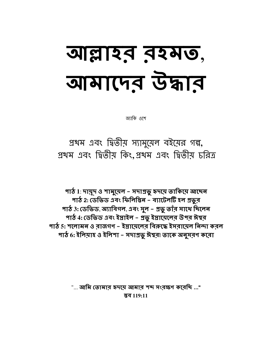# আল্লাহর রহমত, वामारमूत उेकान

জ্যাকি ওশে

প্রথম এবং দ্বিতীয় স্যামুয়েল বইয়ের গল্প, প্রথম এবং দ্বিতীয় কিং,প্রথম এবং দ্বিতীয় চরিত্র

পাঠ 1: দামূদ ও শামুয়েল – সদাপ্রভু হৃদয়ে তাকিয়ে আছেন পাঠ 2: ডেভিড এবং ফিলিষ্টিন – ব্যাটেলটি হল প্রভূর পাঠ 3: ডেভিড, অ্যাবিগল, এবং সুল – প্রভু তাঁর সাথে ছিলেন পাঠ 4: ডেভিড এবং ইস্রাইল – প্রভু ইস্রায়েলের উপর ঈশ্বর পাঠ 5: শলোমন ও বাজগণ – ইস্তায়েলেব বিরুদ্ধে ইসবায়েল নিন্দা করল পাঠ 6: ইলিয়াহ ও ইলিশা – সদাপ্রভু ঈশ্বর়৷ তাকে অনুসরণ করো

> "... আমি তোমাব হৃদমে আমাব শব্দ সংবক্ষণ কবেচ্চি ..." **স্তব 119:11**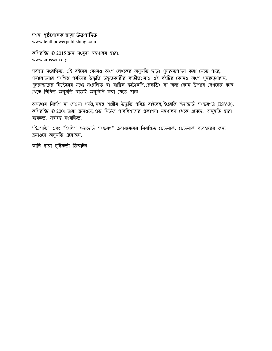#### দশম **পৃষ্ঠপোষক দ্বারা উত্পাদিত**

www.tenthpowerpublishing.com

কপিরাইট © 2015 ক্রস সংযুক্ত মন্ত্রণালয় দ্বারা. www.crosscm.org

সর্বম্বত্ব সংরক্ষিত. এই বইয়ের কোনও অংশ লেখকের অনুমতি ছাড়া পুনরুত্পাদন করা যেতে পারে, পর্যালোচনার সংক্ষিপ্ত পর্যায়ের উদ্ধৃতি উদ্ধৃতকারীর ব্যতীত; নাও এই বইটির কোনও অংশ পুনরুত্পাদন**,** পুনরুদ্ধারের সিস্টেমের মধ্যে সংরক্ষিত বা যান্ত্রিক ফটোকপি,রেকর্ডিং বা অন্য কোন উপায়ে লেখকের কাছ খেকে লিখিত অনুমতি ছাড়াই অনুলিপি করা যেতে পারে.

অন্যায় নির্দেশ না দেওয়া পর্যন্ত,সমস্ত শাস্ত্রীয় উদ্ধৃতি পবিত্র বাইবেল,ইংরেজি স্ট্যান্ডার্ড সংস্করণ®(ESV®), কপিরাইট © 2001 দ্বারা ক্রসওয়ে, গুড নিউজ পাবলিশার্সের প্রকাশনা মন্ত্রণালয় থেকে এসেছে. অনুমতি দ্বারা ব্যবহৃত. সর্বস্বত্ব সংরক্ষিত.

''ইএসভি" এবং "ইংলিশ স্ট্যান্ডার্ড সংস্করণ" ক্রসওয়েয়ের নিবন্ধিত ট্রেডমার্ক. ট্রেডমার্ক ব্যবহারের জন্য ক্ৰসওয়ে অনুমতি প্ৰয়োজন.

কালি দ্বারা সৃষ্টিকর্তা ডিজাইন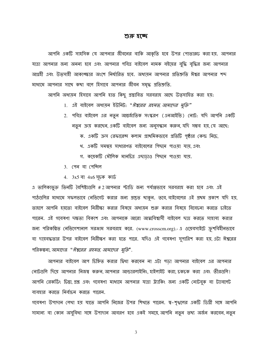#### শুরু হচ্ছে

আপনি একটি সাহসিক যে আপনার জীবনের বাকি আকৃতি হবে উপর পোতারুঢ় করা হয়. আপনার যাত্রা আপনার জন্য অনন্য হবে এবং আপনার পবিত্র বাইবেল নামক বইয়ের বুদ্ধি বৃদ্ধির জন্য আপনার আগ্রহী এবং উত্সাহী আকাঙ্ক্ষার অংশে নির্ধারিত হবে. অধ্যয়ন আপনার প্রতিশ্রুতি ঈশ্বর আপনার শব্দ মাধ্যমে আপনার সাথে কথা বলে হিসাবে আপনার জীবন সমৃদ্ধ প্রতিশ্রুতি.

আপনি অধ্যয়ন হিসাবে আপনি হাত কিছু প্রস্তাবিত সরবরাহ আছে উত্সাহিত করা হয়:

- 1. এই বাইবেল অধ্যয়ন ইউনিট: "*ঈশ্বরের রহমত, আমাদের মুক্তি*"
- 2. পবিত্র বাইবেল এর নতুন আন্তর্জাতিক সংস্করণ (এনআইভি) নোট: যদি আপনি একটি নতুন ক্রয় করছেন, একটি বাইবেল জন্য অনুসন্ধান করুন, যদি সম্ভব হয়, যে আছে:
	- ক. একটি ক্রস রেফারেন্স কলাম প্রাথমিকভাবে প্রতিটি পৃষ্ঠার কেন্দ্র নিচে,
	- থ. একটি সমন্বয় সাধারণত বাইবেলের পিছনে পাওয়া যায়, এবং
	- গ. কয়েকটি মৌলিক মানচিত্ৰ এছাড়াও পিছনে পাওয়া যায়.
- $3.$  (পন বা পেন্সিল
- 4.  $3x5$  বা  $4x6$  সূচক কার্ড

এ তালিকাভুক্ত তিনটি বৈশিষ্ট্যগুলি #2 আপনার স্টাডি জন্য পর্যাপ্তভাবে সরবরাহ করা হবে এবং এই পাঠগুলির মাধ্যমে সফলভাবে নেভিগেট করার জন্য প্রস্তুত থাকুন. তবে, বাইবেলের এই প্রথম প্রকাশ যদি হয়, তাহলে আপনি হয়তো বাইবেল নিরীক্ষা করার বিষয়ে অধ্যয়ন শুরু করার বিষয়ে বিবেচনা করতে চাইতে পারেন. এই গবেষণা দক্ষতা বিকাশ এবং আপনাকে আরো আত্মবিশ্বাসী বাইবেল ছাত্র করতে সাহায্য করার জন্য পরিকল্পিত নেভিগেশানাল সরঞ্জাম সরবরাহ করে. (www.crosscm.org).- এ ওমেবসাইটে ক্রুশবিহীনভাবে বা দায়বদ্ধতার উপর বাইবেল নিরীক্ষণ করা হতে পারে. যদিও এই গবেষণা সুপারিশ করা হয়, এটা ঈশ্বরের পরিকল্পনা, আমাদের *" ঈশ্বরের রহমত, আমাদের মুক্তি*".

আপনার বাইবেল আপ চিহ্নিত করার দ্বিধা করবেন না এটা পড়া আপনার বাইবেল এর আপনার নোটগুলি দিয়ে আপনার নিজম্ব করুন, আপনার আন্ডারলাইনিং, হাইলাইট করা, চকচক করা এবং তীরগুলি। আপনি রেকর্ডিং চিন্তা, প্রশ্ন এবং গবেষণা মাধ্যমে আপনার যাত্রা ট্র্যাকিং জন্য একটি নোটবুক বা ট্যাবলেট ব্যবহার করতে নির্বাচন করতে পারেন.

গবেষণা উপাদান লেখা হয় যাতে আপনি নিজের উপর শিখতে পারেন. স্ব-শৃগ্খলের একটি ডিগ্রী সঙ্গে আপনি সামান্য বা কোন অসুবিধা সঙ্গে উপাদান আবরণ হবে একই সময়ে, আপনি নতুন তথ্য অর্জন করবেন, নতুন

 $\overline{3}$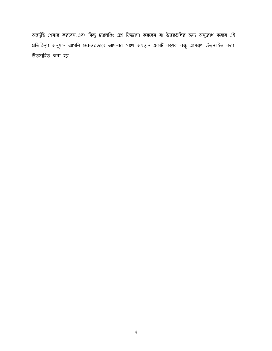অন্তর্দৃষ্টি শেয়ার করবেন, এবং কিছু চ্যালেঞ্জিং প্রশ্ন জিজ্ঞাসা করবেন যা উত্তরগুলির জন্য অনুরোধ করবে এই প্রতিক্রিয়া অনুমান আপনি গুরুতরভাবে আপনার সাথে অধ্যয়ন একটি কয়েক বন্ধু আমন্ত্রণ উত্সাহিত করা উত্সাহিত করা হয়.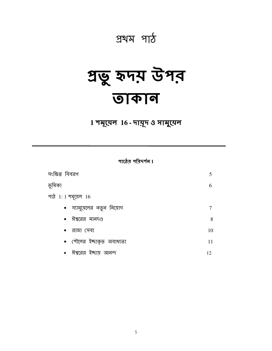## প্ৰথম পাঠ

## প্ৰভু হৃদয় উপর **जकान**

1 শমূয়েল 16 - দামূদ ও সামুয়েল

পাঠের পরিদর্শন $1$ 

| সংক্ষিপ্ত বিবরণ            | 5  |
|----------------------------|----|
| ভূমিকা                     | 6  |
| পাঠ 1: 1 শমূয়েল 16        |    |
| • স্যামুয়েলের নতুন নিয়োগ |    |
| •  ঈশ্বরের মানদণ্ড         | 8  |
| $\bullet$ রাজা সেবা        | 10 |
| • শৌলের ইচ্ছাকৃত অবাধ্যতা  | 11 |
| •  ঈশ্বরের ইচ্ছায় আনন্দ   | 12 |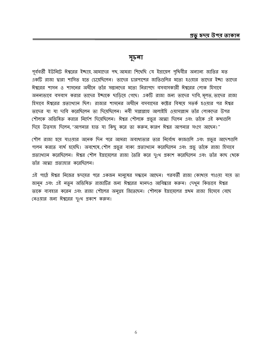#### সূচনা

পূর্ববর্তী ইউনিটে ঈশ্বরের ইচ্ছায়, আমাদের পথ, আমরা শিথেছি যে ইস্রায়েল পৃথিবীর অন্যান্য জাতির মত একটি রাজা দ্বারা শাসিত হতে চেমেছিলেন। তাদের চারপাশের জাতিগুলির মতো হওয়ার তাদের ইচ্ছা তাদের ঈশ্বরের শাসন ও শাসনের অধীনে তাঁর সন্তানদের মতো নিরাপদে বসবাসকারী ঈশ্বরের লোক হিসাবে অনন্যভাবে বসবাস করার তাদের ইচ্ছাকে ছাড়িয়ে গেছে। একটি রাজা জন্য তাদের দাবি, মূলত, তাদের রাজা হিসাবে ঈশ্বরের প্রত্যাখ্যান ছিল। রাজার শাসনের অধীনে বসবাসের কষ্টের বিষয়ে সতর্ক হওয়ার পর ঈশ্বর তাদের যা যা দাবি করেছিলেন তা দিয়েছিলেন। নবী সাল্লাল্লাহু আলাইহি ওয়াসাল্লাম তাঁর লোকদের উপর শৌলকে অভিষিক্ত করার নির্দেশ দিয়েছিলেন। ঈশ্বর শৌলকে প্রভুর আত্মা দিলেন এবং তাঁকে এই কথাগুলি দিয়ে উত্সাহ দিলেন, "আপনার হাত যা কিছু করে তা করুন, কারণ ঈশ্বর আপনার সংগে আছেন।"

শৌল রাজা হয়ে যাওয়ার অনেক দিন পরে আমরা অবাধ্যতার তার নির্বোধ কাজগুলি এবং প্রভুর আদেশগুলি পালন করতে ব্যর্থ হয়েছি। অবশেষে, শৌল প্রভুর বাক্য প্রত্যাখ্যান করেছিলেন এবং প্রভু তাঁকে রাজা হিসাবে প্রত্যাখ্যান করেছিলেন। ঈশ্বর শৌল ইস্রায়েলের রাজা তৈরি করে দুঃখ প্রকাশ করেছিলেন এবং তাঁর কাছ থেকে তাঁর আত্মা প্রত্যাহার করেছিলেন।

এই পাঠে ঈশ্বর নিজের হৃদয়ের পরে একজন মানুষের সন্ধানে আছেন। পরবর্তী রাজা কোখায় পাওয়া যায় তা জানুন এবং এই নতুন অভিষিক্ত রাজাটির জন্য ঈশ্বরের মানদণ্ড আবিষ্কার করুন। দেখুন কিভাবে ঈশ্বর তাকে ব্যবহার করেন এবং রাজা শৌলের অনুগ্রহ জিতেছেন। শৌলকে ইস্রায়েলের প্রথম রাজা হিসেবে বেছে নেওয়ার জন্য ঈশ্বরের দুঃখ প্রকাশ করুন।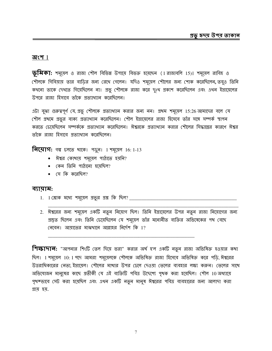#### অংশ  $1$

 $\overline{\mathbf{\mathfrak{B}}}$ মিকা: শম্মেল ও রাজা শৌল বিভিন্ন উপায়ে বিভক্ত হয়েছেন (1 রাজাবলি 15)। শম্মেল রাবিহ ও শৌলকে গিবিয়ায় তার বাড়ির জন্য রেথে গেলেন। যদিও শমূয়েল শৌলের জন্য শোক করেছিলেন, তবুও তিনি কথনো তাকে দেখতে গিয়েছিলেন না। প্রভু শৌলকে রাজা করে দুঃথ প্রকাশ করেছিলেন এবং এথন ইস্রায়েলের উপরে রাজা হিসাবে তাঁকে প্রত্যাখ্যান করেছিলেন।

এটা বুঝা গুরুত্বপূর্ণ যে, প্রভু শৌলকে প্রত্যাখ্যান করার জন্য নন। প্রথম শমূয়েল 15:26 আমাদের বলে যে শৌল প্রখমে প্রভুর বাক্য প্রত্যাখ্যান করেছিলেন। শৌল ইস্রায়েলের রাজা হিসেবে তাঁর সঙ্গে সম্পর্ক স্থাপন করতে চেয়েছিলেন সম্পর্ককে প্রত্যাখ্যান করেছিলেন। ঈশ্বরকে প্রত্যাখ্যান করার শৌলের সিদ্ধান্তের কারণে ঈশ্বর তাঁকে রাজা হিসাবে প্রত্যাখ্যান করেছিলেন।

वित्यागः गद्य हलल शाक। भक्षूत। 1 मभूत्यल 16: 1-13

- ঈশ্বর কোখায় শময়েল পাঠাতে হয়নি?
- কেন তিনি পাঠানো হয়েছিল?
- $\bullet$  সে কি করেছিল $\theta$

#### ব্যায়াম:

- 
- 2. ঈশ্বরের জন্য শমূয়েল একটি নতুন নিয়োগ ছিল। তিনি ইস্রায়েলের উপর নতুন রাজা নিয়োগের জন্য প্রস্তুত ছিলেন এবং তিনি চেয়েছিলেন যে শমূয়েল তাঁর মনোনীত ব্যক্তির অভিষেকের পথ বেছে নেবেন। আয়াতের মাঝথানে আল্লাহর নির্দেশ কি 1?

শিক্ষাদা**ন:** "আপনার শিংটি তেল দিয়ে ভরা" করার অর্থ হ'ল একটি নতুন রাজা অভিষিক্ত হওয়ার কথা ছিল। 1 শমূয়েল 10: 1 পদে আমরা শমূয়েলকে শৌলকে অভিষিক্ত রাজা হিসেবে অভিষিক্ত করে পড়ি, ঈশ্বরের উত্তরাধিকারের নেতা, ইস্রায়েল। শৌলের মাথার উপর ঢেলে দেওয়া তেলের ব্যবহার লক্ষ্য করুন। তেলের সাথে অভিযোজন মানুষের কাছে প্রতীকী যে এই ব্যক্তিটি পবিত্র উদ্দেশ্যে পৃথক করা হয়েছিল। শৌল 10 অধ্যায়ে পৃথক্ভাবে সেট করা হয়েছিল এবং এথন একটি নতুন মানুষ ঈশ্বরের পবিত্র ব্যবহারের জন্য আলাদা করা প্ৰায় হয়.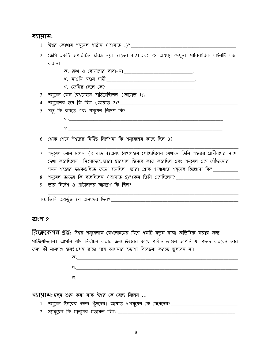#### ব্যায়াম:

| <u>1. ঈশ্বর কোথায় শমূয়েল পাঠান (আয়াত 1)? _________________________________</u>                          |
|------------------------------------------------------------------------------------------------------------|
| 2. জেসি একটি অপরিচিত চরিত্র নয়। রূতের 4:21 এবং 22 অধ্যায় দেখুন। পারিবারিক লাইনটি লক্ষ                    |
| করুন।                                                                                                      |
| ক. রুখ ও বোয়াসের বাবা-মা ______________________________.                                                  |
|                                                                                                            |
|                                                                                                            |
| 3. শমূয়েল কেন বৈৎলেহমে পাঠিয়েছিলেন (আয়াত 1)? ________________________________                           |
|                                                                                                            |
| 5. প্রভু কি করতে এবং শমূয়েল নির্দেশ কি?                                                                   |
|                                                                                                            |
|                                                                                                            |
| <u>6. শ্লোক শেষে ঈশ্বরের নির্দিষ্ট নির্দেশনা কি শমূয়েলের কা</u> ছে ছিল 3? _______________________________ |
|                                                                                                            |
| 7. শমূয়েল মেনে চলেন (আয়াত 4)এবং বৈৎলেহমে পৌঁছেছিলেন যেথানে তিনি শহরের প্রাচীনদের সাথে                    |
| দেখা করেছিলেন। নিঃসন্দেহে, তারা দ্বারপাল হিসেবে কাজ করেছিল এবং শমূয়েল এসে পৌঁছানোর                        |
| সময় শহরের ফটকগুলিতে জড়ো হয়েছিল। তারা শ্লোক 4 আয়াত শমূয়েল জিজ্ঞাসা কি? __________                      |
|                                                                                                            |
|                                                                                                            |
|                                                                                                            |
|                                                                                                            |

#### **অংশ 2**

**বিদ্লেকেশন প্রশ্ন:** ঈশ্বর শমূয়েলকে বেথলেহেমের যিশে একটি নতুন রাজা অভিষিক্ত করার জন্য পাঠিমেছিলেন। আপনি যদি নির্বাচন করার জন্য ঈশ্বরের কাছে পাঠান, তাহলে আপনি যা পছন্দ করবেন তার জন্য কী মানদণ্ড হবে? প্রথম রাজা সঙ্গে আপনার হতাশা বিবেচনা করতে ভুলবেন না।

| -005 |  |  |
|------|--|--|
| -    |  |  |
|      |  |  |

व्रायाम: एलून শুরু করা যাক ঈশ্বর কে বেছে নিলেন ...

- 
- 2. স্যামুয়েল কি মানুষের মতামত ছিল? \_\_\_\_\_\_\_\_\_\_\_\_\_\_\_\_\_\_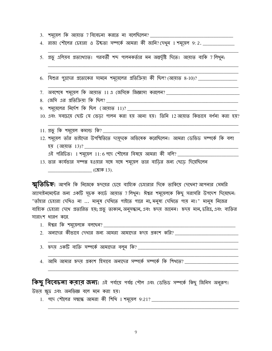<u>3. শম্মেল কি আয়াত 7 বিবেচনা করতে না বলেছিলেন? \_\_\_\_\_\_\_\_\_\_\_\_\_\_\_\_\_\_\_\_\_\_\_\_\_\_\_\_\_\_\_\_\_</u>

4. রাজা শৌলের চেহারা ও উচ্চতা সম্পর্কে আমরা কী জানি? দেখুন 1 শমূয়েল 9:2. \_\_\_\_\_\_\_\_\_\_\_\_

5. প্রভু এলিয়ব প্রত্যাখ্যাত। পরবর্তী শব্দ পালনকর্তার মন অন্তর্দৃষ্টি দিতে। আয়াত বাকি 7 লিখুন:

6. যিশুর পুত্রদের প্রত্যেকের সামনে শম্মেলের প্রতিক্রিয়া কী ছিল? (আয়াত 8-10)? \_\_\_\_\_\_\_\_\_\_\_

7. অবশেষে শমূয়েল কি আয়াত 11 এ জেসিকে জিজ্ঞাসা করলেন? \_\_\_\_\_\_\_\_\_\_\_\_\_\_\_\_\_\_\_\_\_\_\_\_\_

9. শম্মেলের নির্দেশ কি ছিল (আয়াত 11)?

10. এবং সবচেয়ে ছোট যে ভেড়া পালন করা হয় আনা হয়। তিনি 12 আয়াত কিভাবে বর্ণনা করা হয়?

11. প্রভূ কি শম্মেল কমান্ড কি? \_\_\_\_\_\_

।2. শমূয়েল তাঁর ভাইদের উপস্থিতিতে দামূদকে অভিষেক করেছিলেন। আমরা ডেভিড সম্পর্কে কি বলা হয় (আয়াত 13)? \_\_\_\_\_\_

 $\overline{12}$ ই পরিচিত। 1 শমূয়েল 11:6 পদে শৌলের বিষয়ে আমরা কী বলি? \_\_\_\_\_\_\_\_\_

13. তার কার্যভার সম্পন্ন হওয়ার সঙ্গে সঙ্গে শমুয়েল তার বাডির জন্য ছেডে দিয়েছিলেন  $\begin{array}{cccccc} \hline \end{array}$  (শ্লোক 13).

স্মৃতিচিহ্ন: আপনি কি নিজেকে হৃদয়ের চেয়ে বাহ্যিক চেহারার দিকে তাকিয়ে দেখেন? আপনার মেমরি অ্যাসাইনমেন্টের জন্য একটি সূচক কার্ডে আয়াত 7 লিথুন। ঈশ্বর শময়েলকে কিছু সরাসরি উপদেশ দিয়েছেন: "তাঁহার চেহারা দেখিও না ... মানুষ দেখিতে পাইতে পারে না, মনুষ্য দেখিতে পায় না।" মানুষ নিজের বাহ্যিক চেহারা দেখে প্রতারিত হয়; প্রভু তাকান, অনুসন্ধান, এবং হৃদয় জানেন। হৃদয় মান, চরিত্র, এবং ব্যক্তির সারাংশ ধারণ করে.

- 
- 
- 3. হৃদয় একটি ব্যক্তি সম্পর্কে আমাদের বলুন কি? \_\_\_\_\_\_\_\_\_\_\_\_\_\_\_\_\_\_\_\_\_\_\_\_\_\_\_\_\_\_\_\_\_
- 4. আমি আমার হৃদয় প্রকাশ হিসাবে অন্যদের সম্পর্কে সম্পর্কে কি শিথতে?

**কিছু বিবেচনা করার জন্য:** এই পর্যায়ে পর্যন্ত শৌল এবং ডেভিড সম্পর্কে কিছু জিনিস অনুরূপ।

উভয় ক্ষুদ্র এবং অনভিজ্ঞ বলে মনে করা হয়।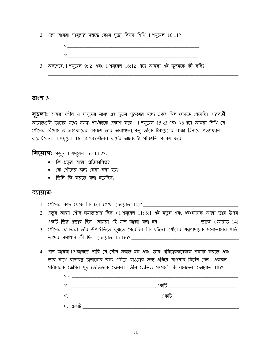2. পদে আমরা দায়ূদের সম্বন্ধে কোন দুটো বিষয় শিথি 1 শমূয়েল 16:11?

<u>3. অবশেষে, 1 শমূয়েল 9: 2 এবং 1 শমূয়েল 16:12 পদে আমরা এই দুজনকে কী বলি? \_\_\_\_\_\_\_\_\_\_\_\_\_\_</u>

#### <u> অংশ 3</u>

**সূচনা:** আমরা শৌল ও দায়ূদের মধ্যে এই দুজন পুরুষের মধ্যে একই মিল দেখতে পেয়েছি। পরবর্তী আয়াতগুলি তাদের মধ্যে সমস্তু পার্থক্যকে প্রকাশ করে। 1 শমূয়েল 15:২3 এবং ২6 পদে আমরা শিথি যে শৌলের বিদ্রোহ ও অহংকারের কারণে তার অবাধ্যতা, প্রভু তাঁকে ইস্রায়েলের রাজা হিসাবে প্রত্যাখ্যান করেছিলেন। 1 শমূয়েল 16: 14-23 শৌলের কর্মের আরেকটা পরিণতি প্রকাশ করে.

**नित्याग:** १ जून 1 गअ़त्य़न 16: 14-23.

- কি প্রভুর আত্মা প্রতিস্থাপিত?
- কে শৌলের জন্য সেবা বলা হয়?
- তিনি কি করতে বলা হয়েছিল?

#### ব্যায়াম:

- 1. শৌলের কাছ থেকে কি চলে গেছে (আয়াত 14)? \_\_\_\_\_\_\_
- 2. প্রভুর আত্মা শৌল ক্ষমতাপ্রাপ্ত ছিল (1 শমূয়েল 11: 6)। এই নতুন এবং ধ্বংসাত্মক আত্মা তার উপর
- 3. শৌলের চাকররা তাঁর উপস্থিতিতে বুঝতে পেরেছিল কি ঘটছে। শৌলের যন্ত্রণাদায়ক মনোভাবের প্রতি তাদের সমাধান কী ছিল (আয়াত 15-16)? \_\_\_\_\_\_\_\_\_\_\_\_
- 4. পদে আমরা 17 জানতে পারি যে, শৌল সম্মত হন এবং তার পরিচারকদেরকে শনাক্ত করতে এবং তার সাথে বাদ্যযন্ত্র চালানোর জন্য এগিয়ে যাওয়ার জন্য এগিয়ে যাওয়ার নির্দেশ দেন। একজন পরিচারক জেসির পুত্র ডেভিডকে চেনেন। তিনি ডেভিড সম্পর্কে কি বলেছেন (আয়াত 18)?

| ক  |         |
|----|---------|
| 25 | , একটি  |
| গ. | একটি    |
|    | ঘ. একটি |
|    |         |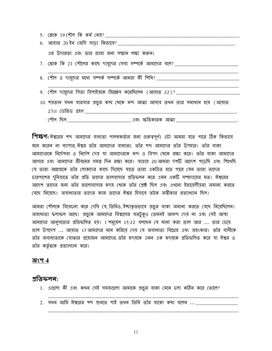| 5. শ্লোক 19 শৌল কি কৰ্ম নেয়?                                                   |
|---------------------------------------------------------------------------------|
| 6. আয়াত 20 ইন জেসি সাড়া কিভাবে? _________                                     |
| এর উদারতা এবং তার রাজা জন্য সম্মান লক্ষ্য করুন।                                 |
|                                                                                 |
|                                                                                 |
| $8.$ শৌল ও দায়ূদের মধ্যে সম্পর্ক সম্পর্কে আমরা কী শিখি? _____________          |
|                                                                                 |
| 9. শৌল দামূদের পিতা যিশাইয়কে জিজ্ঞেস করেছিলেন (আয়াত 22)? ______               |
| 10. শয়তান যথন বারবার প্রভুর কাছ থেকে মন্দ আত্মা আসবে তথন তার সমাধান হবে (আয়াত |
| 23)। ডেভিড গ্রহণ                                                                |
| <u>(শীল ছিল _______________________</u> _______ এবং স্কতিকারক আত্মা __________  |

**শিক্ষণ:** ঈশ্বরের শব্দ আমাদের বাধ্যতা পালনকর্তার জন্য গুরুত্বপূর্ণ। এটা আমরা হতে পারে ঠিক কিভাবে মনে করেন না ব্যাপার ঈশ্বর তাঁর আমাদের বাধ্যতা. তাঁর শব্দ আমাদের তাঁর উপহার। তাঁর বাক্য আমাদেরকে নির্দেশনা ও নির্দেশ দেয় যা আমাদেরকে মন্দ ও বিপদ থেকে রক্ষা করে। তাঁর বাক্য আমাদের আসার এবং আমাদের জীবনের সমস্তু দিন রক্ষা করে। যাত্রায় 20 আমরা দশটি আদেশ পডেছি এবং শিথেছি যে তারা আল্লাহকে তাঁর লোকদের কাছে দিয়েছে যাতে তারা একত্রিত হতে পারে যেন তারা তাদের চারপাশের দুনিয়াতে তাঁর প্রতি তাদের ভালবাসার প্রতিফলন করে এমন একটি সম্প্রদায়ের মত। ঈশ্বরের আদেশ তাদের জন্য তাঁর ভালোবাসার হৃদয় থেকে তাঁর শ্রেষ্ঠ ছিল এবং এথনো ইস্রায়েলীয়রা অমান্য করতে বেছে নিয়েছে। অবাধ্যতার তাদের কাজ তাদের ঈশ্বর হিসাবে তাঁকে অশ্বীকার প্রত্যাখ্যান ছিল।

আমরা শৌলকে বিবেচনা করে দেখি যে, তিনিও, ইচ্ছাকৃতভাবে প্রভুর বাক্য অমান্য করতে বেছে নিয়েছিলেন। অবাধ্যতা ফলাফল আছে। প্রভুকে আমাদের বিশ্বাসের যতটুকুও তেমনই আনন্দ দেয় না এবং সেই আস্থা আমাদের আনুগত্যের প্রতিফলিত হয়। 1 শম্য়েল 15:22 বলছেন যে মান্য করা ভাল আর ... তার চেয়ে ভাল উপদেশ ... আয়াত ২3 আমাদের মনে করিয়ে দেয় যে অবাধ্যতা বিদ্রোহ এবং অহংকার। তাঁর বাণীকে তাঁর অবাধ্যতাকে বোঝার প্রযোজন আমাদের তাঁর হৃদয়কে এমন এক হৃদয়কে প্রতিফলিত করে যা ঈশ্বর ও তাঁর কর্তৃত্বকে প্রত্যাখ্যান করে।

#### অংশ 4

#### <u>প্ৰতিফলন:</u>

- 1. এগুলো কী এবং কথন সেই সময়গুলো আমাকে প্রভুর বাক্য মেনে চলা কঠিন করে তোলে?
- 2. যথন আমি ঈশ্বরের শব্দ শুনতে পাই তথন তিনি তাঁর বাক্যে কথা বলেন ... \_\_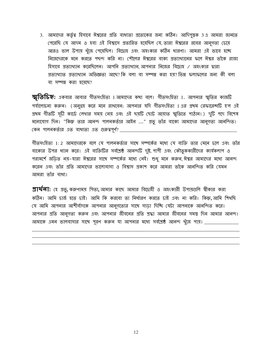3. আমাদের কর্তৃত্ব হিসাবে ঈশ্বরের প্রতি বাধ্যতা প্রত্যেকের জন্য কঠিন। আদিপুস্তক 3 এ আমরা জানতে পেরেছি যে আদম ও হবা এই বিশ্বাসে প্রতারিত হয়েছিল যে তারা ঈশ্বরের রবের আনুগত্য চেয়ে আরও ভাল উপায় খুঁজে পেয়েছিল। বিদ্রোহ এবং অহংকার কঠিন ধারণা। আমরা এই ভাবে হচ্ছে নিজেদেরকে মনে করতে পছন্দ করি না। শৌলের ঈশ্বরের বাক্য প্রত্যাখ্যানের ফলে ঈশ্বর তাঁকে রাজা হিসাবে প্রত্যাখ্যান করেছিলেন। আপনি প্রত্যাখ্যান আপনার নিজের বিদ্রোহ / অহংকার দ্বারা প্রত্যাখ্যাত প্রত্যাখ্যান অভিজ্ঞতা আছে? কি বলা বা সম্পন্ন করা হয়? ভিন্ন ফলাফলের জন্য কী বলা বা সম্পন্ন করা হয়েছে?

 $\overline{\mathbf{\mathcal{H}}}$ তি $\overline{\mathbf{b}}$ হ্ন: একবার আবার গীতসংহিতা 1 আমাদের কথা বলে। গীতসংহিতা 1. আপনার স্মৃতির কাজটি পর্যালোচনা করুন। (অনুগ্রহ করে মনে রাখবেন: আপনার যদি গীতসংহিতা 1 এর প্রথম রেফারেন্সটি হ'ল এই প্রথম গীতটি সূচী কার্ডে লেখার সময় নেয় এবং এই ছয়টি ছোট আয়াত স্মৃতিতে পাঠান।) দুটি পদে বিশেষ মনোযোগ দিন। "কিন্তু তার আনন্দ পালনকর্তার আইন ..." প্রভু তাঁর বাক্যে আমাদের আনুগত্য আনন্দিত। কেন পালনকর্তার এত বাধ্যতা এত গুরুত্বপূর্ণ? \_\_\_

গীতসংহিতা 1: 2 আমাদেরকে বলে যে পালনকর্তার সাথে সম্পর্কের মধ্যে যে ব্যক্তি তার মেনে চলে এবং তাঁর বাক্যের উপর ধ্যান করে। এই ব্যক্তিটির সর্বশ্রেষ্ঠ আনন্দটি দুষ্ট, পাপী এবং কৌতুককারীদের কার্যকলাপ ও পরামর্শে জডিত নয়-যারা ঈশ্বরের সাথে সম্পর্কের মধ্যে নেই। শুধু মনে করুন, ঈশ্বর আমাদের মধ্যে আনন্দ করেন এবং তাঁর প্রতি আমাদের ভালোবাসা ও বিশ্বাস প্রকাশ করে আমরা তাঁকে আনন্দিত করি যেমন আমরা তাঁর বাধ্য।

**প্রার্থনা:** হে প্রভু, করুণাময় পিতা, আমার কাছে আমার বিদ্রাহী ও অহংকারী উপায়গুলি স্বীকার করা কঠিন। আমি চার্জ হতে চাই। আমি কি করবো তা নির্ধারণ করতে চাই এবং না করি। কিন্তু, আমি শিখছি যে আমি আপনার আশীর্বাদকে আপনার আনুগত্যের সাথে সাডা দিচ্ছি যেটা আপনাকে আনন্দিত করে। আপনার প্রতি আনুগত্য করুন এবং আপনার জীবনের প্রতি শ্রদ্ধা আমার জীবনের সমস্ত দিন আমার আনন্দ। আমাকে এমন ভালবাসার সাথে পূরণ করুন যা আপনার মধ্যে সর্বশ্রেষ্ঠ আনন্দ খুঁজে পায়। \_\_\_\_\_\_\_\_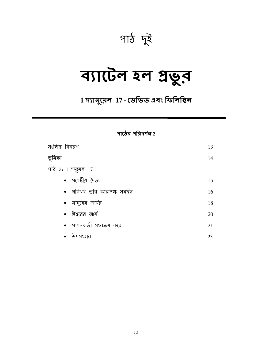

# ব্যাটেল হল প্ৰভুব

1 স্যামুয়েল 17 - ডেভিড এবং ফিলিস্তিন

#### পাঠের পরিদর্শন $2$

| সংক্ষিপ্ত বিবরণ              | 13 |
|------------------------------|----|
| ভূমিকা                       | 14 |
| পাঠ 2: 1 শমূয়েল 17          |    |
| • পলেষ্টীয় দৈত্য            | 15 |
| • গলিথথ তাঁর আত্মপক্ষ সমর্থন | 16 |
| •  মানুষের আর্মর             | 18 |
| •  ঈশ্বরের আর্ম              | 20 |
| •   পালনকর্তা  সংরক্ষণ  করে  | 21 |
| উপসংহার                      | 23 |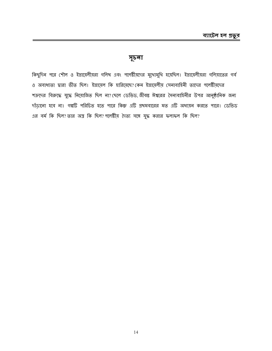#### সূচলা

কিছুদিন পরে শৌল ও ইস্রায়েলীয়রা গলিথ এবং পলেষ্টীয়দের মুথোমুথি হয়েছিল। ইস্রায়েলীয়রা গলিয়াতের গর্ব ও অবাধ্যতা দ্বারা ভীত ছিল। ইস্রায়েল কি হারিয়েছে?কেন ইস্রায়েলীয় সেনাবাহিনী তাদের পলেষ্টীয়দের শত্রুদের বিরুদ্ধে যুদ্ধে নিয়োজিত ছিল না? ছেলে ডেভিড, জীবন্ত ঈশ্বরের সৈন্যবাহিনীর উপর আনুষ্ঠানিক জন্য দাঁড়ানো হবে না। গল্পটি পরিচিত হতে পারে কিন্তু এটি প্রথমবারের মত এটি অধ্যয়ন করতে পারে। ডেভিড এর বর্ম কি ছিল? তার অস্ত্র কি ছিল? পলেষ্টীয় দৈত্য সঙ্গে যুদ্ধ করার ফলাফল কি ছিল?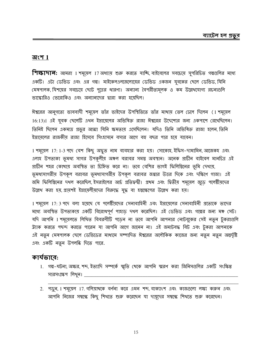#### অংশ  $1$

শিক্ষাদা**ন:** আমরা 1 শমূয়েল 17 অধ্যায় শুরু করতে যাঙ্কি, বাইবেলের সবচেয়ে সুপরিচিত গল্পগুলির মধ্যে একটি। এটা ডেভিড এবং এর গল্প। মাইকেলএলজেলোয়ের ডেভিড একজন যুবকের ছেলে ডেভিড, যিনি মেষপালক, যিশয়ের সবচেয়ে ছোট পুত্রের ধারণা। অন্যান্য বৈপরীত্যমূলক ও কম উল্লেখযোগ্য রচনাগুলি ভাস্কোরিও ভেরোকিও এবং অন্যান্যদের দ্বারা করা হয়েছিল।

ঈশ্বরের আনগত্যে ভাববাদী শম্মেল তাঁর ভাইদের উপস্থিতিতে তাঁর মাথায় তেল ঢেলে দিলেন (1 শমূয়েল 16:13)। এই যুবক ছেলেটি এথন ইস্রায়েলের অভিষিক্ত রাজা ঈশ্বরের উদ্দেশ্যের জন্য একপাশে রেথেছিলেন। তিনিই ছিলেন একমাত্র প্রভুর আত্মা যিনি ক্ষমতায় এসেছিলেন। যদিও তিনি অভিষিক্ত রাজা হলেন, তিনি ইস্রায়েলের রাজকীয় রাজা হিসেবে সিংহাসনে বসার আগে বহু বছর পার হয়ে যাবেন।

1 শমূয়েল 17: 1-3 পদে বেশ কিছু অদ্ভুত নাম ব্যবহার করা হয়। সোকোহ, ইফিস-দামামিন, আজেকহ এবং এলাহ উপত্যকা ভূমধ্য সাগর উপকূলীয় অঞ্চল বরাবর সমস্তু অবস্থান। অনেক প্রাচীন বাইবেল মানচিত্র এই গ্রাচীন শহর কোখায় অবস্থিত তা চিহ্নিত করে না। তবে বেশির ভাগই ফিলিস্তিনের ভূমি দেখায়, ভূমধ্যসাগরীয় উপকূল বরাবর ভূমধ্যসাগরীয় উপকূল বরাবর জগ্নার উত্তর দিকে এবং দক্ষিণে গাজা। এই জমি ফিলিস্তিনের দখল করেছিল, ইসরাইলের আর্চ প্রতিদ্বন্দ্বী। প্রথম এবং দ্বিতীয় শমূয়েল জুড়ে পলেষ্টীয়দের উল্লেখ করা হয়, গ্রায়শই ইস্রায়েলীয়দের বিরুদ্ধে যুদ্ধ বা হস্তক্ষেপের উল্লেখ করা হয়।

1 শস্মেল 17: 3 পদে বলা হয়েছে যে পলেষ্টীয়দের সেনাবাহিনী এবং ইস্রায়েলের সেনাবাহিনী প্রত্যেকে তাদের মধ্যে অবস্থিত উপত্যকায় একটি বিরোধপূর্ণ পাহাড় দথল করেছিল। এই ডেভিড এবং গল্পের জন্য মঞ্চ সেট। যদি আপনি 1 শমূয়েলতে লিখিত বিবরণীটি পডেন না তবে আপনি আপনার নোটবুকের সেই নতুন টুকরাগুলি ট্ট্যাক করতে পছন্দ করতে পারেন যা আপনি আগে জানেন না। এই জমাটবদ্ধ বিট এবং টুকরা আপনাকে এই নতুন মেষপালক ছেলে ডেভিডের মাধ্যমে সম্পাদিত ঈশ্বরের অলৌকিক কাজের জন্য নতুন নতুন অন্তর্দৃষ্টি এবং একটি নতুন উপলব্ধি দিতে পারে.

#### কাৰ্যভাবে:

- 1. গল্প-ঘটনা, অক্ষর, শব্দ, ইত্যাদি সম্পর্কে স্মৃতি থেকে আপনি স্মরণ করা জিনিসগুলির একটি সংক্ষিপ্ত সারসংক্ষেপ লিথুন। \_\_\_
- 2. পড়ুন, 1 শমূয়েল 17. গলিয়াখকে বর্ণনা করে এমন শব্দ, বাক্যাংশ এবং কাজগুলো লক্ষ্য করুন এবং আপনি নিজের সম্বন্ধে কিছু শিথতে শুরু করেছেন যা দায়ূদের সম্বন্ধে শিথতে শুরু করেছেন।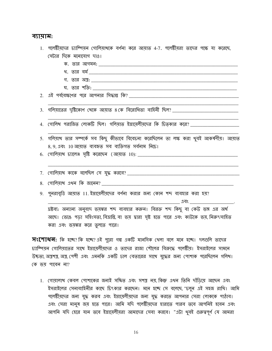#### ব্যায়াম:

| 1. পলেষ্টীয়দের চ্যাম্পিয়ন গোলিয়াথকে বর্ণনা করে আয়াত 4-7. পলেষ্টীয়রা তাদের পক্ষে যা করেছে, |  |  |  |  |  |
|------------------------------------------------------------------------------------------------|--|--|--|--|--|
| সেটার দিকে মনোযোগ দাও।                                                                         |  |  |  |  |  |
| ক জাব আগমন $\cdot$                                                                             |  |  |  |  |  |

- 
- $\mathfrak{N}$ . তার অস্ত্র:  $\mathfrak{N}$ :  $\mathfrak{N}$
- ঘ. তার শক্তি:

 $3.$  গলিমাতের দৃষ্টিকোণ থেকে আয়াত ৪ কে বিরোধিতা বাহিনী ছিল? \_\_\_\_\_\_\_\_\_\_\_\_\_\_\_\_\_\_\_\_\_\_\_\_

4. গোলিখ পরাজিত লোকটি ছিল। গলিয়াত ইস্রায়েলীয়দের কি চিত্কার করে? \_\_\_\_\_\_\_\_\_\_\_\_\_

- 5. গলিয়াথ তার সম্পর্কে সব কিছু কীভাবে বিবেচনা করেছিলেন তা লক্ষ করা থুবই আকর্ষণীয়। আয়াত 8,9,এবং 10 আয়াত ব্যবহৃত সব ব্যক্তিগত সৰ্বনাম নিচে।
- 
- 
- 
- 9. পুনরাবৃত্তি আয়াত 11. ইস্রায়েলীয়দের বর্ণনা করার জন্য কোন শব্দ ব্যবহার করা হয়?

দ্রষ্টব্য: অন্যান্য অনুবাদ ভয়ঙ্কর শব্দ ব্যবহার করুন। বিরক্ত শব্দ কিছু বা কেউ ভঙ্গ এর অর্থ আছে। ভেঙে পড়া সহিংসতা, বিত্রান্তি, বা ভয় দ্বারা সৃষ্ট হতে পারে এবং কাউকে ভয়, নিরুৎসাহিত করা এবং ভয়ঙ্কর করে তুলতে পারে।

**সংশোধন:** কি হচ্ছে? কি হচ্ছে? এই পুরো গল্প একটি মানসিক থেলা বলে মনে হচ্ছে। দলগুলি তাদের চ্যাম্পিয়ন গোলিয়াতের সাথে ইস্রায়েলীয়দের ও তাদের রাজা শৌলের বিরুদ্ধে পলেষ্টীয়। ইসরাইলের সামনে উচ্চতা, অস্ত্রশস্ত্র, সেশী এবং এমনকি একটি ঢাল বেতারের সাথে যুদ্ধের জন্য পোশাক পরেছিলেন গলিথ। কে ভয পাবেন না?

1. গোয়ালাখ কেবল পোশাকের জন্যই সঙ্কিত এবং সশস্ত্র নয়, কিন্তু এথন তিনি দাঁডিয়ে আছেন এবং ইসরাইলের সেনাবাহিনীর কাছে চিৎকার করছেন। মনে হচ্ছে সে বলেছে, "চলুন এই সহজ রাখি। আমি পলেষ্টীয়দের জন্য যুদ্ধ করব এবং ইস্রায়েলীয়দের জন্য যুদ্ধ করতে আপনার সেরা লোককে পাঠাব। এবং সেরা মানুষ জয় হতে পারে। আমি যদি পলেষ্টীয়দের হারাতে পারব তবে আপনিই হবেন এবং আপনি যদি হেরে যান তবে ইস্রায়েলীয়রা আমাদের সেবা করবে। "এটা থুবই গুরুত্বপূর্ণ যে আমরা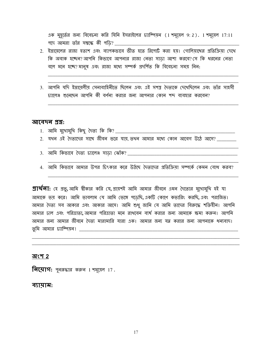এক মুহূর্তের জন্য বিবেচনা করি যিনি ইসরাইলের চ্যাম্পিয়ন (1 শমূয়েল 9:2). 1 শমূয়েল 17:11 পদে আমরা তাঁর সম্বন্ধে কী পডি? \_\_\_\_\_

- 2. ইস্রায়েলের রাজা হতাশ এবং ব্যাপকভাবে ভীত হতে রিপোর্ট করা হয়। গোলিয়াথের প্রতিক্রিয়া দেখে কি অবাক হচ্ছেন? আপনি কিভাবে আপনার রাজা নেতা সাডা আশা করবে? সে কি ধরনের নেতা বলে মনে হচ্ছে? মানুষ এবং রাজা মধ্যে সম্পর্ক প্রদর্শিত কি বিবেচনা সময় নিন:
- 3. আপনি যদি ইস্রায়েলীয় সেনাবাহিনীতে ছিলেন এবং এই সশস্ত্র দৈত্যকে দেখেছিলেন এবং তাঁর সাহসী চ্যালেঞ্জ শুনেছেন আপনি কী বৰ্ণনা করার জন্য আপনার কোন শব্দ ব্যবহার করবেন?

#### আবেদন প্ৰশ্ন:

- 
- 2. যখন এই দৈত্যদের সাখে জীবন ভরে যায় তখন আমার মধ্যে কোন আবেগ উঠে আসে?
- 
- 4. আমি কিভাবে আমার উপর চিৎকার করে উঠড়ে দৈত্যদের প্রতিক্রিয়া সম্পর্কে কেমন বোধ করব?

**প্রার্থলা:** হে প্রভু, আমি শ্বীকার করি যে, প্রায়শই আমি আমার জীবনে এমন দৈত্যের মুখোমুথি হই যা আমাকে ভয় করে। আমি ভাবলাম যে আমি ভেঙ্গে পডেছি, একটি কোণে কভারিং করছি, এবং পরাজিত। আমার দৈত্য সব আকার এবং আকার আসে। আমি শুধু জানি যে আমি তাদের বিরুদ্ধে শক্তিহীন। আপনি আমার ঢাল এবং পরিত্রাতা, আমার পরিত্রাতা মনে রাখবেন ব্যর্থ করার জন্য আমাকে ক্ষমা করুন। আপনি আমার জন্য আমার জীবনে দৈত্য মারামারি যারা এক। আমার জন্য যত্ন করার জন্য আপনাকে ধন্যবাদ। তুমি আমার চ্যাম্পিয়ন! \_\_\_\_\_\_\_\_\_\_\_\_\_\_\_\_

#### অংশ 2

**নিয়োগ:** পুনরুদ্ধার করুন 1 শমূয়েল 17.

#### ব্যায়াম: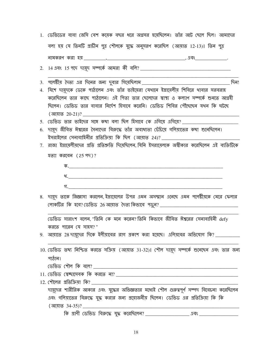| নামকরণ করা হয়                                                                     |  |  |  | . এবং |  |
|------------------------------------------------------------------------------------|--|--|--|-------|--|
| বলা হয় যে তিনটি প্রাচীন পুত্র শৌলকে যুদ্ধে অনুসরণ করেছিল (আয়াত 12-13)। তিন পুত্র |  |  |  |       |  |
| 1. ডেভিডের বাবা জেসি বেশ কয়েক বছর ধরে অগ্রসর হয়েছিলেন। তাঁর আট ছেলে ছিল। আমাদের  |  |  |  |       |  |

 $3.$  পলেষ্টীয় দৈত্য এর দিনের জন্য দুবার গিয়েছিলাম \_\_\_\_\_\_\_\_\_ ि । अन्तर्गति । अन्तर्गति । अन्तर्गति । अन्तर्गति । अन्तर्गति । अन्तर्गति । अन्तर्गति । अन्तर्गति । अ

- 4. যিশে দায়ূদকে ডেকে পাঠালেন এবং তাঁর ভাইয়েরা যেখানে ইস্রায়েলীয় শিবিরে থাবার সরবরাহ করেছিলেন তার কাছে পাঠালেন। এই পিতা তার ছেলেদের স্বাস্থ্য ও কল্যাণ সম্পর্কে শুনতে আগ্রহী চ্চিলেন। ডেভিড তার বাবার নির্দেশ হিসাবে করেনি। ডেভিড শিবির পৌঁছেছেন যথন কি ঘটছে (আয়াত  $20-21$ )?
- 5. ডেভিড তার ভাইদের সঙ্গে কথা বলা ছিল হিসাবে কে এগিয়ে এগিয়ে? \_\_\_\_\_\_\_\_\_\_\_
- 6. দায়দ জীবিত ঈশ্বরের সৈন্যদের বিরুদ্ধে তাঁর অবাধ্যতা চেঁচিয়ে গলিয়াতের কথা শুনেছিলেন। ইসরাইলের সেনাবাহিনীর প্রতিক্রিয়া কি ছিল (আয়াত 24)?
- 7. রাজা ইস্রায়েলীয়দের প্রতি প্রতিশ্রুতি দিয়েছিলেন যিনি ইসরায়েলকে অস্বীকার করেছিলেন এই ব্যক্তিটিকে  $30$  क़बादन (25 भन)?

৪. দায়ূদ তাকে জিজ্ঞাসা করলেন, ইস্রায়েলের উপর এমন অসম্মান এনেছে এমন পলেষ্টীয়কে মেরে ফেলার লোকটির কি হবে? ডেভিড 26 আয়াত দৈত্য কিভাবে পড়ুন? \_\_\_\_\_\_\_\_\_\_\_\_\_\_\_\_\_\_\_\_\_\_\_\_\_\_\_\_\_\_

করতে পারেন যে সাহস?"

9. আয়াতে 28 দায়ূদের দিকে ইলীয়াবের রাগ প্রকাশ করা হয়েছে। এলিয়বের অভিযোগ কি? \_\_\_\_\_\_\_\_\_\_

| 10. ডেভিড তথ্য নিশ্চিত করতে সক্রিয় (আয়াত 31-32)। শৌল দায়ূদ সম্পর্কে শুনেছেন এবং তার জন্য |
|---------------------------------------------------------------------------------------------|
| পাঠান।                                                                                      |
| ডেভিড শৌল কি বলে?                                                                           |
| 11. ডেভিড স্বেচ্ছাসেবক কি করতে না?                                                          |
| 12. শৌলের প্রতিক্রিয়া কি?                                                                  |
| দায়ূদের শারীরিক আকার এবং যুদ্ধের অভিজ্ঞতার মধ্যেই শৌল গুরুত্বপূর্ণ সম্পদ বিবেচনা করেছিলেন  |
| এবং গলিয়াতের বিরুদ্ধে যুদ্ধ করার জন্য প্রয়োজনীয় ছিলেন। ডেভিড এর প্রতিক্রিয়া কি কি       |
| <sup>'</sup> আয়াত 34-35)?                                                                  |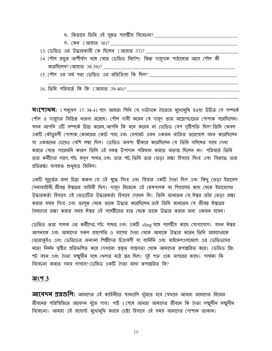$\overline{H}$ ংশোধন: 1 শমূয়েল 17:38-41 পদে আমরা শিথি যে দাউদকে দৈত্যের মুথোমুথি হওয়া উচিত সে সম্পর্কে শৌল ও দায়ূদের বিভিন্ন ধারণা রয়েছে। শৌল দাবী করেন যে দায়ূদ তার অস্ত্রোপচারের পোশাক পরেছিলেন। যথন আপনি এটি সম্পর্কে চিন্তা করেন, আপনি কি মনে করেন না ডেভিড বেশ দৃষ্টিশক্তি ছিল? তিনি কেবল একটি কৌতূহলী পোশাক, কোমরের কোট পরা, এবং হেলমেট এমন একজন ব্যক্তির তরোয়াল বহন করেছিলেন যা একজনের চেয়েও বেশি লম্বা ছিল। ডেভিড অবশ্য স্বীকার করেছিলেন যে তিনি গলিখের সাথে দেখা করতে যেতে পারেননি কারণ তিনি এই সমস্ত উপাদান পরিধান করতে অভ্যস্ত ছিলেন না। পরিবর্তে তিনি তার কর্মীদের লাগে, পাঁচ মসৃণ পাখর, এবং তার শট, তিনি তার ভেড়া রক্ষা হিসাবে সিংহ এবং বিরুদ্ধে তার প্রতিরক্ষা ব্যবহৃত শুধুমাত্র জিনিস।

একটি মুহূর্তের জন্য চিন্তা করুন যে এই যুদ্ধে সিংহ এবং বিয়ার একটি দৈত্য ছিল এবং কিছু ভেড়া ইস্রায়েল সেনাবাহিনী, জীবন্ত ঈশ্বরের বাহিনী ছিল। দায়ূদ নিজেকে এই মেষপালক বা শিয়ালের কাছ থেকে ইস্রায়েলের উদ্ধারকর্তা হিসাবে এই ভেডাটির উদ্ধারকর্তা হিসাবে দেখেন নি। তিনি জানতেন যে, ঈশ্বর তাঁর ভেডা রক্ষা করার সময় সিংহ এবং ভালুক খেকে তাকে উদ্ধার করেছিলেন, তাই তিনি জানতেন যে জীবন্ত ঈশ্বরের সৈন্যদের রক্ষা করার সময ঈশ্বর এই পলেষ্টীযের হাত থেকে তাকে উদ্ধার করার জন্য একজন হবেন।

ডেভিড তার পালক এর কর্মীদের, পাঁচ পাখর, এবং একটি sling সঙ্গে পলেষ্টীয় কাছে যোগাযোগ। যখন ঈশ্বর আপনাকে এবং আমাদের সকল প্রজাপতি ও মাপের দৈত্য খেকে আমাকে উদ্ধার করেন তিনি আমাদেরকে ভেরোকুইও এবং ডেভিডের অন্যান্য শিল্পীদের চিত্রাবলী যা বার্নিনি এবং মাইকেলএলজেলো এর ডেভিডসের মতো নির্মম সৃষ্টির প্রতিফলিত করে দেখানো প্রকৃত বাস্তবতা খেকে আমাদের রূপান্তরিত করে। ডেভিড স্লিং শট বহন এবং দৈত্য সম্মুখীন সঙ্গে থেলার মাঠ স্তর ছিল। দুই শত্রু একে অপরের কাছে। পার্থক্য কি বিবেচনা করতে সময় লাগবে? ডেভিড একটি দৈত্য মধ্যে রূপান্তরিত কি?

#### $\overline{a}$ ংশ  $3$

**আবেদন প্রশ্নগুলি:** আমাদের এই কাহিনীতে স্থানগুলি খুঁজতে হবে যেখানে আমরা আমাদের নিজের জীবনের পরিস্থিতিতে আবেদন খুঁজে পাব। পার্ট 1 শেষে আমরা আমাদের জীবনে কি দৈত্য সম্মুখীন সম্মুখীন বিবেচনা। আমরা এই জায়ান্ট মুথোমুখি করার চেষ্টা হিসাবে এই সময় আমাদের পোশাক তাকান।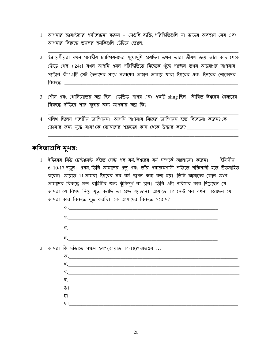- 1. আপনার জায়ান্টদের পর্যালোচনা করুন সেগুলি ব্যক্তি পরিস্থিতিগুলি যা তাদের অবস্থান নেয় এবং আপনার বিরুদ্ধে ভয়ঙ্কর হুমকিগুলি চেঁচিয়ে তোলে:
- 2. ইস্রায়েলীয়রা যখন পলেষ্টীয় চ্যাম্পিয়নদের মুখোমুখি হয়েছিল তথন তারা ভীষণ ভয়ে তাঁর কাছ থেকে দৌডে গেল (24)। যথন আপনি এমন পরিস্থিতিতে নিজেকে থুঁজে পাচ্ছেন তথন আচরণের আপনার প্যাটার্ন কী? এটি সেই দৈত্যদের সাথে সংঘর্ষের আহ্বান জানায় যারা ঈশ্বরের এবং ঈশ্বরের লোকেদের বিরুদ্ধে।
- 3. শৌল এবং গোলিয়াতের অস্ত্র ছিল। ডেভিড পাখর এবং একটি sling ছিল। জীবিত ঈশ্বরের সৈন্যদের
- 4. গলিখ ছিলেন পলেষ্টীয় চ্যাম্পিয়ন। আপনি আপনার নিজের চ্যাম্পিয়ন হতে বিবেচনা করেন?কে তোমার জন্য যুদ্ধে যায়? কে তোমাদের শত্রুদের কাছ থেকে উদ্ধার করে? \_\_\_\_\_\_\_\_\_\_\_

#### কবিতাগুলি মুখস্ত:

 $2.$ 

1. ইফিষের নিউ টেস্টামেন্ট বইতে সেন্ট পল বর্ম ঈশ্বরের বর্ম সম্পর্কে আলোচনা করেন। ইফিষীয় 6: 10-17 পড়ুৰ। প্রথম, তিনি আমাদের প্রভু এবং তাঁর পরাক্রমশালী শক্তিতে শক্তিশালী হতে উত্সাহিত করেন। আয়াত 11 আমরা ঈশ্বরের সব বর্ম স্থাপন করা বলা হয়। তিনি আমাদের কোন অংশ আমাদের বিরুদ্ধে মন্দ বাহিনীর জন্য ঝুঁকিপূর্ণ না চান। তিনি এটা পরিষ্কার করে দিয়েছেন যে আমরা যে বিপদ নিয়ে যুদ্ধ করছি তা হচ্ছে শয়তান। আয়াতে 12 সেন্ট পল বর্ণনা করেছেন যে আমরা কার বিরুদ্ধে যুদ্ধ করছি। কে আমাদের বিরুদ্ধে সংগ্রাম?

| আমরা কি দাঁডাতে সক্ষম হব?(আয়াত 14-18)?অতএব |  |
|---------------------------------------------|--|
|                                             |  |
|                                             |  |
|                                             |  |
|                                             |  |
|                                             |  |
|                                             |  |
| ছ। এক সংখ্যা আৰু স                          |  |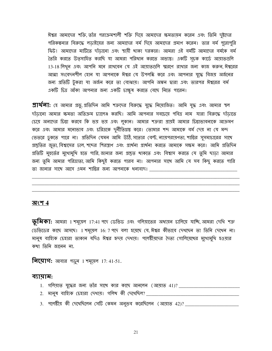ঈশ্বর আমাদের শক্তি, তাঁর পরাক্রমশালী শক্তি দিয়ে আমাদের ক্ষমতায়ন করেন এবং তিনি দুষ্টদের পরিকল্পনার বিরুদ্ধে লডাইয়ের জন্য আমাদের বর্ম দিয়ে আমাদের প্রমাণ করেন। তার বর্ম পুরোপুরি ফিট! আমাদের মাটিতে দাঁড়ানো এবং স্থায়ী থাকা দরকার। আমরা এই বর্মটি আমাদের বর্মকে বর্ম তৈরি করতে উত্সাহিত করছি যা আমরা পরিধান করতে অভ্যন্ত। একটি সূচক কার্ডে আয়াতগুলি 13-18 লিথুন এবং আপনি মনে রাথবেন যে এই আয়াতগুলি স্মরণে রাথার জন্য কাজ করুন, ঈশ্বরের আত্মা সংবেদনশীল হোন যা আপনাকে ঈশ্বর যে উপলব্ধি করে এবং আপনার যুদ্ধে বিজয় অর্জনের জন্য প্রতিটি টুকরা যা অর্জন করে তা বোঝায়। আপনি অঙ্কন দ্বারা এবং তারপর ঈশ্বরের বর্ম একটি চিত্র আঁকা আপনার জন্য একটি চাক্ষুষ করতে বেছে নিতে পারেন।

**প্রার্থলা:** হে আমার প্রভু, প্রতিদিন আমি শত্রুদের বিরুদ্ধে যুদ্ধে নিয়োজিত। আমি যুদ্ধ এবং আমার স্থল দাঁডানো আমার ক্ষমতা অতিক্রম চ্যালেঞ্জ করছি। আমি আপনার সবচেয়ে পবিত্র নাম যারা বিরুদ্ধে দাঁডাতে চেয়ে অন্যদের চিন্তা করবে কি ভয় ভয় এবং লুকান। আমার শত্রুরা প্রায়ই আমার চিন্তাভাবনাকে আক্রমণ করে এবং আমার মনোভাব এবং চরিত্রকে দুর্নীতিগ্রস্ত করে। তোমার শব্দ আমাকে বর্ম দেয় না যে মন্দ ভেত্তরে ঢুকতে পারে না। প্রতিদিন যেমন আমি উঠি, সত্যের বেল্ট, ন্যায়পরায়ণতা, শান্তির সুসমাচারের সাথে গ্রস্তুতির জুতা, বিশ্বাসের ঢাল, শব্দের শিরস্ত্রাণ এবং প্রার্থনা প্রার্থনা করতে আমাকে সক্ষম করে। আমি প্রতিদিন প্রতিটি মুহুর্তের মুখোমুখি হতে পারি, জানার জন্য প্রস্তুত থাকতে এবং বিশ্বাস করতে যে তুমি ছাড়া আমার জন্য তুমি আমার পরিত্রাতা, আমি কিছুই করতে পারব না। আপনার সাথে আমি যে সব কিছু করতে পারি তা জানার সাথে আসে এমন শান্তির জন্য আপনাকে ধন্যবাদ।

#### <u> অংশ 4</u>

**ভূমিকা:** আমরা 1 শমূয়েল 17:41 পদে ডেভিড এবং গলিয়াতের অধ্যয়ন চালিয়ে যাচ্ছি, আমরা দেখি শত্রু (ডভিডের কাছে আসছে। 1 শমূয়েল 16: 7 পদে বলা হয়েছে যে, ঈশ্বর কীভাবে দেখছেন তা তিনি দেখেন না। মানুষ বাহ্যিক চেহারা তাকান যদিও ঈশ্বর হৃদয় দেখায়। পলেষ্টীয়দের দৈত্য গোলিয়েথের মুথোমুথি হওয়ার কথা তিনি জানেন না.

**निर्माशः** आवात्र भर्षुन 1 गत्रूत्यन 17: 41-51.

#### ব্যায়াম:

- 1. গলিয়াত যুদ্ধের জন্য তাঁর সাথে কার কাছে আনলেন (আয়াত 41)? \_\_\_\_\_\_\_\_\_\_\_\_\_\_\_\_\_\_\_\_\_
- 
- 3. পলেষ্টীয় কী দেখেছিলেন সেটি কেমন অনুভব করেছিলেন (আয়াত 42)? \_\_\_\_\_\_\_\_\_\_\_\_\_\_\_\_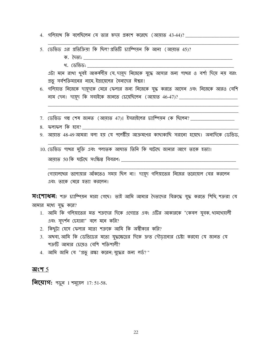- 4. গলিয়াখ কি বলেছিলেন যে তার হৃদয় প্রকাশ করেছে (আয়াত 43-44)? \_\_\_\_\_\_\_\_\_\_\_\_\_\_\_\_\_\_\_\_\_\_
- 5. ডেভিড এর প্রতিক্রিয়া কি ছিল?প্রতিটি চ্যাম্পিয়ন কি আনা (আয়াত 45)?

খ. ডেভিড:

এটা মনে রাখা খুবই আকর্ষণীয় যে দায়ুদ নিজেকে যুদ্ধে আসার জন্য পাখর ও বর্শা দিয়ে নয় বরং প্রভূ সর্বশক্তিমানের নামে, ইস্রায়েলের সৈন্যদের ঈশ্বর!

- 6. গলিয়াত নিজেকে দায়ূদকে মেরে ফেলার জন্য নিজেকে যুদ্ধ করতে আসেন এবং নিজেকে আরও বেশি নাম দেন। দায়দ কি সবাইকে জানতে চেয়েছিলেন (আয়াত 46-47)? \_\_\_\_\_\_\_\_\_\_\_\_\_\_\_\_\_\_\_\_\_\_\_
- $7.$  ডেভিড গল্প শেষ জানত (আয়াত 47)। ইসরাইলের চ্যাম্পিয়ন কে ছিলেন? \_\_\_\_\_\_\_\_\_\_\_\_\_\_\_\_\_\_\_
- 8. ফলাফল কি হবে? \_\_\_\_\_
- 9. আয়াত 48-49 আমরা বলা হয় যে পলেষ্টীয় আক্রমণের কাছাকাছি সরানো হয়েছে। অন্যদিকে ডেভিড,
- 10. ডেভিড পাখর মুক্তি এবং পলাতক আঘাত তিনি কি ঘটেছে জানার আগে তাকে হত্যা।

গোয়ালথের তলোয়ার আঁকতেও সময় ছিল না। দায়দ গলিয়াতের নিজের তরোয়াল বের করলেন এবং তাকে মেরে হত্যা করলেন।

**সংশোধন:** শত্রু চ্যাম্পিয়ন মারা গেছে। তাই আমি আমার দৈত্যদের বিরুদ্ধে যুদ্ধ করতে শিথি, শত্রুরা যে আমার মধ্যে যুদ্ধ করে?

- 1. আমি কি গলিয়াতের মত শত্রুদের দিকে এগোতে এবং এটির আকারকে "কেবল যুবক, থামথেয়ালী এবং সুদর্শন চেহারা" বলে মনে করি?
- 2. কিছুটা হেসে ফেলার মতো শত্রুকে আমি কি অশ্বীকার করি?
- 3. অখবা, আমি কি ডেভিডের মতো যুদ্ধক্ষেত্রের দিকে দ্রুত দৌডানোর চেষ্টা করবো যে জানত যে শত্রুটি আমার চেয়েও বেশি শক্তিশালী?
- 4. আমি জানি যে "প্রভু রক্ষা করেন; যুদ্ধের জন্য লর্ড?"

#### অংশ  $5$

**नित्याग:** १ पुन 1 राम, 17: 51-58.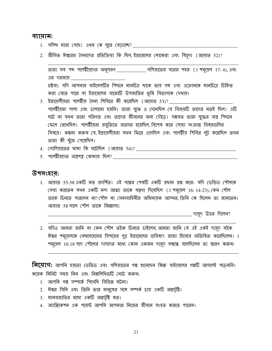#### ব্যায়াম:

- 
- 2. জীবিত ঈশ্বরের সৈন্যদের প্রতিক্রিয়া কি ছিল, ইস্রায়েলের লোকেরা এবং যিয়ূদা (আয়াত 52)?

তারা সব পথ পলেষ্টীয়দের অনুসরণ \_\_\_\_\_\_\_\_\_\_ গলিয়াতের ঘরের শহর (1 শমূয়েল 17: 4), এবং এর দরজায়

দ্রষ্টব্য: যদি আপনার বাইবেলটির পিছনে মানচিত্র থাকে তবে গখ এবং এক্রোনকে মানচিত্রে চিহ্নিত করা যেতে পারে যা ইস্রায়েলের বারোটি উপজাতির ভূমি বিভাগকে দেখায়।

- 3. ইস্রায়েলীয়রা পলেষ্টীয় সৈন্য শিবিরে কী করেছিল (আয়াত 53)? পলেষ্টীয়রা পালা এবং চালানো হয়নি। তারা বুঝে ও দেখেছিল যে বিজয়টি তাদের মতই ছিল। এটি ঘটে না যথন তারা পরিণত এবং তাদের জীবনের জন্য দৌডে। সম্ভবত তারা যুদ্ধের অস্ত্র পিছনে (ফলে রেখেছিল। পলেষ্টীয়রা প্রযুক্তিতে অগ্রসর হয়েছিল বিশেষ করে লোহা সংক্রান্ত বিষয়গুলির বিষয়ে। কল্পনা করুন যে ইস্রায়েলীয়রা যথন ফিরে এসেছিল এবং পলেষ্টীয় শিবির লট করেছিল তথন তারা কী থুঁজে পেয়েছিল।
- 
- 5. পলেষ্টীয়দের অস্ত্রশস্ত্র কোথায় ছিল?

#### উপসংহাব:

1. আয়াত 55-58 একটি মত প্রদর্শিত। এই গল্পের শেষটি একটি প্রধান প্রশ্ন করে: যদি ডেভিড শৌলকে (সবা করতেন যথন একটি মন্দ আত্মা তাকে যন্ত্রণা দিয়েছিল (1 শময়েল 16: 14-23), কেন শৌল তাকে চিন্ততে পারলেন না? শৌল না সেনাবাহিনীর অধিনায়ক অবেনর তিনি কে ছিলেন তা জানতেন। আয়াত 58 সালে শৌল তাকে জিজ্ঞাসা:

\_\_\_\_\_\_\_\_ দায়ৃদ উত্তর দিলেন?

2. যদিও আমরা জানি না কেন শৌল তাঁকে চিনতে চাইলেন, আমরা জানি যে এই একই দায়ূদ যাঁকে ঈশ্বর শমূয়েলকে বেথলেহেমের যিশয়ের পুত্র ইস্রায়েলের ভবিষ্যৎ রাজা হিসেবে অভিষিক্ত করেছিলেন। 1 শমূয়েল 16:18 পদে শৌলের দাসদের মধ্যে কোন একজন দায়দ সম্বন্ধে বলেছিলেন তা স্মরণ করুন:

**নিয়োগ:** আপনি হয়তো ডেভিড এবং গলিয়াতের গল্প শুনেছেন কিন্তু বাইবেলের গল্পটি আসলেই পড়েননি। কমেক মিনিট সময় নিন এবং নিম্নলিথিতটি নোট করুন:

- 1. আপনি গল্প সম্পৰ্কে শিখেছি বিভিন্ন ঘটনা।
- 2. ঈশ্বর যিনি এবং তিনি তার মানুষের সঙ্গে সম্পর্ক চায় একটি অন্তর্দৃষ্টি।
- 3. মানবজাতির মধ্যে একটি অন্তর্দৃষ্টি মত।
- 4. অ্যাপ্লিকেশন এক পযেন্ট আপনি আপনার নিজের জীবনে সংহত করতে পারেন।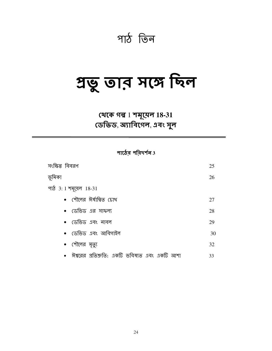## পাঠ তিন

# প্ৰভু তাব সঙ্গে ছিল

### থেকে গল্প 1 শমূমেল 18-31 ডেভিড, অ্যাবিগেল, এবং সুল

পাঠের পরিদর্শন $3$ 

| সংক্ষিপ্ত বিবরণ                                | 25 |
|------------------------------------------------|----|
| ভূমিকা                                         | 26 |
| পাঠ 3: 1 শমূয়েল 18-31                         |    |
| • শৌলের ঈর্ষান্বিত চোখ                         | 27 |
| •   ডেভিড এর সাফল্য                            | 28 |
| • ডেভিড এবং নাবল                               | 29 |
| • ডেভিড এবং আবিগাইল                            | 30 |
| • শৌলের মৃত্যু                                 | 32 |
| ঈশ্বরের প্রতিশ্রুতি: একটি ভবিষ্যত এবং একটি আশা | 33 |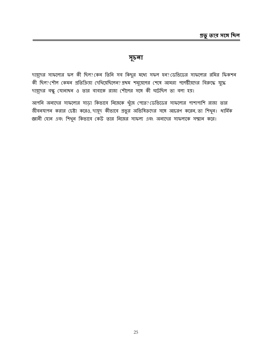#### সূচনা

দামূদের সাফল্যের ফল কী ছিল? কেন তিনি সব কিছুর মধ্যে সফল হন? ডেভিডের সাফল্যের রমির ফিকশন কী ছিল? শৌল কেমন প্রতিক্রিয়া দেখিয়েছিলেন? প্রথম শমূয়েলের শেষে আমরা পলেষ্টীয়দের বিরুদ্ধে যুদ্ধে দায়ূদের বন্ধু যোনাথন ও তার বাবাকে রাজা শৌলের সঙ্গে কী ঘটেছিল তা বলা হয়।

আপনি অন্যদের সাফল্যের সাড়া কিভাবে নিজেকে খুঁজে পেতে? ডেভিডের সাফল্যের পাশাপাশি রাজা তার জীবনমাপন করার চেষ্টা করেও, দামূদ কীভাবে প্রভুর অভিষিক্তদের সঙ্গে আচরণ করেন, তা শিখুন। ধার্মিক জ্ঞানী হোন এবং শিখুন কিভাবে কেউ তার নিজের সাফল্য এবং অন্যদের সাফল্যকে সম্মান করে।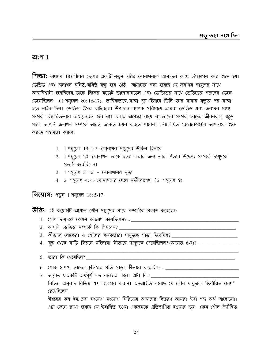#### অংশ  $1$

**শিক্ষা:** অধ্যায় 18 শৌলের ছেলের একটি নতুন চরিত্র যোনাখনকে আমাদের কাছে উপস্থাপন করে শুরু হয়। ডেভিড এবং জনাখন ঘনিষ্ঠ, ঘনিষ্ঠ বন্ধু হয়ে ওঠে। আমাদের বলা হয়েছে যে, জনাখন দায়দের সাখে আত্মবিশ্বাসী হয়েছিলেন তাকে নিজের মতোই ভালোবাসতেন এবং ডেভিডের সাথে ডেভিডের শত্রুদের ডেকে ডেকেছিলেন। (1 শমুয়েল ২0: 16-17). তাত্বিকভাবে রাজা পুত্র হিসাবে তিনি তার বাবার মৃত্যুর পর রাজা হতে লাইন ছিল। ডেভিড উপর বাইবেলের উপাদান ব্যাপক পরিমাণে আমরা ডেভিড এবং জনাথন মধ্যে সম্পর্ক বিস্তারিত্ততাবে অধ্যয়নরত হবে না। বলার অপেক্ষা রাথে না, তাদের সম্পর্ক তাদের জীবনকাল জুডে সহ্য। আপনি জনাখন সম্পর্কে আরও জানতে চয়ন করতে পারেন। নিম্নলিখিত রেফারেন্সগুলি আপনাকে শুরু করতে সহাযতা করবে:

- $1.$  1 শম্ময়েল  $19:1$ -7 যোনাখন দায়দের উকিল হিসাবে
- 2. 1 শমূয়েল 20 যোনাখন তাকে হত্যা করার জন্য তার পিতার উদ্দেশ্য সম্পর্কে দামূদকে সতর্ক করেছিলেন।
- 3. 1 শমূয়েল 31: 2 যোনাথনের মৃত্যু
- 4. 2 শমূয়েল 4: 4 যোনাথনের ছেলে মফীবোশেথ (2 শমূয়েল 9)

**नित्याग: अफ़ून 1 गमूर्तमा 18: 5-17.** 

উক্তি: এই কয়েকটি আয়াত শৌল দায়ূদের সাথে সম্পর্ককে প্রকাশ করেছেন:

- 
- 2. আপনি ডেভিড সম্পৰ্কে কি শিখবেন? \_
- 3. কীভাবে লোকেরা ও শৌলের কর্মকর্তারা দামূদকে সাড়া দিমেছিল? \_\_\_\_\_\_\_\_\_\_\_\_\_\_\_\_\_\_\_\_
- $4.$  যুদ্ধ থেকে বাড়ি ফিরলে মহিলারা কীভাবে দামূদকে পেমেছিলেন? (আয়াত 6-7)? \_\_\_\_\_\_\_\_\_\_
- 5. তারা কি গেযেছিল?

 $7.$  আয়াত 9 একটি অর্থপূর্ণ শব্দ ব্যবহার করে। এটা কি? \_\_\_\_\_\_\_\_\_ বিভিন্ন অনুবাদ বিভিন্ন শব্দ ব্যবহার করুন। এনআইভি বলেছে যে শৌল দামূদকে "ঈর্ষান্বিত চোখ" রেখেছিলেন।

ঈশ্বরের কল ইন, ক্রস সংযোগ সংযোগ সিরিজের আমাদের বিতরণ আমরা ঈর্ষা শব্দ অর্থ আলোচনা। এটা জেনে রাখা হয়েছে যে, ঈর্ষান্বিত হওয়া একজনকে প্রতিস্থাপিত হওয়ার ভয়। কেন শৌল ঈর্ষান্বিত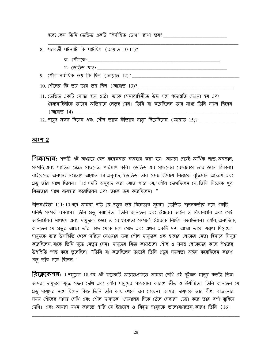| হবে? কেন তিনি ডেভিড একটি "ঈর্ষান্বিত চোথ" রাথা হবে? _____________________________  |
|------------------------------------------------------------------------------------|
| 8.  পরবর্তী ঘটনাটি কি ঘটেছিল (আয়াত 10-11)?                                        |
|                                                                                    |
|                                                                                    |
| 9. শৌল সৰ্বাধিক ভয় কি ছিল (আয়াত 12)? ____________________________                |
|                                                                                    |
| 11. ডেভিড একটি যোদ্ধা হয়ে ওঠে। তাকে সেনাবাহিনীতে উচ্চ পদে পদোন্নতি দেওয়া হয় এবং |
| সৈন্যবাহিনীকে তাদের অভিযানে নেতৃত্ব দেন। তিনি যা করেছিলেন তার মধ্যে তিনি সফল ছিলেন |
|                                                                                    |
| 12. দায়ূদ সফল ছিলেন এবং শৌল তাকে কীভাবে সাড়া দিয়েছিলেন (আয়াত 15)? _______      |

#### অংশ 2

**শিক্ষাদান:** শব্দটি এই অধ্যায়ে বেশ কমেকবার ব্যবহার করা হয়। আমরা প্রায়ই আর্থিক লাভ, অবস্থান, সম্পত্তি, এবং খ্যাতির ক্ষেত্রে সাফল্যের পরিমাপ করি। ডেভিড এর সাফল্যের রেফারেন্স তার জ্ঞান ঠিকানা। বাইবেলের অন্যান্য সংস্করণ আয়াত 14 অনুবাদ, "ডেভিড তার সমস্ত উপায়ে নিজেকে বুদ্ধিমান আচরণ; এবং গ্রভু তাঁর সাথে ছিলেন। "15 পদটি অনুবাদ করা যেতে পারে যে,"শৌল দেথেছিলেন যে, তিনি নিজেকে থুব বিজ্ঞতার সাথে ব্যবহার করেছিলেন এবং তাকে ভয় করেছিলেন। "

গীতসংহিতা 111:10 পদে আমরা পডি যে, প্রভুর ভয় বিজ্ঞতার সূচনা। ডেভিড পালনকর্তার সঙ্গে একটি ঘনিষ্ঠ সম্পর্ক বসবাস। তিনি প্রভু সম্মানিত। তিনি জানতেন এবং ঈশ্বরের আইন ও বিধানগুলি এবং সেই আইনগুলির মাধ্যমে এবং দায়ুদকে প্রজ্ঞা ও বোধগম্যতা সম্পর্কে ঈশ্বরকে নির্দেশ করেছিলেন। শৌল, অন্যদিকে, জানতেন যে প্রভুর আত্মা তাঁর কাছ থেকে চলে গেছে এবং এথন একটি মন্দ আত্মা তাকে যন্ত্রণা দিয়েছে। দায়দকে তার উপস্থিতি থেকে সরিয়ে নেওয়ার জন্য শৌল দায়দকে এক হাজার লোকের নেতা হিসাবে নিযুক্ত করেছিলেন, যাকে তিনি যুদ্ধে নেতৃত্ব দেন। দায়ূদের বিজ্ঞ কাজগুলো শৌল ও সমস্ত লোকেদের কাছে ঈশ্বরের উপস্থিতি স্পষ্ট করে তুলেছিল। "তিনি যা করেছিলেন তাতেই তিনি প্রচুর সফলতা অর্জন করেছিলেন কারণ প্রভু তাঁর সঙ্গে ছিলেন।"

**বিদ্লেকেশন:** 1 শমূয়েল 18 এর এই কয়েকটি আয়াতগুলিতে আমরা দেখি এই দুইজন মানুষ কতটা ভিন্ন। আমরা দায়দকে যুদ্ধে সফল দেখি এবং শৌল দায়দের সাফল্যের কারণে ভীত ও ঈর্ষান্বিত। তিনি জানতেন যে গ্রভু দায়দের সঙ্গে ছিলেন কিন্তু তিনি তাঁর কাছ থেকে চলে গেছেন। আমরা দায়ূদকে তার বীণা বাজানোর সময় শৌলের দাসত্ব দেখি এবং শৌল দায়ূদকে "দেয়ালের দিকে ঠেলে দেবার" চেষ্টা করে তার বর্শা ঝুলিয়ে দেখি। এবং আমরা যথন জানতে পারি যে ইস্রায়েল ও যিয়ূদা দামূদকে ভালোবাসতেন, কারণ তিনি (16)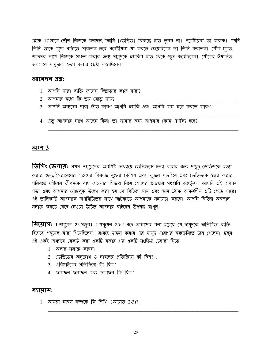শ্লোক 17 সালে শৌল নিজেকে বলছেন, "আমি [ডেভিড] বিরুদ্ধে হাত তুলব না। পলেষ্টীয়রা তা করুক। "যদি তিনি তাকে যুদ্ধে পাঠাতে পারতেন, তবে পলেষ্টীয়রা যা করতে চেয়েছিলেন তা তিনি করতেন। শৌল, মূলত, শত্রুদের সাথে নিজেকে সংহত করার জন্য দায়দকে হুমকির হাত থেকে মুক্ত করেছিলেন। শৌলের ঈর্ষান্বিত অবশেষে দায়দকে হত্যা করার চেষ্টা করেছিলেন।

#### আবেদন প্ৰশ্ন:

- <u>1. আপনি যারা ব্যক্তি জানেন বিজ্ঞতার কাজ যারা? \_\_\_\_\_\_\_\_\_\_\_\_\_\_\_\_\_\_\_\_\_\_\_\_\_\_\_\_\_\_\_\_\_</u>
- <u>2. আপনার মধ্যে কি ভয় বেডে যায়? \_\_\_\_</u>
- 3. আপনি অন্যদের দ্বারা ভীত কারণ আপনি হুমকি এবং আপনি কম মনে করতে কারণ?

4. প্রতৃ আপনার সাথে আছেন কিনা তা জানার জন্য আপনার কোন পার্থক্য হবে? \_\_\_\_\_\_\_\_\_\_\_\_

#### <u> অংশ 3</u>

**ডিগিং ডেপার:** প্রথম শমূয়েলের অবশিষ্ট অধ্যায়ে ডেভিডকে হত্যা করার জন্য দামূদ, ডেভিডকে হত্যা করার জন্য, ইসরায়েলের শত্রুদের বিরুদ্ধে যুদ্ধের কৌশল এবং যুদ্ধের লডাইয়ে এবং ডেভিডকে হত্যা করার পরিবর্তে শৌলের জীবনকে বাদ দেওয়ার সিদ্ধান্ত নিয়ে শৌলের প্রচেষ্টার গল্পগুলি অন্তর্ভক্ত। আপনি এই অধ্যায় পড়া এবং আপনার নোটবুক উল্লেখ করা হয় যে বিভিন্ন নাম এবং স্থান ট্যাক আকর্ষণীয় এটি পেতে পারে। এই তালিকাটি আপনাকে অপরিচিতের সাথে আটকাতে আপনাকে সহায়তা করবে। আপনি বিভিন্ন অবস্থান সনাক্ত করতে বেছে নেওয়া উচিত আপনার বাইবেল উপলব্ধ রাথুন।

**নিয়োগ:** 1 শমুয়েল 25 পড়ুন। 1 শমুয়েল 25:1 পদে আমাদের বলা হয়েছে যে, দায়দকে অভিষিক্ত ব্যক্তি হিসেবে শমূয়েল মারা গিয়েছিলেন। রামহে দাফন করার পর দায়ূদ পারণের মরুভূমিতে চলে গেলেন। চলুন এই একই অধ্যাযে রেকর্ড করা একটি মজার গল্প একটি সংক্ষিপ্ত চেহারা নিতে.

- 1. অক্ষর সনাক্ত করুন।
- 2. ডেভিডের অনুরোধ ও নাবলের প্রতিক্রিয়া কী ছিল?...
- 3. এবিগাইলের প্রতিক্রিয়া কী ছিল?
- $4.$  ফলাফল ফলাফল এবং ফলাফল কি ছিল?

#### ব্যায়াম: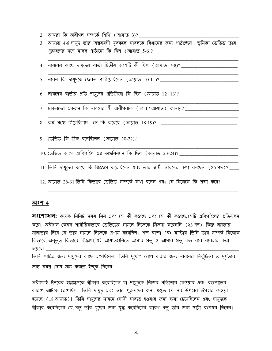- <u>2. আমরা কি অবীগল সম্পর্কে শিখি (আয়াত 3)? \_\_\_\_\_\_\_\_</u>
- 3. আয়াত 4-8 দায়ূদ তার অল্পবয়সী যুবককে নাবলকে বিধানের জন্য পাঠাচ্ছেন। ভূমিকা ডেভিড তার পুরুষদের সঙ্গে নাবল পাঠানো কি ছিল (আয়াত 5-6)? \_\_\_\_\_\_\_\_\_\_\_\_\_\_\_\_\_\_\_\_\_\_\_\_\_\_\_\_\_\_\_\_\_\_
- 4. নাবলের কাছে দায়ূদের বার্তা দ্বিতীয় অংশটি কী ছিল (আয়াত 7-8)? \_\_\_\_\_\_\_\_\_\_\_\_\_\_\_
- 5. নাবল কি দামূদকে ফেরত পাঠিমেছিলেন (আয়াত  $10-11$ )? \_\_\_\_\_\_\_\_\_\_\_\_\_\_\_\_\_\_\_\_\_\_\_\_\_\_\_
- 6. নাবলের বার্তার প্রতি দায়দের প্রতিক্রিয়া কি ছিল (আয়াত 12–13)? \_\_\_\_\_\_\_\_\_\_\_\_\_\_\_\_\_\_
- 7. চাকরদের একজন কি নাবলের স্ত্রী অবীগলকে ( 14-17 আয়াত ) জানায়?
- 8. কর্ম মধ্যে গিয়েছিলাম। সে কি করেছে (আয়াত 18-19)?... \_\_\_\_\_\_\_\_\_\_\_\_\_\_\_\_\_\_\_\_\_\_\_\_
- 9. ডেভিড কি ঠিক বলেছিলেন (আয়াত 20-22)? \_\_\_\_\_\_\_\_\_\_\_\_
- 10. ডেভিড আগে আবিগাইল এর অঙ্গবিন্যাস কি ছিল (আয়াত 23-24)? \_\_\_\_\_\_\_\_\_\_\_\_\_
- 11. তিনি দায়ূদের কাছে কি জিজ্ঞেস করেছিলেন এবং তার স্বামী নাবলের কথা বলছেন (25 পদ)? \_\_\_
- 12. আয়াত 26-31 তিনি কিভাবে ডেভিড সম্পর্কে কথা বলেন এবং সে নিজেকে কি শ্রদ্ধা করে?

#### <u> অংশ 4</u>

**সংশোধন:** কমেক মিনিট সময় নিন এবং সে কী করেছে এবং সে কী করেছে সেটি এবিগাইলের প্রতিফলন করে। অবীগল কেবল শারীরিকভাবে ডেভিডের সামনে নিজেকে সিজদা করেননি (২3 পদ) কিন্তু নম্রতার মনোভাব নিয়ে সে তার সামনে নিজেকে প্রণাম করেছিল। শব্দ বান্দা এবং মাস্টার তিনি তার সম্পর্ক নিজেকে কিভাবে অনুভূত কিভাবে. উল্লেখ্য, এই আয়াতগুলিতে আমার প্রভু ও আমার প্রভু কত বার ব্যবহার করা হয়েছে।  $\_$ তিনি শান্তির জন্য দায়ূদের কাছে এসেছিলেন। তিনি দুর্যোগ রোধ করার জন্য নাবলের নির্বুদ্ধিতা ও মূর্থতার জন্য সময় দোষ সহ্য করতে ইচ্ছুক ছিলেন.

অবীগলই ঈশ্বরের হস্তক্ষেপকে শ্বীকার করেছিলেন, যা দামুদকে নিজের প্রতিশোধ নেওয়ার এবং রক্তপাতের কারণে আটকে রেখেছিল। তিনি দায়ুদ এবং তার পুরুষদের জন্য প্রস্তুত যে সব উপহার উপহার দেওয়া হয়েছে (18 আয়াত)। তিনি দায়দের সামনে দোষী সাব্যস্ত হওয়ার জন্য ক্ষমা চেয়েছিলেন এবং দায়দকে শ্বীকার করেছিলেন যে, প্রভু তাঁর যুদ্ধের জন্য যুদ্ধ করেছিলেন কারণ প্রভু তাঁর জন্য স্থায়ী বংশধর ছিলেন।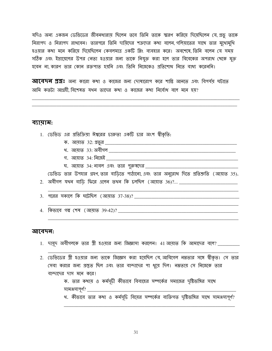যদিও অন্য একজন ডেভিডের জীবনধারায় ছিলেন তবে তিনি তাকে স্মরণ করিয়ে দিয়েছিলেন যে, প্রভু তাকে নিরাপদ ও নিরাপদ রাখবেন। তারপরে তিনি দায়িদের শত্রুদের কথা বলেন, গলিয়াতের সাথে তার মুথোমুথি হওয়ার কথা মনে করিয়ে দিয়েছিলেন কেবলমাত্র একটি স্লিং ব্যবহার করে। অবশেষে তিনি বলেন যে সময় সঠিক এবং ইস্রায়েলের উপর নেতা হওয়ার জন্য তাকে নিযুক্ত করা হলে তার বিবেকের অপরাধ থেকে মুক্ত হবেন না কারণ তার কোন রক্তপাত হয়নি এবং তিনি নিজেকেও প্রতিশোধ নিতে বাধ্য করেননি।

**আবেদন প্রশ্নঃ** অন্য কারো কথা ও কাজের জন্য দোষারোপ করে শান্তি আনতে এবং বিপর্যয় ঘটাতে আমি কতটা আগ্রহী বিশেষত যথন তাদের কথা ও কাজের কথা নির্বোধ বলে মনে হয়?

#### ব্যায়াম:

- 1. ডেভিড এর প্রতিক্রিয়া ঈশ্বরের চারুতা একটি চার অংশ শ্বীকৃতি:
	-
	-
	- গ. আয়াত 34: নিজেই
	- ঘ. আয়াত  $34$ : নাবল এবং তার পুরুষদের \_\_\_\_\_\_\_\_\_\_

ডেভিড তার উপহার গ্রহণ, তার বাডিতে পাঠানো, এবং তার অনুরোধ দিতে প্রতিশ্রুতি (আয়াত 35).

2. অবীগল যথন বাডি ফিরে এলেন তথন কি চলছিল (আয়াত 36)?... \_\_\_\_\_\_\_\_\_\_\_\_\_\_\_\_\_\_\_\_\_\_\_\_\_

3. পরের সকালে কি ঘটেছিল (আয়াত 37-38)?

4. কিভাবে গল্প শেষ (আয়াত 39-42)?

#### আবেদন:

- 1. দায়ূদ অবীগলকে তার স্ত্রী হওয়ার জন্য জিজ্ঞাসা করলেন। 41 আয়াত কি আমাদের বলে? \_\_\_\_\_\_\_\_
- 2. ডেভিডের স্ত্রী হওয়ার জন্য তাকে জিজ্ঞেস করা হয়েছিল যে, আবিগেল নম্রতার সঙ্গে স্বীকৃত। সে তার সেবা করার জন্য প্রস্তুত ছিল এবং তার বান্দাদের পা ধুয়ে দিল। নম্রতায় সে নিজেকে তার বান্দাদের দাস মনে করে!

ক. তার কথায় ও কর্মসূচী কীভাবে বিবাহের সম্পর্কের সমাজের দৃষ্টিভঙ্গির সাথে সামঞ্জস্যপূৰ্ণ? \_\_\_\_\_\_\_\_\_

খ. কীভাবে তার কথা ও কর্মসূচি বিমের সম্পর্কের ব্যক্তিগত দৃষ্টিভঙ্গির সাথে সামঞ্জস্যপূর্ণ?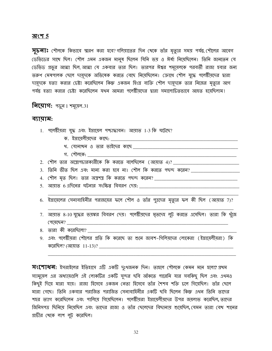#### <u> অংশ 5</u>

**সূচনাঃ** শৌলকে কিভাবে স্মরণ করা হবে? গলিয়াতের দিন থেকে তাঁর মৃত্যুর সময় পর্যন্ত, শৌলের আবেগ ডেভিডের সাথে ছিল। শৌল এমন একজন মানুষ ছিলেন যিনি ভয় ও ঈর্ষা নিয়েছিলেন। তিনি জানতেন যে ডেভিড প্রভুর আত্মা ছিল, আত্মা যে একবার তার ছিল। তারপর ঈশ্বর শমূয়েলকে পরবর্তী রাজা হবার জন্য তরুণ মেষপালক ছেলে দামূদকে অভিষেক করতে বেছে নিমেছিলেন। ক্রোধে শৌল যুদ্ধে পলেষ্টীয়দের দ্বারা দায়ূদকে হত্যা করার চেষ্টা করেছিলেন কিন্তু একজন হিংস্র ব্যক্তি শৌল দায়ূদকে তার নিজের মৃত্যুর আগ পর্যন্ত হত্যা করার চেষ্টা করেছিলেন যথন আমরা পলেষ্টীযদের দ্বারা সমালোচিতভাবে আহত হযেছিলাম।

**नित्याग:** भफ़ून 1 गमूत्य़न.31

#### ব্যায়াম:

- 1. পলেষ্টীয়রা যুদ্ধ এবং ইস্রায়েল পশ্চাদ্ধাবন। আয়াত 1-3 কি ঘটেছে?
	-
	-
	- গ. শৌলকে:

- $3.$  তিনি ভীত ছিল এবং মান্য করা হবে না। শৌল কি করতে পছন্দ করেন? \_\_\_\_\_\_\_\_\_\_\_\_\_\_\_\_\_\_\_\_
- 
- 5. আয়াত 6এদিলের ঘটনার সংক্ষিপ্ত বিবরণ দেয়:
- 6. ইস্রায়েলের সেনাবাহিনীর পরাজয়ের ফলে শৌল ও তাঁর পুত্রদের মৃত্যুর ফল কী ছিল (আয়াত 7)?
- 7. আয়াত 8-10 যুদ্ধের ভয়ঙ্কর বিবরণ দেয়। পলেষ্টীয়দের মৃতদেহ লুট করতে এসেছিল। তারা কি খুঁজে পেযেছেন? <u> 1989 - Johann Barn, mars ar breithinn ar chuid ann an t-Alban ann an t-Alban ann an t-Alban ann an t-Alban an</u>
- ৪. তারা কী করেছিলো?
- 9. এবং পলেষ্টীয়রা শৌলের প্রতি কি করেছে তা শুনে জাবশ–গিলিয়দের লোকেরা (ইস্রায়েলীয়রা) কি করেছিল? (আমাত 11-13)?

**সংশোধন:** ইসরাইলের ইতিহাসে এটি একটি দুঃথজনক দিন। তাহলে শৌলকে কেমন মনে হলো? প্রথম স্যামুয়েল এর অধ্যায়গুলি এই লোকটির একটি সুন্দর ছবি আঁকতে পারেনি যার সবকিছু ছিল এবং এথনও কিছুই দিয়ে মারা যায়। রাজা হিসেবে একজন নেতা হিসেবে তাঁর শৈশব শক্তি চলে গিয়েছিল। তাঁর ছেলে মারা গেছে। তিনি একবার পরাজিত পরাজিত সেনাবাহিনীর একটি ছবি ছিলেন কিন্তু এথন তিনি তাদের শহর ত্যাগ করেছিলেন এবং পালিয়ে গিয়েছিলেন। পলেষ্টীয়রা ইস্রায়েলীয়দের উপর জয়লাভ করেছিল,ততাদের জিনিসপত্র ছিনিয়ে নিয়েছিল এবং তাদের রাজা ও তাঁর ছেলেদের বিছানায় শুয়েছিল, যেমন তারা বেথ শানের প্রাচীর থেকে লাশ লুট করেছিল।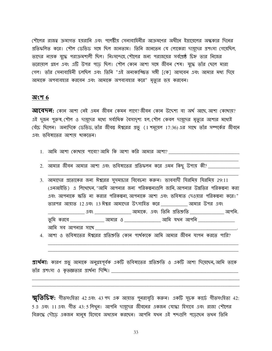শৌলের রাজত্ব ক্রমাগত হয়রানি এবং পলেষ্টীয় সেনাবাহিনীর আক্রমণের অধীনে ইস্রায়েলের অন্ধকার দিনের প্রতিফলিত করে। শৌল ডেভিড সঙ্গে ছিল জানতাম। তিনি জানতেন যে লোকেরা দায়ূদের প্রশংসা গেয়েছিল, তাদের নায়ক যুদ্ধে পরাক্রমশালী ছিল। নিঃসন্দেহে শৌলের জন্য পরাজয়ের সর্বশ্রেষ্ঠ চিহ্ন তার নিজের তরোয়াল গ্রহণ এবং এটি উপর পডে ছিল। শৌল কোন আশা সঙ্গে জীবন শেষ। যুদ্ধে তাঁর ছেলে মারা গেল। তাঁর সেনাবাহিনী চলছিল এবং তিনি "এই অনাকাঙ্ক্ষিত সঙ্গী [কে] আসবেন এবং আমার মধ্য দিয়ে আমাকে অপব্যবহার করবেন এবং আমাকে অপব্যবহার করে" মৃত্যুর ভয় করবেন।

#### অংশ  $6$

**আবেদন:** কোন আশা নেই এমন জীবন কেমন লাগে?জীবন কোন উদ্দেশ্য বা অৰ্থ আছে আশা কোথায়? এই দুজন পুরুষ, শৌল ও দায়দের মধ্যে সর্বাধিক বৈসাদৃশ্য হল, শৌল কেবল দায়দের মৃত্যুর আশার মধ্যেই বেঁচে ছিলেন। অন্যদিকে ডেভিড, তাঁর জীবন্তু ঈশ্বরের প্রভু (1 শমূয়েল 17:36) এর সাথে তাঁর সম্পর্কের জীবনে এবং ভবিষ্যতের আশায থাকতেন।

- 1. আমি আশা কোখায় পাবো?আমি কি আশা করি আমার আশা?
- $2.$  আমার জীবন আমার আশা এবং ভবিষ্যতের প্রতিফলন করে এমন কিছু উপায় কী? \_\_\_\_\_\_\_\_\_\_\_\_\_

3. আমাদের প্রত্যেকের জন্য ঈশ্বরের সুসমাচার বিবেচনা করুন। ভাববাদী যিরমিয় যিরমিয় 29:11 (এনআইভি) এ লিথেছেন "আমি আপনার জন্য পরিকল্পনাগুলি জানি আপনার উন্নতির পরিকল্পনা করা এবং আপনাকে ক্ষতি না করার পরিকল্পনা আপনাকে আশা এবং ভবিষ্যত দেওয়ার পরিকল্পনা করে।" <u>তারপর আয়াত 12 এবং 13 ঈশ্বর আমাদের উৎসাহিত করে \_\_\_\_\_\_\_\_\_\_</u> আমার উপর এবং \_\_\_\_\_\_\_\_\_ এবং \_\_\_\_\_\_\_\_\_\_\_\_\_\_\_\_\_\_ আমাকে. এবং তিনি প্রতিশ্রুতি \_\_\_\_\_\_\_\_\_\_\_\_\_\_\_ আপনি. তুমি করবে \_\_\_\_\_\_\_\_\_\_\_\_\_\_\_\_\_ আমার ও \_\_\_\_\_\_\_\_\_\_\_\_\_\_\_\_\_ আমি যথন আপনি \_\_\_\_\_\_\_\_ আমি সব আপনার সাথে

4. আশা ও ভবিষ্যতের ঈশ্বরের প্রতিশ্রুতি কোন পার্থক্যকে আমি আমার জীবন যাপন করতে পারি?

**প্রার্থনা:** কারণ প্রভু আমাকে অনুগ্রহপূর্বক একটি ভবিষ্যতের প্রতিশ্রুতি ও একটি আশা দিয়েছেন, আমি তাকে 

স্মৃতিচিহ্ন: গীতসংহিতা 42 এবং 43 পদ এক আয়াত পুনরাবৃত্তি করুন। একটি সূচক কার্ডে গীতসংহিতা 42: 5 এ এবং 11 এবং গীত 43: 5 লিথুন। আপনি দায়দের জীবনের একজন যোদ্ধা হিসাবে এবং রাজা শৌলের বিরুদ্ধে দৌডে একজন মানুষ হিসেবে অধ্যয়ন করছেন। আপনি যথন এই শব্দগুলি পডেছেন তথন তিনি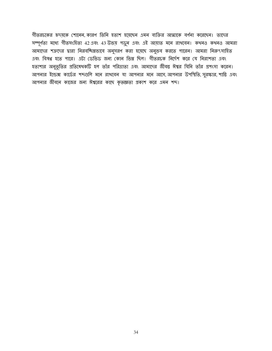গীতরচকের হৃদয়কে শোনেন, কারণ তিনি হতাশ হয়েছেন এমন ব্যক্তির আত্মাকে বর্ণনা করেছেন। তাদের সম্পূর্ণতা মধ্যে গীতসংহিতা 42 এবং 43 উভয় পড়ুন এবং এই আয়াত মনে রাখবেন। কথনও কথনও আমরা আমাদের শত্রুদের দ্বারা নিরবচ্চিন্নভাবে অনুসরণ করা হয়েছে অনুভব করতে পারেন। আমরা নিরুৎসাহিত এবং বিষণ্ণ হতে পারে। এটা ডেভিড জন্য কোন ভিন্ন ছিল। গীতরচক নির্দেশ করে যে নিরাশতা এবং হতাশার অনুভূতির প্রতিষেধকটি হল তাঁর পরিত্রাতা এবং আমাদের জীবন্ত ঈশ্বর যিনি তাঁর প্রশংসা করেন। আপনার ইন্ডেক্স কার্ডের শব্দগুলি মনে রাখবেন যা আপনার মনে আসে, আপনার উপস্থিতি, সুরক্ষার, শান্তি এবং আপনার জীবনে কাজের জন্য ঈশ্বরের কাছে কৃতজ্ঞতা প্রকাশ করে এমন শব্দ।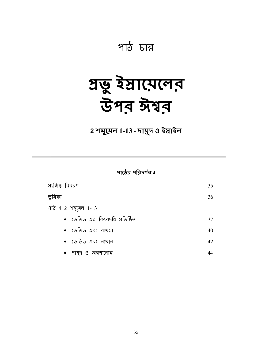## পাঠ চার

# अष्टू रेप्रास्पलत<br>উপর ঈশ্বর

2 শমূয়েল 1-13 - দায়ূদ ও ইস্তাইল

পাঠের পরিদর্শন 4

| সংক্ষিপ্ত বিবরণ                 | 35 |
|---------------------------------|----|
| ভূমিকা                          | 36 |
| পাঠ 4:2 শন্মুয়েল 1-13          |    |
| • ডেভিড এর কিংবদন্তি প্রতিষ্ঠিত | 37 |
| • ডেভিড এবং বাথশ্বা             | 40 |
| • ডেভিড এবং নাথান               | 42 |
| দায়দ ও অবশালোম<br>$\bullet$    | 44 |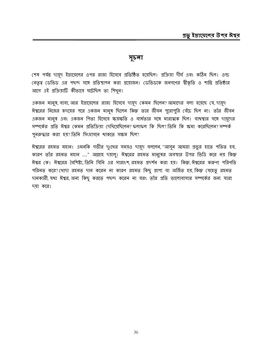#### সূচনা

শেষ পর্যন্ত দামূদ ইস্রায়েলের ওপর রাজা হিসেবে প্রতিষ্ঠিত হয়েছিল। প্রক্রিয়া দীর্ঘ এবং কঠিন ছিল। ওল্ড নেতৃত্ব ডেভিড এর পছন্দ সঙ্গে প্রতিস্থাপন করা প্রয়োজন। ডেভিডকে জনগণের স্বীকৃতি ও শান্তি প্রতিষ্ঠার আগে এই প্রক্রিয়াটি কীভাবে ঘটেছিল তা শিখুন।

একজন মানুষ, বাবা, আর ইস্রায়েলের রাজা হিসেবে দায়ূদ কেমন ছিলেন? আমাদের বলা হয়েছে যে, দায়ূদ ঈশ্বরের নিজের হৃদমের পরে একজন মানুষ ছিলেন কিন্তু তার জীবন পুরোপুরি বেঁচে ছিল না। তাঁর জীবন একজন মানুষ এবং একজন পিতা হিসেবে ক্ষয়স্কতি ও ব্যর্থতার সঙ্গে মারাত্মক ছিল। বাথশ্বার সঙ্গে দায়ূদের সম্পর্কের প্রতি ঈশ্বর কেমন প্রতিক্রিয়া দেখিয়েছিলেন? ফলাফল কি ছিল? তিনি কি ক্ষমা করেছিলেন? সম্পর্ক পুনরুদ্ধার করা হয়? তিনি সিংহাসনে থাকতে সক্ষম ছিল?

ঈশ্বরের রহমত মহান। এমনকি গভীর দুঃথের সময়ও দায়ূদ বললেন, "আসুন আমরা প্রভুর হাতে পতিত হব, কারণ তাঁর রহমত মহান ..." আল্লাহ দমালু। ঈশ্বরের রহমত মানুষের অবস্থার উপর ভিত্তি করে নম কিন্তু ঈশ্বর কে। ঈশ্বরের বৈশিষ্ট্য, তিনি যিনি এর সারাংশ, রহমত প্রদর্শন করা হয়। কিন্তু, ঈশ্বরের করুণা পরিণতি পরিনত করে? থোদা রহমত দান করেন না কারণ রহমত কিছু প্রাপ্য বা অর্জিত হয়, কিন্তু যেহেতু রহমত দানকারী, যথা ঈশ্বর, অন্য কিছু করতে পছন্দ করেন না বরং তাঁর প্রতি ভালোবাসার সম্পর্কের জন্য যারা দয়া করে।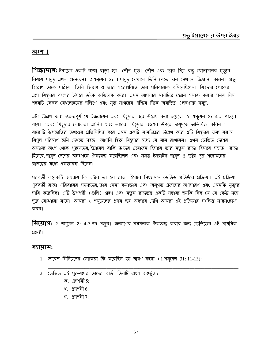#### অংশ  $1$

गिय्फ़ापान: ইস্রায়েল একটি রাজা ঘড়া হয়। শৌল মৃত। শৌল এবং তার গ্রিয় বন্ধু যোনাথনের মৃত্যুর বিষয়ে দায়ূদ এথন শুনেছেন। 2 শমূয়েল 2: 1 দায়ূদ যেথানে তিনি যেতে চান সেথানে জিজ্ঞাসা করেন। প্রভু হিব্রোণ তাকে পাঠায়। তিনি হিব্রোণ ও তার শহরগুলিতে তার পরিবারকে বসিয়েছিলেন। যিয়দার লোকেরা এসে যিয়ূদার বংশের উপরে তাঁকে অভিষেক করে। এথন আপনার মানচিত্রে হেব্রন সনাক্ত করার সময় নিন। শহরটি কেবল বেথলেহেমের দক্ষিণে এবং মৃত সাগরের পশ্চিম দিকে অবস্থিত (লবণাক্ত সমুদ্র.

এটা উল্লেখ করা গুরুত্বপূর্ণ যে ইজরায়েল এবং যিহূদার ঘরে উল্লেখ করা হয়েছে। ২ শমূয়েল 2: 4.এ পাওয়া যায়। "এবং যিয়ূদার লোকেরা আসিল, এবং তাহারা যিয়ূদার বংশের উপরে দায়ূদকে অভিষিক্ত করিল।" বারোটি উপজাতির ভূখণ্ডের প্রতিনিধিত্ব করে এমন একটি মানচিত্রের উল্লেখ করে এটি যিহূদার জন্য বরাদ বিপুল পরিমাণ জমি দেখতে সহজ। আপনি হিব্রু যিহূদার মধ্যে যে মনে রাখবেন। এথন ডেভিড দেশের অন্যান্য অংশ থেকে পুরুষদের, ইস্রায়েল বাকি তাদের প্রয়োজন হিসাবে তার নতুন রাজা হিসাবে সম্মত। রাজা হিসেবে, দায়ুদ দেশের জনগণকে ঐক্যবদ্ধ করেছিলেন এবং সমস্ত ইসরাইল দায়ুদ ও তাঁর পুত্র শলোমনের রাজত্বের মধ্যে একতাবদ্ধ ছিলেন।

পরবর্তী কয়েকটি অধ্যায়ে কি ঘটবে তা হল রাজা হিসাবে সিংহাসনে ডেভিড প্রতিষ্ঠার প্রক্রিয়া। এই প্রক্রিয়া পূর্ববর্তী রাজা পরিবারের সদস্যদের, তার সেনা কমান্ডার এবং অনুগত প্রজাদের অপসারণ এবং এমনকি মৃত্যুর দাবি করেছিল। এটি উপপন্নী (গুলি) গ্রহণ এবং নতুন রাজতন্ত্র একটি সম্ভাব্য হুমকি ছিল যে যে কেউ সঙ্গে দূরে বোঝানো মানে। আমরা ২ শমূয়েলের প্রথম ছয় অধ্যায়ে দেখি আমরা এই প্রক্রিয়ার সংক্ষিপ্ত সারসংক্ষেপ করব।

**নিয়োগ:** 2 শমূয়েল 2: 4-7 পদ পড়ুন। জনগণের সমর্থনকে ঐক্যবদ্ধ করার জন্য ডেভিডের এই প্রাথমিক প্রচেষ্টা।

#### ব্যায়াম:

- 1. জাবেশ-গিলিয়দের লোকেরা কি করেছিল তা স্মরণ করো (1 শমূয়েল 31: 11-13): \_\_\_\_\_\_\_\_\_\_\_\_
- 2. ডেভিড এই পুরুষদের তাদের বার্তা তিনটি অংশ অন্তর্ভুক্ত:
	-
	-
	- গ. স্তুদর্শনী  $7:$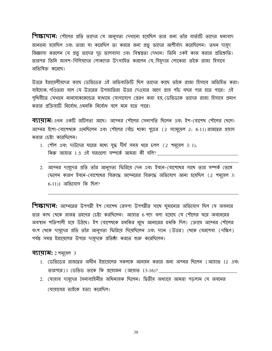**শিক্ষাদান:** শৌলের প্রতি তাদের যে আনুগত্য দেখানো হয়েছিল তার জন্য তাঁর বার্তাটি তাদের ধন্যবাদ জানানো হয়েছিল এবং তারা যা করেছিল তা করার জন্য প্রভূ তাদের আশীর্বাদ করেছিলেন। তথন দায়ুদ জিজ্ঞাসা করলেন যে প্রভু তাদের দৃঢ় ভালবাসা এবং বিশ্বস্তুতা দেখান। তিনি একই কাজ করার প্রতিশ্রুতি। তারপর তিনি জাবশ-গিলিয়দের লোকদের উৎসাহিত করলেন যে, যিহূদার লোকেরা তাঁকে রাজা হিসাবে অভিষিক্ত করেছে।

উত্তরে ইস্রায়েলীয়দের কাছে ডেভিডের এই অভিব্যক্তিটি ছিল তাদের কাছে তাঁকে রাজা হিসাবে অভিহিত করা। যাইহোক, পণ্ডিতরা বলে যে উত্তরের উপজাতিরা উত্তর দেওয়ার আগে প্রায় পাঁচ বছর পার হতে পারে। এই গৃথিবীতে যেখানে নানমেকেকেন্ডের মাধ্যমে যোগাযোগ প্রেরণ করা হয়, ডেভিডকে তাদের রাজা হিসাবে প্রমাণ করার প্রক্রিয়াটি নির্বোধ, এমনকি নির্বোধ বলে মনে হতে পারে।

**ব্যামাম:** এখন একটি জটিলতা আছে। অবেনর শৌলের সেনাপতি ছিলেন এবং ইশ-বোশেখ শৌলের ছেলে। অবেনর ইশো-বোশেখকে এনেছিলেন এবং শৌলের বেঁচে থাকা পুত্রের (2 স্যামুয়েল 2: 8-11) রাজত্বের প্রয়াস করার চেষ্টা করেছিলেন।

- 1. (শীল এবং দাউদের ঘরের মধ্যে যুদ্ধ দীর্ঘ সময় ধরে চলল (2 শমূয়েল 3:1). কিন্তু আয়াত 1 এ এই ঘরগুলো সম্পর্কে আমরা কী বলি?
- 2. অবেনর দায়ূদের প্রতি তাঁর আনুগত্য ফিরিয়ে দেন এবং ইবনে-বোশেখের সাথে তার সম্পর্ক ভেঙ্গে (ফলেন কারণ ইবনে-বোশেথের বিরুদ্ধে অবেনরের বিরুদ্ধে অভিযোগ আনা হয়েছিল (2 শমূয়েল 3:  $6-11$ ) | অভিযোগ কি ছিল?

**শিক্ষাদান:** অব্দেরের উপপন্নী ইশ বোশেখ রেসপা উপপন্নীর সাথে ঘুমানোর অভিযোগ ছিল যে অবনার তার কাছ থেকে রাজত্ব গ্রহণের চেষ্টা করছিলেন। আয়াত 6 পদে বলা হয়েছে যে শৌলের ঘরে অবনেরের অবস্থান শক্তিশালী হয়ে উঠছে। ইশ বোশেখকে হুমকির মুখে আনারের হুমকি দিল। ক্রোধে অবেনর শৌলের বংশ থেকে দায়ূদের প্রতি তাঁর আনুগত্য ফিরিয়ে দিয়েছিলেন এবং দ্যান (উত্তর) থেকে বেরশেবা (দক্ষিণ) পর্যন্ত সময় ইস্রায়েলের উপরে দায়ূদকে প্রতিষ্ঠা করতে শুরু করেছিলেন।

#### **ব্যামান:** 2 শমূয়েল 3

- 1. ডেভিডের রাজত্বের অধীন ইস্রায়েলের সকলকে আনমন করার জন্য অব্নর ছিলেন (আমাত 12 এবং তারপরে)। ডেভিড তাকে কি প্রয়োজন (আয়াত 13-16)? <u>।</u>
- 2. যোয়াব দায়দের সৈন্যবাহিনীর অধিনায়ক ছিলেন। দ্বিতীয় অধ্যায়ে আমরা পডলাম যে অবনের যোয়াবের ভাইকে হত্যা করেছিল।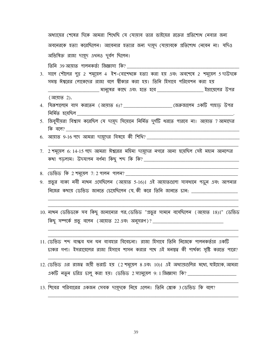অধ্যায়ের শেষের দিকে আমরা শিখেছি যে যোয়াব তার ভাইয়ের রক্তের প্রতিশোধ নেবার জন্য অবনেরকে হত্যা করেছিলেন। আবেনার হত্যার জন্য দায়দ যোয়াবকে প্রতিশোধ নেবেন না। যদিও অভিষিক্ত রাজা দায়ুদ এথনও দুর্বল ছিলেন।

তিনি 39 আয়াত পালনকৰ্তা জিজ্ঞাসা কি?

- 3. সালে শৌলের পুত্র 2 শমূয়েল 4 ইশ-বোশেখকে হত্যা করা হয় এবং অবশেষে 2 শমূয়েল 5 দাউদকে সমস্ত ঈশ্বরের লোকেদের রাজা বলে শ্বীকার করা হয়। তিনি হিসাবে পরিবেশন করা হয় \_\_\_\_\_\_\_ মানুষের কা<mark>ড়ে এবং হতে হবে \_\_\_\_\_\_\_\_\_\_\_\_\_\_\_\_\_\_\_\_\_\_\_\_\_\_\_ ই</mark>স্রায়েলের উপর (আয়াত 2).
- নিৰ্মিত হয়েছিল \_\_\_\_\_\_\_\_\_\_\_\_\_\_\_\_\_
- 5. জিবুসীয়রা বিশ্বাস করেছিল যে দায়ূদ সিয়োনে নির্মিত দুর্গটি ধরতে পারবে না। আয়াত 7 আমাদের কি বলে?
- 
- 7. 2 শমূয়েল 6: 14-15 পদে আমরা ঈশ্বরের মহিমা দায়ুদের নগরে আনা হয়েছিল সেই মহান আনন্দের
- 8. ডেভিড কি 2 শমূয়েল 7:2 পালন পালন? \_\_\_\_\_\_\_\_\_\_
- 9. প্রভুর বাক্য নবী নাখন এসেছিলেন (আয়াত 5-16)। এই আয়াতগুলো সাবধানে পড়ুন এবং আপনার নিজের কথায় ডেভিড জানতে চেয়েছিলেন যে কী করে তিনি জানতে চান:
- 10. নাখন ডেভিডকে সব কিছু জানানোর পর, ডেভিড "প্রভুর সামনে বসেছিলেন (আয়াত 18)।" ডেভিড কিছু সম্পর্কে প্রভু বলেন (আয়াত 22 এবং অনুসরণ)? \_\_\_\_\_\_\_\_\_\_\_\_\_\_\_\_\_\_\_\_\_\_\_\_\_\_\_\_\_\_\_\_\_
- 11. ডেভিড শব্দ বান্ধব ঘন ঘন ব্যবহার বিবেচনা। রাজা হিসাবে তিনি নিজেকে পালনকর্তার একটি ঢাকর গণ্য। ইসরায়েলের রাজা হিসাবে শাসন করার পথে এই মনস্তুত্ব কী পার্থক্য সৃষ্টি করতে পারে?
- 12. ডেভিড এর রাজত্ব জয়ী ভরাট হয় (2 শমূয়েল ৪ এবং 10)। এই অধ্যায়গুলির মধ্যে, যাইহোক, আমরা একটি নতুন চরিত্র চালু করা হয়। ডেভিড 2 স্যামুয়েল 9: 1 জিজ্ঞাসা কি? \_\_\_\_\_\_\_\_\_\_\_\_\_\_\_\_\_\_\_\_
- 13. শিবের পরিবারের একজন সেবক দায়ূদকে নিয়ে এলেন। তিনি শ্লোক 3 ডেভিড কি বলে?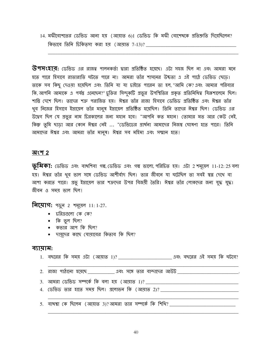14. মফীবোশতের ডেভিড আনা হয় (আয়াত 6)। ডেভিড কি মফী বোশেখকে প্রতিশ্রুতি দিয়েছিলেন? কিভাবে তিনি চিকিত্সা করা হয় (আয়াত 7-13)?

 $\overline{\mathbf{G}}$ পসংহার: ডেভিড এর রাজত্ব পালনকর্তা দ্বারা প্রতিষ্ঠিত হয়েছে। এটা সহজ ছিল না এবং আমরা মনে হতে পারে হিসাবে রাতারাতি ঘটতে পারে না। আমরা তাঁর শাসনের উষ্কতা এ এই পাঠে ডেভিড ছেডে। তাকে সব কিছু দেওয়া হয়েছিল এবং তিনি যা যা চাইতে পারেন তা হল, "আমি কে? এবং আমার পরিবার কি, আপনি আমাকে এ পর্যন্ত এনেছেন?" চুক্তির সিন্দুকটি প্রভুর উপস্থিতির প্রকৃত প্রতিনিধিত্ব যিরূশালেমে ছিল। শান্তি দেশে ছিল। তাদের শত্রু পরাজিত হয়। ঈশ্বর তাঁর রাজা হিসাবে ডেভিড প্রতিষ্ঠিত এবং ঈশ্বর তাঁর খুব নিজের হিসাবে ইস্রায়েল তাঁর মানুষ ইস্রায়েল প্রতিষ্ঠিত হয়েছিল। তিনি তাদের ঈশ্বর ছিল। ডেভিড এর উদ্বেগ ছিল যে প্রভুর নাম চিরকালের জন্য মহান হবে। "আপনি কত মহান! তোমার মত আর কেউ নেই, কিন্তু তুমি ছাডা আর কোন ঈশ্বর নেই ... "ডেভিডের প্রার্থনা আমাদের নিজম্ব ঘোষণা হতে পারে। তিনি আমাদের ঈশ্বর এবং আমরা তাঁর মানুষ। ঈশ্বর সব মহিমা এবং সম্মান হতে!

#### অংশ 2

 $\overline{\mathcal{G}}$ মিকা: ডেভিড এবং বাখশিবা গল্প, ডেভিড এবং গল্প ভালো, পরিচিত হয়। এটা 2 শমূয়েল 11-12: 25 বলা হয়। ঈশ্বর তাঁর থুব ভাল সঙ্গে ডেভিড আশীর্বাদ ছিল। তার জীবনে যা ঘটেছিল তা সবই স্বপ্ন দেখে বা আশা করতে পারে। প্রভু ইস্রায়েল তার শত্রুদের উপর বিজয়ী তৈরি। ঈশ্বর তাঁর লোকদের জন্য যুদ্ধ যুদ্ধ। জীবন ও সময় ভাল ছিল!

**नित्याग:** भफ़ून 2 गमूर्य़न 11: 1-27.

- $\bullet$  চরিত্রগুলো কে কে?
- $\bullet$  কি ভুল ছিল?
- কভার আপ কি ছিল?
- দায়ূদের কাছে যোয়াবের কিতাব কি ছিল?

#### ব্যায়াম:

1. বছরের কি সময় এটা (আয়াত 1)? \_\_\_\_\_\_\_\_\_\_\_\_\_\_\_\_\_\_\_\_\_\_\_\_ এবং বছরের এই সময় কি ঘটবে?

- 
- 4. ডেভিড তার হাতে সময় ছিল। প্রলোভন কি (আয়াত 2)? \_\_\_\_\_\_\_\_\_\_\_\_\_\_\_\_\_\_\_\_\_\_\_\_\_\_\_\_\_\_

5. বাথশ্বা কে ছিলেন (আয়াত 3)?আমরা তার সম্পর্কে কি শিথি? \_\_\_\_\_\_\_\_\_\_\_\_\_\_\_\_\_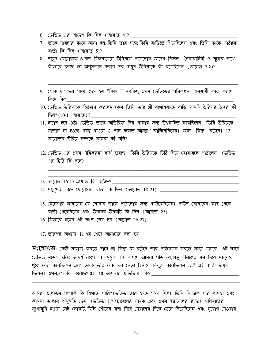- 6. ডেভিড এর আদেশ কি ছিল (আয়াত 4)?
- 7. তাকে দায়ূদের কাছে আনা হল; তিনি তার সঙ্গে; তিনি বাড়িতে গিয়েছিলেন এবং তিনি তাকে পাঠানো বাৰ্তা কি ছিল (আয়াত 5)? <u>\_\_</u>\_\_
- 8. দায়দ যোয়াবকে 6 গদে যিরুশালেমে ঊরিয়কে পাঠানোর আদেশ দিলেন। সৈন্যবাহিনী ও যুদ্ধের সাথে কীভাবে চলছে তা অনুসন্ধান করার পর দামূদ উরিয়াকে কী বলেছিলেন (আয়াত 7-8)?
- 9. শ্লোক 9 শব্দের সাথে শুরু হয় "কিস্তু।" সবকিছু এথন ডেভিডের পরিকল্পনা অনুযায়ী কাজ করছে। কিন্তু কি?
- 10. ডেভিড উরিয়াকে জিজ্ঞেস করলেন কেন তিনি তার স্ত্রী বাখশেবাতে বাড়ি যাননি, উরিয়র উত্তর কী ছিল? (10-11 আয়াত ) ?
- 11. হতাশ হযে ওঠা ডেভিড তাকে অতিরিক্ত দিন থাকার জন্য উৎসাহিত করেছিলেন। তিনি ঊরিয়কে মাতাল না হওয়া পর্যন্ত থাওয়া ও পান করতে আমন্ত্রণ জানিয়েছিলেন। অন্য "কিন্তু" ঘটেছে। 13 আয়াতের উরিয় সম্পর্কে আমরা কী বলি?
- 12. ডেভিড এর প্রথম পরিকল্পনা ব্যর্থ হয়েছে। তিনি উরিয়কে চিঠি দিয়ে যোয়াবকে পাঠালেন। ডেভিড এর চিঠি কি বলে?
- 13. আয়াত 16-17 আয়াত কি ঘটেছে?

15. মেসেঞ্জার জানালেন যে যোয়াব তাকে পাঠানোর জন্য পাঠিয়েছিলেন। দাউদ যোয়াবের কাছ থেকে বার্তা পেয়েছিলেন এবং উত্তরের উত্তরটি কি ছিল (আয়াত 25) \_\_\_\_\_\_\_\_\_\_\_\_\_\_\_\_\_\_\_\_\_\_\_\_\_\_\_\_\_\_\_

16. কিভাবে গল্পের এই অংশ শেষ হয় (আয়াত 26-27)?

 $17.$  তারপর অধ্যায়  $11.2$ র শেষে আমাদের বলা হয় \_\_\_\_\_

 $\overline{X}$ (শাধন: কেউ সাহায্য করতে পারে না কিন্তু যা ঘটেছে তার প্রতিফলন করতে সময় লাগবে। এই সময় ডেভিড মডেল চরিত্র, আদর্শ রাজা। 1 শমূয়েল 13:14 পদে আমরা পড়ি যে, প্রভু "নিজের মন দিয়ে মানুষকে খুঁজে বের করেছিলেন এবং তাকে তাঁর লোকদের নেতা হিসাবে নিযুক্ত করেছিলেন ..." এই ব্যক্তি দায়ূদ ছিলেন। এখন সে কি করেছে? এই গল্প আপনার প্রতিক্রিয়া কি?

আমরা প্রলোভন সম্পর্কে কি শিখতে পারি?।ডেভিড তার হাতে সময ছিল। তিনি নিজেকে পরে বাখশ্বা এবং কামনা তাকান অনুমতি দেয়। ডেভিড!?!? ইস্রায়েলের নায়ক এবং এখন ইস্রায়েলের রাজা! গলিয়াতের মুথোমুথি হওয়া সেই লোকটি, যিনি শৌলের বর্শা দিয়ে দেয়ালের দিকে ঠেলে দিয়েছিলেন এবং সুযোগ দেওয়ার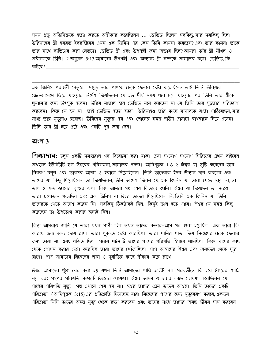সময় প্রভু অভিষিক্তকে হত্যা করতে অস্বীকার করেছিলেন ... ডেভিড ছিলেন সবকিছু, যার সবকিছু ছিল। উরিয়াহের স্ত্রী হযরত ইবরাহীমের এমন এক জিনিস পর কেন তিনি কামনা করতেন? এবং, তার কামনা তাকে তার সাথে ব্যভিচার করা নেতৃত্বে। ডেভিড স্ত্রী এবং উপপত্নী জন্য অভাব ছিল?আমরা তাঁর স্ত্রী মীথল ও অবীগলকে চিনি। 2 শমূয়েল 5:13 আমাদের উপপত্নী এবং অন্যান্য স্ত্রী সম্পর্কে আমাদের বলে। ডেভিড, কি ঘটেছে?

এক জিনিস পরবর্তী নেতৃত্বে। দামুদ তার পাপকে ঢেকে ফেলার চেষ্টা করেছিলেন, তাই তিনি উরিয়কে জেরুজালেমে ফিরে যাওয়ার নির্দেশ দিয়েছিলেন যে এত দীর্ঘ সময় ধরে চলে যাওয়ার পর তিনি তার স্ত্রীকে ঘূমানোর জন্য উৎসুক হবেন। উরিয় মাতাল হলে ডেভিড মনে করতেন না যে তিনি তার দূঢ়তার পরিত্যাগ করবেন। কিন্তু যে হয় না। তাই ডেভিড হত্যা হত্যা! উরিয়াহও তাঁর কাছে যাযাবকে বার্তা পাঠিয়েছেন,যার মধ্যে তার মৃত্যুদণ্ড রয়েছে। ঊরিয়ের মৃত্যুর পর এবং শোকের সময় দাউদ প্রাসাদে বাথশ্বাকে নিয়ে এলেন। তিনি তার স্ত্রী হয়ে ওঠে এবং একটি পুত্র জন্ম দেয়।

#### অংশ $3$

**শিক্ষাদান:** চলুন একটি সমান্তরাল গল্প বিবেচনা করা যাক। ক্রস সংযোগ সংযোগ সিরিজের প্রথম বাইবেল অধ্যয়ন ইউনিটটি হ'ল ঈশ্বরের পরিকল্পনা, আমাদের পছন্দ। আদিপুস্তক 1 ও ২ ঈশ্বর যা সৃষ্টি করেছেন, তার বিবরণ বলুন এবং তারপর আদম ও হবাকে দিয়েছিলেন। তিনি তাদেরকে ইদন উদ্যান দান করলেন এবং তাদের যা কিছু দিয়েছিলেন তা দিয়েছিলেন, তিনি আদেশ দিলেন যে, এক জিনিস যা তারা থেতে চায় না, তা তাল ও মন্দ জ্ঞানের বৃক্ষের ফল। কিন্তু আমরা গল্প শেষ কিভাবে জানি। ঈশ্বর যা দিয়েছেন তা সত্বেও তারা প্রলোভনে পড়েছিল এবং এক জিনিস যা ঈশ্বর তাদের দিয়েছিলেন নি, তিনি এক জিনিস যা তিনি তাদেরকে থেতে আদেশ করেন নি। সবকিছু ঠিকঠাকই ছিল. কিছুই ভাল হতে পারে। ঈশ্বর যে সমস্ত কিছু করেছেন তা উপভোগ করার জন্যই ছিল।

কিন্তু আমরাও জানি যে তারা যথন পাপী ছিল তথন তাদের কভার–আপ গল্প শুরু হয়েছিল। এক তারা কি করেছে জন্য অন্য দোষারোপ। তারা লুকাতে চেষ্টা করেছিল। তারা থামির পাতা দিয়ে নিজেদের ঢেকে ফেলার জন্য তারা নগ্ন এবং লঙ্কিত ছিল। পরের ঘটনাটি তাদের পাপের পরিণতি হিসাবে ঘটেছিল। কিন্তু যাদের কাছ থেকে গোপন করার চেষ্টা করেছিল তারা তাদের থোঁজাচ্ছিল। পাপ আমাদের ঈশ্বর এবং অন্যদের থেকে দূরে রাথে। পাপ আমাদের নিজেদের লঙ্কা ও দুর্নীতির কাছে স্বীকার করে রাথে।

ঈশ্বর আমাদের খুঁজে বের করা হয় যথন তিনি আমাদের শাস্তি আউট না। পরবর্তীতে কি হবে ঈশ্বরের শাস্তি নয় বরং পাপের পরিণতি সম্পর্কে ঈশ্বরের ঘোষণা। ঈশ্বর আদম ও হবার কাছে ঘোষণা করেছিলেন যে পাপের পরিণতি মৃত্যু। গল্প এখানে শেষ হয় না। ঈশ্বর তাদের প্রেম তাদের আশ্বস্তু। তিনি তাদের একটি পরিত্রাতা (আদিপুস্তক 3:15) এর প্রতিশ্রুতি দিয়েছেন, যারা নিজেদের পাপের জন্য মৃত্যুবরণ করবে, একজন পরিত্রাতা যিনি তাদের অনন্ত মৃত্যু থেকে রক্ষা করবেন এবং তাদের সাথে তাদের অনন্ত জীবন দান করবেন।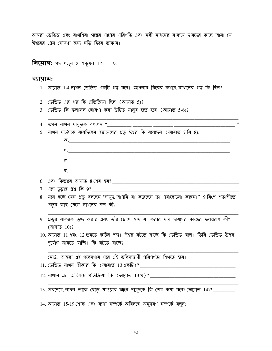আমরা ডেভিড এবং বাথশিবা গল্পের পাপের পরিণতি এবং নবী নাথনের মাধ্যমে দায়ূদের কাছে আনা যে ঈশ্বরের প্রেম ঘোষণা জন্য ঘড়ি ফিরে তাকান।

**निर्माण:** भन भकुन 2 শমর্মেল 12: 1-19.

 $\mu$  তেখন নাথন চামাদক বললেন "

#### ব্যায়াম:

- $1.$  আয়াত  $1-4$  নাখন ডেভিড একটি গল্প বলে। আপনার নিজের কথায় নাথানের গল্প কি ছিল? \_\_\_\_\_
- 
- 3. ডেভিড কি ফলাফল ঘোষণা করা উচিত মানুষ হতে হবে (আয়াত 5-6)? \_\_\_\_\_\_\_\_\_\_\_\_\_\_\_\_\_\_\_\_\_\_

|  | וייר איון יירוי ויירוי ויירש +. $\mathbf{y}$                              |  |  |  |  |  |
|--|---------------------------------------------------------------------------|--|--|--|--|--|
|  | 5. নাখন দাউদকে বলেছিলেন ইস্রায়েলের প্রভু ঈশ্বর কি বলেছেন (আয়াত 7 বি 8): |  |  |  |  |  |

 $\mathbf{P}$ 

| $\overline{\Phi}$ .                                                                                        |
|------------------------------------------------------------------------------------------------------------|
| থ $\sim$                                                                                                   |
| $\mathfrak{N}$ .                                                                                           |
|                                                                                                            |
|                                                                                                            |
|                                                                                                            |
| 8. মনে হচ্ছে যেন প্রভু বলছেন, "দামূদ, আপনি যা করেছেন তা পর্যালোচনা করুন।" 9 বিংশ শতাব্দীতে                 |
|                                                                                                            |
| $\alpha$ and another name and $\alpha$ in the second second control and $\alpha$ and $\alpha$ and $\alpha$ |

- 9. প্রভুর বাক্যকে তুচ্ছ করার এবং তাঁর চোখে মন্দ যা করার দায় দায়ূদের কাজের ফলস্বরূপ কী?  $\sqrt{97}$  (আয়াত  $10$ )?
- 10. আয়াত 11 এবং 12 শুনতে কঠিন শব্দ। ঈশ্বর ঘটতে যাচ্ছে কি ডেভিড বলে। তিনি ডেভিড উপর

লোট: আমরা এই গবেষণায় পরে এই ভবিষ্যদ্বাণী পরিপূর্ণতা শিথতে হবে।

13. অবশেষে, নাথন তাকে ছেড়ে যাওয়ার আগে দায়ূদকে কি শেষ কথা বলে? (আয়াত 14)? \_\_\_\_\_\_\_\_

14. আয়াত 15-19 শোক এবং ব্যথা সম্পর্কে অবিলম্বে অনুসরণ সম্পর্কে বলুন: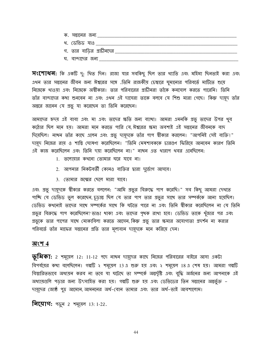ঘ. বান্দাদের জন্য

**সংশোধন:** কি একটি দু: থিত দিন। রাজা যার সবকিছু ছিল তার থ্যাতি এবং মহিমা ছিনতাই করা এবং এখন তার সন্তানের জীবন জন্য ঈশ্বরের সঙ্গে .তিনি রাজকীয় চেম্বারে ঘূমানোর পরিবর্তে মাটিতে শুয়ে নিজেকে থাওয়া এবং নিজেকে অস্বীকার। তার পরিবারের প্রাচীনরা তাঁকে কনসোল করতে পারেনি। তিনি তাঁর বান্দাদের কথা শুনবেন না এবং এখন এই দাসেরা তাকে বলবে যে শিশু মারা গেছে। কিন্তু দায়ূদ তাঁর অন্তরে জানেন যে প্রভু যা করেছেন তা তিনি করেছেন।

আমাদের হৃদয় এই বাবা এবং মা এবং তাদের ক্ষতি জন্য ব্যাখা। আমরা এমনকি প্রভু তাদের উপর থুব কঠোর ছিল মনে হয়। আমরা মনে করতে পারি যে ঈশ্বরের ক্ষমা অবশ্যই এই সন্তানের জীবনকে বাদ দিয়েছিল। নাথন তাঁর কাছে এলেন এবং প্রভু দামূদকে তাঁর পাপ স্বীকার করলেন। "আপনিই সেই ব্যক্তি!" দায়দ নিজের রায় ও শাস্তি ঘোষণা করেছিলেন। "তিনি মেষশাবককে চারগুণ ফিরিয়ে আনবেন কারণ তিনি এই কাজ করেছিলেন এবং তিনি দমা করেছিলেন না।" নাখন এত থারাপ থবর এনেছিলেন:

- 1. তলোয়ার কথনো তোমার ঘরে যাবে না।
- 2. আপনার নিকটবর্তী কোনও ব্যক্তির দ্বারা দুর্ত্তোগ আসবে।
- 3. তোমার জন্মের ছেলে মারা যাবে।

এবং প্রভু দামূদকে স্বীকার করতে বললেন: "আমি প্রভুর বিরুদ্ধে পাপ করেছি।" সব কিছু আমরা দেখতে পাচ্ছি যে ডেভিড ভুল করেছেন, চূড়ান্ত ছিল যে তার পাপ তার প্রভুর সাথে তার সম্পর্ককে আনা হয়েছিল। ডেভিড কথনোই তাদের সাথে সম্পর্কের সাথে কি ঘটতে পারে না এবং তিনি শ্বীকার করেছিলেন না যে তিনি গ্রভুর বিরুদ্ধে পাপ করেছিলেন? ভাঙা থাকা এবং তাদের পৃথক রাখা হবে। ডেভিড তাকে থুঁজার পর এবং প্রভুকে তার পাপের সাথে মোকাবিলা করতে আসেন, কিন্তু প্রভু তার ক্ষমার অযোগ্যতা প্রদর্শন না করার পরিবর্তে তাঁর মাফের সন্তানের প্রতি তার মূল্যবান দায়ূদকে মনে করিয়ে দেন।

#### অংশ 4

 $\overline{\psi}$ মিকা: 2 শমূয়েল 12: 11-12 পদে নাখন দায়ূদের কাছে নিজের পরিবারের বাইরে আসা একটা বিপর্যমের কথা বলেছিলেন। গল্পটি ২ শমূয়েল 13 এ শুরু হয় এবং ২ শমূয়েল 18 এ শেষ হয়। আমরা গল্পটি বিস্তারিতভাবে অধ্যয়ন করব না তবে যা ঘটেছে তা সম্পর্কে অন্তর্দৃষ্টি এবং বৃদ্ধি অর্জনের জন্য আপনাকে এই অধ্যায়গুলি পডার জন্য উৎসাহিত করা হয়। গল্পটি শুরু হয় এবং ডেভিডের তিন সন্তানের অন্তর্ভুক্ত – দায়ূদের জ্যেষ্ঠ পুত্র আমোন, আমননের অর্ধ-বোন তামার এবং তার অর্ধ-ভাই আবশালোম।

**नित्याग:** भफ़ून 2 समूत्य़न 13: 1-22.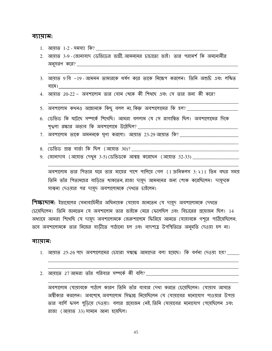#### ব্যায়াম:

- <u>1. আয়াত 1-2 সমস্যা কি?</u>
- 2. আয়াত 3-9 জোনাবাদ ডেভিডের ভাগ্নী আমননের চাচাতো ভাই। তার পরামর্শ কি অমনোনীর অন্সরণ করে?
- 3. আয়াত 9 বি –19 আমনন তামারকে ধর্ষণ করে তাকে নিক্ষেপ করলেন। তিনি অশুচি এবং লঙ্কিত
- 4. আয়াত 20-22 অবশালোম তার বোন থেকে কী শিখছে এবং সে তার জন্য কী করে?
- 5. অবশালোম কথনও অম্লোনকে কিছু বলল না, কিন্তু অবশালোমের কি হল? \_\_\_\_\_\_\_\_\_\_\_\_\_\_\_
- 6. ডেভিড কি ঘটেছে সম্পর্কে শিথেছি। আমরা বললাম যে সে রাগান্বিত ছিল। অবশালোমের দিকে শৃখ্বলা রক্ষার অভাব কি অবশালোমে উঠেছিল? \_\_\_\_\_\_\_\_\_\_\_\_\_\_\_\_\_\_\_\_\_\_\_\_\_\_
- 7. অবশালোম তাকে অমননকে ঘৃণা করলো। আয়াত 23-29আয়াত কি? \_\_\_\_\_\_\_\_\_\_\_\_\_\_\_\_\_\_\_\_\_\_\_\_\_
- 8. ডেভিড প্ৰাপ্ত বাৰ্তা কি ছিল (আয়াত 30)?
- 9. জোনাদাব (আয়াত দেখুন 3-5)ডেভিডকে আশ্বস্ত করেছেন (আয়াত 32-33) \_\_\_\_\_\_\_\_\_\_\_\_\_\_

অবশালোম তার পিতার ঘরে তার মায়ের পাশে পালিয়ে গেল (1 ক্রনিকলস 3: ২)। তিন বছর সময় তিনি তাঁর পিতামহের বাডিতে থাকতেন, রাজা দায়দ আমননের জন্য শোক করেছিলেন। দায়দকে সাম্বনা দেওয়ার পর দায়দ অবশালোমকে দেখতে চাইলেন।

**শিক্ষাদাল:** ইস্রায়েলের সেনাবাহিনীর অধিনায়ক যোয়াব জানতেন যে দায়দ অবশালোমকে দেখতে চেয়েছিলেন। তিনি জানতেন যে অবশালোম তার ভাইকে মেরে ফেলেছিল এবং বিচারের প্রয়োজন ছিল। 14 অধ্যায়ে আমরা শিথেছি যে দায়ুদ অবশালোমকে জেরুশালেমে ফিরিয়ে আনতে যোয়াবকে গশরে পাঠিয়েছিলেন; তবে অবশালোমকে তার নিজের বাডীতে পাঠানো হল এবং বাদশাহ্র উপস্থিতিতে অনুমতি দেওয়া হল না।

#### ব্যায়াম:

- 1. আয়াত 25-26 পদে অবশালোমের চেহারা সম্বন্ধে আমাদের বলা হয়েছে। কি বর্ণনা দেওয়া হয়? \_\_\_\_\_
- 2. আমাতে 27আমরা তাঁর পরিবার সম্পর্কে কী বলি?

অবশালোম যোয়াবকে পাঠাল কারণ তিনি তাঁর বাবার দেখা করতে চেয়েছিলেন। যোয়াব আসতে অস্বীকার করলেন। অবশেষে অবশালোম সিদ্ধান্ত নিয়েছিলেন যে যোয়াবের মনোযোগ পাওয়ার উপায় তার বার্লি ফসল পুডিয়ে দেওয়া। বলার প্রয়োজন নেই তিনি যোয়াবের মনোযোগ পেয়েছিলেন এবং রাজা (আয়াত 33) সামনে আনা হয়েছিল।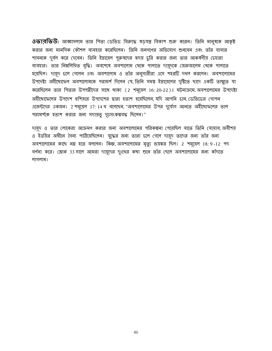**ওভারভিউ:** আব্বাসলাম তার শিতা ডেভিড বিরুদ্ধে ষড়যন্ত্র বিকাশ শুরু করেন। তিনি মানুষকে আকৃষ্ট করার জন্য মানসিক কৌশল ব্যবহার করেছিলেন। তিনি জনগণের অভিযোগ শুনবেন এবং তাঁর বাবার শাসনকে দুর্বল করে দেবেন। তিনি ইস্রায়েল পুরুষদের হৃদয় চুরি করার জন্য তার আকর্ষণীয় চেহারা ব্যবহার। তার নিম্নলিথিত বৃদ্ধি। অবশেষে অবশালোম থেকে পালাতে দামুদকে জেরুজালেম থেকে পালাতে হয়েছিল। দায়ুদ চলে গেলেন এবং অবশালোম ও তাঁর অনুসারীরা এসে শহরটি দখল করলেন। অবশালোমের উপদেষ্টা অহীথোফেল অবশালোমকে পরামর্শ দিলেন যে, তিনি সমস্ত ইস্রায়েলের দৃষ্টিতে ছাদে একটি তাম্বুতে যা করেছিলেন তার পিতার উপপন্নীদের সাথে থাকা (2 শমূয়েল 16:20-22)। ঘটনাক্রমে, অবশালোমের উপদেষ্টা অহীথোফেলের উপদেশ হুশিয়ার উপদেশের দ্বারা হতাশ হয়েছিলেন, যদি আপনি চান, ডেভিডের গোপন এজেন্টদের একজন। 2 শমূয়েল 17:14 থ বলেছেন, "অবশালোমের উপর দুর্যোগ আনতে অহীথোফলের ভাল পরামর্শকে হতাশ করার জন্য সদাপ্রভু দূরসংকল্পবদ্ধ ছিলেন।"

দায়দ ও তার লোকেরা আক্রমণ করার জন্য অবশালোমের পরিকল্পনা পেয়েছিল যাতে তিনি যোয়াব, অবীশয় ও ইত্তয়ির অধীনে সৈন্য পাঠিয়েছিলেন। যুদ্ধের জন্য তারা চলে গেলে দায়ূদ তাদের জন্য তাঁর জন্য অবশালোমের কাছে নয় হতে বললেন। কিন্তু, অবশালোমের মৃত্যু ভয়ঙ্কর ছিল। 2 শম্ময়েল 18:9-12 পদ বর্ণনা করে। শ্লোক 33 সালে আমরা দায়দের দুঃথের কথা শুনে তাঁর ছেলে অবশালোমের জন্য কাঁদতে লাগলাম।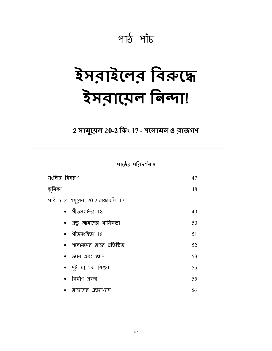### পাঠ পাঁচ

# ইসরাইলের বিরুদ্ধে रेमवारान निन्मा

### 2 সামুয়েল 20-2 কিং 17 - শলোমন ও ব্রাজগণ

পাঠের পরিদর্শন $5$ 

| সংক্ষিপ্ত বিবরণ                  |    |
|----------------------------------|----|
| ভূমিকা                           | 48 |
| পাঠ 5: 2 শমুয়েল 20-2 রাজাবলি 17 |    |
| $\bullet$ গীতসংহিতা $18$         | 49 |
| • প্রভু আমাদের ধার্মিকতা         | 50 |
| $\bullet$ গীতসংহিতা $18$         | 51 |
| •   শলোমনের  রাজ্য  প্রতিষ্ঠিত   | 52 |
| • জ্ঞান এবং জ্ঞান                | 53 |
| • দুই মা, এক শিশুর               | 55 |
| • নির্মাণ প্রকল্প                | 55 |
| • রাজাদের প্রত্যাখ্যান           | 56 |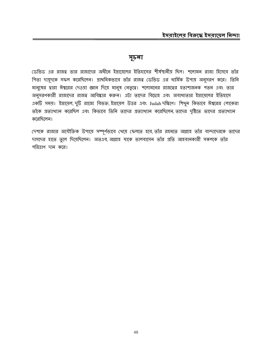#### সূচনা

ডেভিড এর রাজত্ব তার রাজাদের অধীনে ইস্রায়েলের ইতিহাসের শীর্ষস্থানীয় ছিল। শলোমন রাজা হিসেবে তাঁর পিতা দায়ূদকে সফল করেছিলেন। প্রাথমিকভাবে তাঁর রাজত্ব ডেভিড এর ধার্মিক উপায় অনুসরণ করে। তিনি মানুষের দ্বারা ঈশ্বরের দেওয়া জ্ঞান দিয়ে মানুষ নেতৃত্বে। শলোমনের রাজত্বের হতাশাজনক পতন এবং তার অনুসরণকারী রাজাদের রাজত্ব আবিষ্কার করুন। এটা তাদের বিদ্রোহ এবং অবাধ্যতার ইস্রায়েলের ইতিহাসে একটি সময়। ইস্রায়েল, দুটি রাজ্যে বিভক্ত, ইস্রায়েল উত্তর এবং Judah দক্ষিণে। শিথুন কিভাবে ঈশ্বরের লোকেরা তাঁকে প্রত্যাখ্যান করেছিল এবং কিভাবে তিনি তাদের প্রত্যাখ্যান করেছিলেন তাদের দৃষ্টিতে তাদের প্রত্যাখ্যান করেছিলেন।

দেশকে রাজার অযৌক্তিক উপায়ে সম্পূর্ণভাবে থেয়ে ফেলতে হবে, তাঁর রহমতে আল্লাহ তাঁর বান্দাদেরকে তাদের দাসদের হাতে তুলে দিয়েছিলেন। অতএব, আল্লাহ যাকে ভালবাসেন তাঁর প্রতি আহবানকারী সকলকে তাঁর পরিত্রাণ দান করে।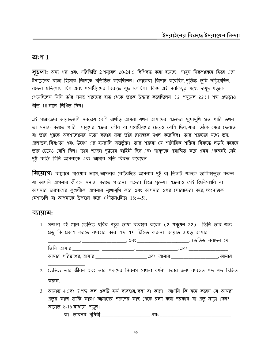#### অংশ  $1$

 $\overline{y}$   $\overline{b}$  না: অন্য গল্প এবং পরিস্থিতি 2 শমূয়েল 20-24 এ লিপিবদ্ধ করা হয়েছে। দায়ূদ যিরুশালেমে ফিরে এসে ইস্রায়েলের রাজা হিসেবে নিজেকে প্রতিষ্ঠিত করেছিলেন। লোকেরা বিদ্রোহ করেছিল, দুর্তিক্ষ ভূমি ছডিয়েছিল, রক্তের প্রতিশোধ ছিল এবং পলেষ্টীয়দের বিরুদ্ধে যুদ্ধ চলছিল। কিন্তু এই সবকিছুর মধ্যে দায়ূদ প্রভুকে গেয়েছিলেন যিনি তাঁর সমস্ত শত্রুদের হাত থেকে তাকে উদ্ধার করেছিলেন (2 শমূয়েল 22)। শব্দ এছাড়াও গীত 18 সালে লিখিত ছিল।

এই সাম্রাজ্যের আয়াতগুলি সবচেয়ে বেশি অর্থাত্ আমরা যথন আমাদের শত্রুদের মুথোমুথি হতে পারি তথন তা সনাক্ত করতে পারি। দায়দের শত্রুরা শৌল বা পলেষ্টীয়দের চেয়েও বেশি ছিল, যারা তাঁকে মেরে ফেলতে বা তার পুত্রকে অবশালোমের মতো করার জন্য তাঁর রাজত্বকে দখল করেছিল। তার শত্রুদের মধ্যে ভয়, গ্রলোভন, বিষণ্ণতা এবং উদ্বেগ এর হয়রানি অন্তর্ভুক্ত। তার শত্রুরা যে শারীরিক শক্তির বিরুদ্ধে লডাই করেছে তার চেয়েও বেশি ছিল। তার শত্রুরা দুষ্টদের বাহিনী ছিল, এবং দায়ূদকে পরাজিত করে এমন একজনই সেই দুষ্ট ব্যক্তি যিনি আপনাকে এবং আমার প্রতি বিরক্ত করেছেন।

**নিমোগ:** ব্যায়ামে যাওয়ার আগে,আপনার নোটবইতে আপনার দুই বা তিনটি শত্রুকে তালিকাভুক্ত করুন যা আপনি আপনার জীবনে সনাক্ত করতে পারেন। শত্রুরা হিংদ্র পুরুষ। শত্রুরাও সেই জিনিসগুলি যা আপনার চারপাশের কৃণ্ডলীকে আপনার মুখোমুখি করে এবং আপনার ওপর ঘোরাফেরা করে ধ্বংসাত্মক নেশাগুলি যা আপনাকে উপহাস করে (গীতসংহিতা 18:4-5).

#### ব্যায়াম:

- 1. প্রশংসা এই গানে ডেভিড ছবির প্রচুর ভাষা ব্যবহার করেন (2 শমূয়েল 22)। তিনি তার জন্য প্রভু কি প্রকাশ করতে ব্যবহার করে শব্দ শব্দ চিহ্নিত করুন। আয়াত 2 প্রভু আমার \_\_, \_\_\_\_\_\_\_\_\_\_\_\_\_\_\_\_\_\_\_\_\_\_, এবং \_\_\_\_\_\_\_\_\_\_\_\_\_\_\_\_\_\_\_\_\_\_\_\_\_\_\_. (ডভিড বলছেন যে
- 2. ডেভিড তার জীবন এবং তার শত্রুদের নিরলস সাধনা বর্ণনা করার জন্য ব্যবহৃত শব্দ শব্দ চিহ্নিত করুন.
- 3. আয়াত 4 এবং 7 শব্দ কল একটি ফর্ম ব্যবহার, বলা, বা কান্না। আপনি কি মনে করেন যে আমরা প্রভুর কাছে ডাকি কারণ আমাদের শত্রুদের কাছ থেকে রক্ষা করা দরকার যা প্রভু সাড়া দেন? আয়াত 8-16 মাধ্যমে পড়ুন।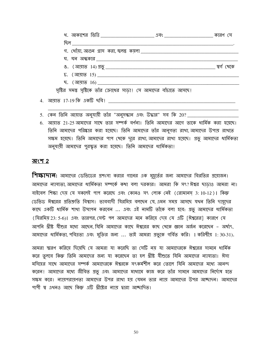|                                                                    | <u>খ. আকাশের ভিত্তি ______________________</u> এবং ________________________ কারণ সে |             |
|--------------------------------------------------------------------|-------------------------------------------------------------------------------------|-------------|
|                                                                    |                                                                                     |             |
|                                                                    |                                                                                     |             |
| <u> ঘ. ঘন অন্ধকার _________________________________</u>            |                                                                                     |             |
|                                                                    |                                                                                     | স্বৰ্গ খেকে |
|                                                                    |                                                                                     |             |
| <u>ছ. (আয়াত 16) _________________________________</u>             |                                                                                     |             |
| সৃষ্টির সমস্ত সৃষ্টিকে তাঁর ক্রোধের সাড়া। সে আমাদের বাঁচাতে আসছে। |                                                                                     |             |
| আয়াত 17-19 কি একটি ছবি! __________                                |                                                                                     |             |

- 5. কেন তিনি আয়াত অনুযায়ী তাঁর "অনুসন্ধান এবং উদ্ধার" সব কি 20?
- 6. আয়াত 21-25 আমাদের সাথে তার সম্পর্ক বর্ণনা। তিনি আমাদের আগে তাকে ধার্মিক করা হয়েছে। তিনি আমাদের পরিষ্কার করা হয়েছে। তিনি আমাদের তাঁর আনুগত্য রাখা, আমাদের উপায় রাখতে সক্ষম হয়েছে। তিনি আমাদের পাপ থেকে দূরে রাখা, আমাদের রাখা হয়েছে। প্রভু আমাদের ধার্মিকতা অনুযায়ী আমাদের পুরস্কৃত করা হয়েছে। তিনি আমাদের ধার্মিকতা।

#### অংশ 2

 $4.$ 

**শিক্ষাদান:** আমাদের ডেভিডের প্রশংসা করার গানের এক মুহূর্তের জন্য আমাদের বিরতির প্রয়োজন। আমাদের ন্যায্যতা, আমাদের ধার্মিকতা সম্পর্কে কথা বলা দরকার। আমরা কি সৎ? ঈশ্বর ছাড়াও আমরা না। বাইবেল শিক্ষা দেয় যে সকলেই পাপ করেছে এবং কোনও সৎ লোক নেই (রোমানস 3:10-12)। কিন্তু ডেভিড ঈশ্বরের প্রতিশ্রুতি বিশ্বাস। ভাববাদী যিরমিয় বলছেন যে, এমন সময় আসছে যখন তিনি দায়দের কাছে একটি ধার্মিক শাখা উত্থাপন করবেন ... এবং এই নামটি তাঁকে বলা হবে: প্রভু আমাদের ধার্মিকতা (যিরমিয় 23: 5-6)। এবং তারপর সেন্ট পল আমাদের মনে করিয়ে দেয় যে এটি [ঈশ্বরের] কারণে যে আপনি খ্রীষ্ট যীশুর মধ্যে আছেন, যিনি আমাদের কাছে ঈশ্বরের কাছ থেকে জ্ঞান অর্জন করেছেন – অর্থাৎ, আমাদের ধার্মিকতা, পবিত্রতা এবং মুক্তির জন্য ... তাই আমরা প্রভুকে গর্বিত করি। 1 করিন্থীয় 1:30-31).

আমরা স্মরণ করিয়ে দিয়েছি যে আমরা যা করেছি তা সেটি নয় যা আমাদেরকে ঈশ্বরের সামনে ধার্মিক করে তুলবে কিন্তু তিনি আমাদের জন্য যা করেছেন তা হল খ্রীষ্ট যীশুতে যিনি আমাদের ন্যায্যতা। ঈসা মসিহের সাথে আমাদের সম্পর্ক আমাদেরকে ঈশ্বরকে সংকর্মশীল করে তোলে যিনি আমাদের মধ্যে আনন্দ করেন। আমাদের মধ্যে জীবিত প্রভু এবং আমাদের মাধ্যমে কাজ করে তাঁর সামনে আমাদের নির্দোষ হতে সক্ষম করে। ন্যায়পরায়ণতা আমাদের উপর রাখা হয় যেমন তার ন্যায় আমাদের উপর আচ্ছাদন। আমাদের পাপী শ্ব এখনও আছে কিন্তু এটি খ্রীষ্টের ন্যায় দ্বারা আঙ্ঘদিত।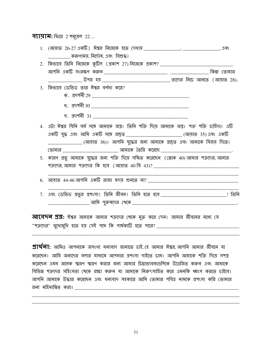व्रायाम: फिल 2 गमूसन 22 ...

| 1. (আয়াত 26-27 একটি) ঈশ্বর নিজেকে হতে দেখায় <b>________________</b> , ________________, এবং       |  |  |
|-----------------------------------------------------------------------------------------------------|--|--|
| ___ করুণাময়, নির্দোষ, এবং  বিশুদ্ধ।                                                                |  |  |
|                                                                                                     |  |  |
|                                                                                                     |  |  |
|                                                                                                     |  |  |
| 3. কিভাবে ডেভিড তার ঈশ্বর বর্ণনা করে?                                                               |  |  |
|                                                                                                     |  |  |
|                                                                                                     |  |  |
|                                                                                                     |  |  |
| 4. এটা ঈশ্বর যিনি বর্ম সঙ্গে আমাকে অস্ত্র। তিনি শক্তি দিয়ে আমাকে অস্ত্র। শত্রু শক্তি চাহিদা। এটি   |  |  |
| একটি যুদ্ধ এবং আমি একটি সঙ্গে প্রস্তুত _________________________________(আয়াত 35)এবং একটি          |  |  |
| _______________ (আয়াত 36)। আপনি যুদ্ধের জন্য আমাকে প্রস্তুত এবং আমাকে বিজয় দিতে।                  |  |  |
|                                                                                                     |  |  |
| 5. কারণ প্রভু আমাকে যুদ্ধের জন্য শক্তি দিয়ে সঙ্গিত করেছেন (স্লোক 40)আমার শত্রুদের,আমার             |  |  |
|                                                                                                     |  |  |
|                                                                                                     |  |  |
| 7. এবং ডেভিড প্রভুর প্রশংসা! তিনি জীবন! তিনি হতে হবে <b>________________________________</b> ! তিনি |  |  |
|                                                                                                     |  |  |
|                                                                                                     |  |  |

**আবেদন প্রশ্ন:** ঈশ্বর আমাকে আমার শত্রুদের থেকে মুক্ত করে দেন। আমার জীবনের মধ্যে যে 

**প্রার্থলা:** আমিও আপনাকে অসংথ্য ধন্যবাদ জানাতে চাই, হে আমার ঈশ্বর, আপনি আমার জীবনে যা করেছেন। আমি অন্যদের বলার মাধ্যমে আপনার প্রশংসা গাইতে চান। আপনি আমাকে শক্তি দিয়ে সশস্ত্র করেছেন এমন অনেক স্মরণ স্মরণ করার জন্য আমার চিন্তাভাবনাগুলিকে উত্তেজিত করুন এবং আমাকে বিভিন্ন শত্রুদের সহিংসতা থেকে রক্ষা করুন যা আমাকে নিরুৎসাহিত করে এমনকি ধ্বংস করতে চাইবে। আপনি আমাকে উদ্ধার করেছেন এবং ধন্যবাদ সহকারে আমি তোমার পবিত্র নামকে প্রশংসা করি তোমার <u> জন্য মহিমান্বিত করা। \_\_\_\_\_\_\_\_\_\_\_\_\_\_\_\_\_\_\_\_\_\_</u>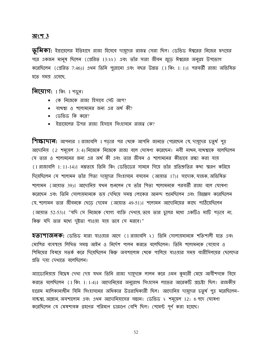#### <u> অংশ 3</u>

 $\overline{\psi}$ মিকা: ইস্রায়েলের ইতিহাসে রাজা হিসেবে দায়ূদের রাজত্ব সেরা ছিল। ডেভিড ঈশ্বরের নিজের হৃদয়ের পরে একজন মানুষ ছিলেন (প্রেরিত 13:২২) এবং তাঁর সারা জীবন জুডে ঈশ্বরের অনুগ্রহ উপভোগ করেছিলেন (প্রেরিত 7:46)। এথন তিনি পুরোনো এবং বছর উন্নত (1 কিং 1:1)। পরবর্তী রাজা অভিষিক্ত হতে সময় এসেছে,

**नित्पागः** 1 किः 1 भफ़ून।

- $\bullet$  কে নিজেকে রাজা হিসাবে সেট আপ?
- $\bullet$  বাখশ্বা ও শলোমনের জন্য এর অর্থ কী?
- $\bullet$  ডেভিড কি করে?
- $\bullet$  ইস্রায়েলের উপর রাজা হিসাবে সিংহাসনে রাজত্ব কে?

শিক্ষাদান: আপনার 1 রাজাবলি 1 পড়ার পর থেকে আপনি জানতে পেরেছেন যে, দামূদের চতুর্থ পুত্র আদোনিয় (2 শময়েল 3:4) নিজেকে নিজেকে রাজা বলে ঘোষণা করেছেন। নবী নাখন, বাখশ্বাকে বলেছিলেন যে তার ও শলোমনের জন্য এর অর্থ কী এবং তার জীবন ও শলোমনের কীতাবে রক্ষা করা যায় (1 রাজাবলি 1: 11-14)। নম্রতায় তিনি কিং ডেভিডের সামনে গিয়ে তাঁর প্রতিশ্রুতির কথা স্মরণ করিয়ে দিয়েছিলেন যে শলোমন তাঁর পিতা দায়দের সিংহাসনে বসবেন (আয়াত 17)। সাদোক যাজক অভিষিক্ত শলোমন (আয়াত 39)। আদোনিয় যথন শুনলেন যে তাঁর পিতা শলোমনকে পরবর্তী রাজা বলে ঘোষণা করেছেন এবং তিনি সোলায়মানকে ভয় দেখিয়ে সমস্ত লোকের আনন্দ শুনেছিলেন এবং জিজ্ঞেস করেছিলেন যে, শলোমন তার জীবনকে ছেডে দেবেন (আয়াত 49-51)। শলোমন আদোনিয়ের কাছে পাঠিয়েছিলেন (আয়াত 52-53)। "যদি সে নিজেকে যোগ্য ব্যক্তি দেখায়, তবে তার চুলের মধ্যে একটিও মাটি পডবে না, কিন্তু যদি তার মধ্যে দুষ্টতা পাওয়া যায় তবে সে মরবে।"

**হতাশাজনক:** ডেভিড মারা যাওয়ার আগে (1 রাজাবলি ২) তিনি সোলায়মানকে শক্তিশালী হতে এবং মোশির ব্যবস্থায় লিখিত সমস্তু আইন ও নির্দেশ পালন করতে বলেছিলেন। তিনি শলোমনকে যোয়াব ও শিমিয়ের বিষয়ে সতর্ক করে দিয়েছিলেন কিন্তু অবশালোম থেকে পালিয়ে যাওয়ার সময় বারীসিলয়ের ছেলেদের প্ৰতি দযা দেখাতে বলেছিলেন।

অ্যাডোনিয়ায় বিদ্বেষ দেখা দেয় যথন তিনি রাজা দায়ূদকে লালন করে এমন কুমারী মেয়ে আবীশগকে বিয়ে করতে বলেছিলেন (1 কিং 1: 1-4)। আদোনিয়ের অনুরোধ সিংহাসন লাভের আরেকটি প্রচেষ্টা ছিল। রাজকীয় হারেম মালিকানাধীন যিনি সিংহাসনের অধিকার উত্তরাধিকারী ছিল। আদোনিয় দায়দের চতুর্থ পুত্র মরেছিলেন– বাষ্টশ্বা, অম্লোন, অবশালোম এবং এথন আদোনিয়াসের সন্তান। ডেভিড ২ শমূয়েল 12: 6 পদে ঘোষণা করেছিলেন যে মেষশাবক গ্রহণের পরিমাণ চারগুণ বেশি ছিল। পেমেন্ট পূর্ণ করা হয়েছে।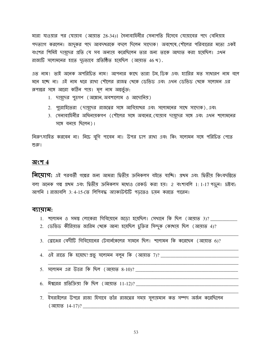মারা যাওয়ার পর যোয়াব (আয়াত 28-34)। সৈন্যবাহিনীর সেনাপতি হিসেবে যোয়াবের পদে বেনিয়াহ পদত্যাগ করলেন। জাদকর পদে আবদখরকে বদলে দিলেন সাদোক। অবশেষে শৌলের পরিবারের মতো একই বংশের শিমিই দায়ুদের প্রতি যে সব অন্যায় করেছিলেন তার জন্য তাকে আঘাত করা হয়েছিল। এথন রাজ্যটি সলোমনের হাতে দূঢ়ভাবে প্রতিষ্ঠিত হয়েছিল (আয়াত 46.থ).

এত নাম। তাই অনেক অপরিচিত নাম। আপনার কাছে তারা টম ডিক এবং হ্যারির মত সাধারণ নাম বলে মনে হচ্ছে না। এই নাম ধরে রাখা শৌলের রাজত্ব থেকে ডেভিড এবং এথন ডেভিড থেকে সলোমন এর রূপান্তর সঙ্গে আরো কঠিন পায়। মূল নাম অন্তর্ভুক্ত:

- 1. দায়ূদের পুত্রগণ (অম্লোন, অবশালোম ও আদোনিয়)
- 2. পুরোহিতেরা (দায়দের রাজত্বের সঙ্গে আবিয়াথর এবং সলোমনের সাথে সাদোক), এবং
- 3. সেনাবাহিনীর অধিনায়কগণ (শৌলের সঙ্গে অবনের,যোয়াব দায়দের সঙ্গে এবং এথন শলোমনের সঙ্গে বনায় ছিলেন)।

নিরুৎসাহিত করবেন না। নিচে বুগি পাবেন না। উপর চাপ রাখা এবং কিং সলোমন সঙ্গে পরিচিত পেতে শুরু।

#### অংশ  $4$

**লিয়োগ:** এই পরবর্তী গল্পের জন্য আমরা দ্বিতীয় ক্রনিকলস বইতে যাচ্ছি। প্রথম এবং দ্বিতীয় কিংবদন্তিতে বলা অনেক গল্প প্রথম এবং দ্বিতীয় ক্রনিকলস মধ্যেও রেকর্ড করা হয়। 2 বংশাবলি 1:1-17 পড়ুন। দ্রষ্টব্য: আপনি 1 রাজাবলি 3: 4-15-তে লিপিবদ্ধ অ্যাকাউন্টটি পড়তেও চয়ন করতে পারেন।

#### ব্যায়াম:

- 1. শলোমন ও সমস্ত লোকেরা গিবিয়োনে জড়ো হয়েছিল। সেখানে কি ছিল (আয়াত 3)? \_\_\_\_\_\_\_\_\_\_\_
- 2. ডেভিড কীরিয়াত জারিম খেকে আনা হয়েছিল চুক্তির সিন্দুক কোখায় ছিল (আয়াত 4)?
- 3. রোঞ্জের বেদীটি গিবিয়োনের টেবার্নকেলের সামনে ছিল। শলোমন কি করেছেন (আয়াত 6)?
- 
- <u>5. সলোমন এর উত্তর কি ছিল (আয়াত 8-10)? \_\_\_\_\_\_\_\_\_\_\_\_\_\_\_\_\_\_\_\_\_\_\_</u>
- $6.$  ঈশ্বরের প্রতিক্রিয়া কি ছিল (আয়াত 11-12)? \_\_\_\_\_\_\_\_\_\_\_
- 7. ইসরাইলের উপরে রাজা হিসাবে তাঁর রাজত্বের সময় সুলায়মান কত সম্পদ অর্জন করেছিলেন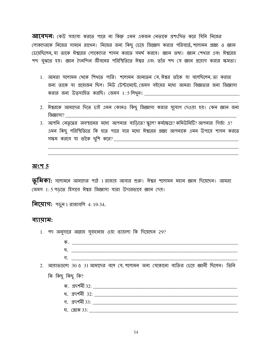**আবেদন:** কেউ সাহায্য করতে পারে না কিন্তু এমন একজন নেতাকে প্রশংসিত করে যিনি নিজের লোকদেরকে নিজের সামনে রাথেন। নিজের জন্য কিছু চেয়ে জিজ্ঞেস করার পরিবর্তে, শলোমন প্রজ্ঞা ও জ্ঞান (চয়েছিলেন, যা তাকে ঈশ্বরের লোকেদের শাসন করতে সমর্থ করবে। জ্ঞান তথ্য। জ্ঞান শেখার এবং ঈশ্বরের শব্দ বুঝতে হয়। জ্ঞান দৈনন্দিন জীবনের পরিস্থিতিতে ঈশ্বর এবং তাঁর শব্দ যে জ্ঞান প্রয়োগ করার ক্ষমতা।

- 1. আমরা সলোমন থেকে শিখতে পারি। শলোমন জানতেন যে ঈশ্বর তাঁকে যা বলেছিলেন তা করার জন্য তাকে যা প্রয়োজন ছিল। নিউ টেস্টামেন্টে জেমস বইয়ের মধ্যে আমরা বিজ্ঞতার জন্য জিজ্ঞাসা
- 2. ঈশ্বরকে আমাদের দিতে চাই এমন কোনও কিছু জিজ্ঞাসা করার সুযোগ দেওয়া হয়। কেন জ্ঞান জন্য জিজ্ঞাসা?
- 3. আপনি নেতৃত্বের অবস্থানের মধ্যে আপনার বাডিতে? স্কুলে? কর্মক্ষেত্রে? কমিউনিটি? আপনার গির্জা এ? এমন কিছু পরিস্থিতিতে কি হতে পারে যার মধ্যে ঈশ্বরের প্রজ্ঞা আপনাকে এমন উপায়ে শাসন করতে

#### <u> অংশ 5</u>

 $\overline{\psi}$ মিকা: সলোমনে আমাদের পাঠ 1 রাজায় আবার শুরু। ঈশ্বর শলোমন মহান জ্ঞান দিয়েছেন। আমরা জেমস 1: 5 পড়তে হিসাবে ঈশ্বর জিজ্ঞাসা যারা উদারভাবে জ্ঞান দেয়।

**नित्पाग:** भড़ून 1 রাজাবলি 4: ২9-34.

#### ব্যায়াম:

1. পদ অনুসারে আল্লাহ সুবহানাহু ওয়া তায়ালা কি দিয়েছেন 29? গ. 2. আয়াতগুলো 30 ও 31 আমাদের বলে যে, শলোমন অন্য যেকোনো ব্যক্তির চেয়ে জ্ঞানী ছিলেন। তিনি কি কিছু কিছু কি? গ. প্ৰদৰ্শনী 33: সাহিত্য সম্ভাৱিত আৰু সম্ভাৱিত সম্ভাৱিত সম্ভাৱিত সম্ভাৱিত সম্ভাৱিত সম্ভাৱিত সম্ভাৱিত সম্ভাৱিত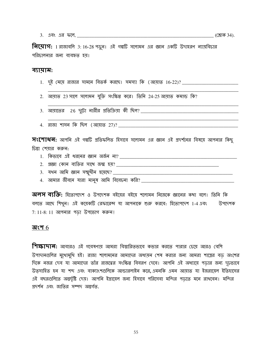**নিয়োগ:** 1 রাজাবলি 3: 16-28 পড়ুন। এই গল্পটি সলোমন এর জ্ঞান একটি উদাহরণ ন্যায়বিচার পরিচালনার জন্য ব্যবহৃত হয়।

#### ব্যায়াম:

- 
- 2. আয়াত 23 সালে সলোমন যুক্তি সংক্ষিপ্ত করে। তিনি 24-25 আয়াত কমান্ড কি?
- 
- 4. রাজা শাসন কি ছিল (আয়াত 27)?

 $\overline{X}$ (শাধন: আপনি এই গল্পটি প্রতিফলিত হিসাবে সলোমন এর জ্ঞান এই প্রদর্শনের বিষয়ে আপনার কিছু চিন্তা শেয়ার করুন:

<u> 1980 - Johann John Stone, mars eta biztanleria (h. 1980).</u>

- 
- 
- 
- 

**অলস ব্যক্তি:** হিতোপদেশ ও উপদেশক বইয়ের বইয়ে শলোমন নিজেকে জ্ঞানের কথা বলে। তিনি কি বলতে আছে শিখুন। এই কমেকটি রেফারেন্স যা আপনাকে শুরু করবে: হিতোপদেশ 1-4 এবং উপদেশক  $7:11-8:11$  আপনার পড়া উপভোগ করুন!

#### অংশ  $6$

**শিক্ষাদান:** আবারও এই গবেষণায় আমরা বিস্তারিতভাবে কভার করতে পারার চেয়ে আরও বেশি উপাদানগুলির মুথোমুথি হই। রাজা শলোমনের আমাদের অধ্যয়ন শেষ করার জন্য আমরা শাস্ত্রের বড অংশের দিকে নজর দেব যা আমাদের তাঁর রাজত্বের সংক্ষিপ্ত বিবরণ দেবে। আপনি এই অধ্যায়ে পডার জন্য দূঢ়ভাবে উত্সাহিত হন যা শব্দ এবং বাক্যাংশগুলিকে আন্ডারলাইন করে এমনকি এমন আয়াত যা ইজরায়েল ইতিহাসের এই বছরগুলিতে অন্তর্দৃষ্টি দেয়। আপনি ইস্রায়েল জন্য হিসাবে পরিসেবা মন্দির পডতে মনে রাখবেন। মন্দির প্রদর্শন এবং জাতির সম্পদ অন্তর্গত,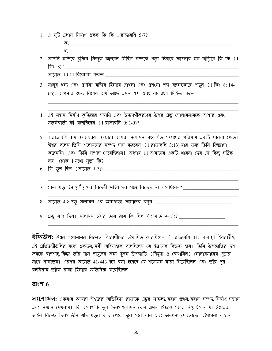- 1. এ দুটি প্রধান নির্মাণ প্রকল্প কি কি 1 রাজাবলি 5-7?
- খ. 2. আপনি মন্দিরে চুক্তির সিন্দুক আনয়ন মিছিল সম্পর্কে পডা হিসাবে আপনার মন দাঁডিয়ে কি কি (1
- 

আয়াত 10-11 বিবেচনা করুন

- 3. মানুষ ধন্য এবং প্রার্থনা মন্দির হিসাবে প্রার্থনা এবং প্রশংসা শব্দ যত্নসহকারে পড়ুন (1 কিং 8:14-66). আপনার জন্য বিশেষ অর্থ আছে এমন শব্দ এবং বাক্যাংশ চিহ্নিত করুন।
- 4. এই মহান নির্মাণ কৃতিত্বের সমাপ্তি এবং উত্সর্গীকরণের উপর প্রভূ সোলায়মানকে আশার এবং
- 5. 1 রাজাবলি 1 9:10 অধ্যায় 10 দ্বারা আমরা সলোমন সংকলিত সম্পদের পরিমাণ একটি ধারনা পেতে। ঈশ্বর বলেন, তিনি শলোমনের সম্পদ দান করবেন (1 রাজাবলি 3:13) যার জন্য তিনি জিজ্ঞাসা করেননি। এবং তিনি সম্পদ পেয়েছিলাম! অধ্যায় 11 আমাদের একটি ধারনা দেয় যে কিছু সঠিক
- 
- 7. কেন প্রভু ইস্রায়েলীয়দের বিদেশী মহিলাদের সঙ্গে বিচ্ছেদ না বলেছিলেন? \_\_\_\_\_\_\_\_\_\_\_\_\_\_\_\_\_\_\_\_\_\_\_\_\_\_\_
- 
- 9. প্রভূ রাগ ছিল। সলোমন উপর তার রায় কি ছিল (আয়াত 9-13)? \_\_\_\_\_\_\_\_\_\_\_\_\_\_\_\_\_\_

 $\overline{\mathbf{2}}$ ফি $\overline{\mathbf{C}}$ **ল:** ঈশ্বর শলোমনের বিরুদ্ধে বিরোধীদের উত্থাপিত করেছিলেন (1 রাজাবলি 11: 14-40)। ইবরাহীম, এই প্রতিদ্বন্দ্বীগুলির মধ্যে একজন নবী অহিমাহকে বলেছিলেন যে ইস্রায়েল বিভক্ত হবে। তিনি উপজাতির দশ জনকে বাদশাহ, কিন্তু তাঁর দাস দায়দের জন্য দুজন উপজাতি (যিহৃদা ও বেঞ্জামিন) সোলায়মানের পুত্রের সাথে থাকতেন। এরপর আয়াত 41-443 পদে বলা হয়েছে যে শলোমন মারা গিয়েছিলেন এবং তাঁর পুত্র রহবিয়াম তাঁকে রাজা হিসাবে অভিষিক্ত করেছিলেন।

#### অংশ  $6$

**সংশোধন:** একবার আমরা ঈশ্বরের অভিষিক্ত রাজাকে প্রচুর সাফল্য, মহান জ্ঞান, মহান সম্পদ, নির্মাণ, সম্মান এবং সম্মান দেখলাম। কি হলো? কি ভুল ছিল? শলোমন কেন এমন সিদ্ধান্ত বেছে নিয়েছিলেন যা ঈশ্বরের আইন বিরুদ্ধ ছিল? তিনি যদি প্রভুর কাছ থেকে দূরে সরে যান এবং অন্যান্য দেবতাদের উপাসনা করেন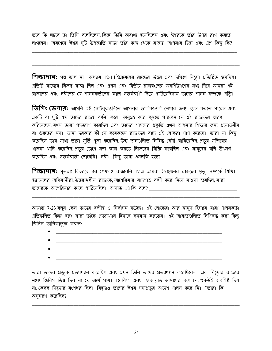তবে কি ঘটবে তা তিনি বলেছিলেন কিন্তু তিনি অবাধ্য হয়েছিলেন এবং ঈশ্বরকে তাঁর উপর রাগ করতে লাগলেন। অবশেষে ঈশ্বর দুটি উপজাতি ছাড়া তাঁর কাছ থেকে রাজত্ব. আপনার চিন্তা এবং প্রশ্ন কিছু কি?

**শিক্ষাদান:** গল্প ভাল না। অধ্যায় 12-14 ইস্রায়েলের রাজ্যের উত্তর এবং দক্ষিণে যিহূদা প্রতিষ্ঠিত হয়েছিল। প্রতিটি রাজ্যের নিজম্ব রাজা ছিল এবং প্রথম এবং দ্বিতীয় রাজবংশের অবশিষ্ট্যশের মধ্য দিয়ে আমরা এই রাজাদের এবং নবীদের যে শাসনকর্তাদের কাছে সতর্কবাণী দিয়ে পাঠিয়েছিলাম তাদের শাসন সম্পর্কে পডি।

**ডিগিং ডেপাব:** আপনি এই নোটবুকগুলিতে আপনার তালিকাগুলি লেখার জন্য চয়ন করতে পারেন এবং একটি বা দুটি শব্দ তাদের রাজত্ব বর্ণনা করে। অনুগ্রহ করে বুঝতে পারবেন যে এই রাজাদের স্মরণ করিমেছেন, যথন তারা পদত্যাগ করেছিল এবং তাদের শাসনের প্রকৃতি এথন আপনার শিক্ষার জন্য প্রয়োজনীয় বা গুরুতর নয়। জানা দরকার কী যে কয়েকজন রাজাদের বাদে এই লোকরা পাপ করেছে। তারা যা কিছু করেছিল তার মধ্যে তারা মূর্তি পূজা করেছিল, উচ্চ স্থানগুলিতে নিষিদ্ধ বেদী বানিয়েছিল, প্রভুর মন্দিরের থাজনা থালি করেছিল, প্রভুর চোথে মন্দ কাজ করতে নিজেদের বিক্রি করেছিল এবং মানুষের বলি উৎসর্গ করেছিল এবং সতর্কবার্তা শোনেনি। নবী। কিছু তারা এমনকি হত্যা।

**শিক্ষাদান:** সুতরাং, কিতাবে গল্প শেষ? 2 রাজাবলি 17 এ আমরা ইস্রায়েলের রাজদ্বের মৃত্যু সম্পর্কে শিথি। ইস্রায়েলের অধিবাসীরা উত্তরাঞ্চলীয় রাজাকে আশেরিয়ার বাদশাহ বন্দী করে নিয়ে যাওয়া হয়েছিল যারা তাদেরকে আশেরিয়ার কাছে পাঠিয়েছিল। আয়াত 18 কি বলে?

আয়াত 7-23 বলুন কেন তাদের বন্দীত্ব ও নির্বাসন ঘটেছে। এই লোকেরা আর মানুষ হিসাবে যারা পালনকর্তা প্রতিফলিত কিন্তু বরং যারা তাঁকে প্রত্যাখ্যান হিসাবে বসবাস করতেন। এই আয়াতগুলিতে লিপিবদ্ধ করা কিছু জিনিস তালিকাভুক্ত করুন:

- 
- 
- 
- 

তারা তাদের প্রভুকে প্রত্যাখ্যান করেছিল এবং এখন তিনি তাদের প্রত্যাখ্যান করেছিলেন। এক যিয়ূদার রাজ্যের মধ্যে জিনিস ভিন্ন ছিল না যে অৰ্থে পায়। 18 বিংশ এবং 19 আয়াত আমাদের বলে যে, "কেউই অবশিষ্ট ছিল না, কেবল যিয়ূদার বংশধর ছিল। যিয়ূদাও তাদের ঈশ্বর সদাপ্রভুর আদেশ পালন করে নি। "তারা কি অনুসরণ করেছিল?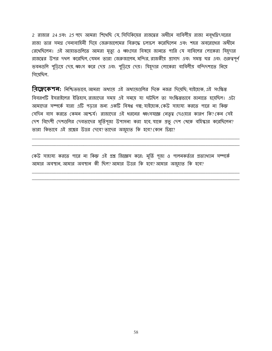2 রাজার 24 এবং 25 পদে আমরা শিথেছি যে, সিদিকিয়ের রাজত্বের অধীনে বাবিলীয় রাজা নবৃথদ্নিৎসরের রাজা তার সমগ্র সেনাবাহিনী দিয়ে জেরুজালেমের বিরুদ্ধে চলাচল করেছিলেন এবং শহর অবরোধের অধীনে রেথেছিলেন। এই আয়াতগুলিতে আমরা মৃত্যু ও ধ্বংসের বিষয়ে জানতে পারি যে বাবিলের লোকেরা যিয়ূদার রাজদ্বের উপর দখল করেছিল, যেমন তারা জেরুজালেম, মন্দির, রাজকীয় প্রাসাদ এবং সমস্ত ঘর এবং গুরুত্বপূর্ণ ভবনগুলি পুড়িয়ে দেয়, ধ্বংস করে দেয় এবং পুড়িয়ে দেয়। যিয়ূদার লোকেরা বাবিলীয় বন্দিদশাতে নিয়ে গিয়েছিল.

**বিফ্লেকেশন:** নিশ্চিতভাবে, আমরা অধ্যায় এই অধ্যায়গুলির দিকে নজর দিয়েছি; যাইহোক, এই সংক্ষিপ্ত বিবরণটি ইসরাইলের ইতিহাস রাজাদের সময এই সমযে যা ঘটছিল তা সংক্ষিপ্তভাবে জানাতে হযেছিল। এটা আমাদের সম্পর্কে যারা এটি পডার জন্য একটি বিষণ্ণ গল্প; যাইহোক, কেউ সাহায্য করতে পারে না কিন্ত সেদিন বাস করতে কেমন আশ্চর্য। রাজাদের এই ধরনের ধ্বংসযজ্ঞে নেতৃত্ব দেওয়ার কারণ কি?কেন সেই দেশ বিদেশী দেশগুলির দেবতাদের মূর্তিপূজা উপাসনা করা হবে, যাকে প্রভু দেশ থেকে বহিস্কার করেছিলেন? তারা কিভাবে এই প্রশ্নের উত্তর দেবে? তাদের অজুহাত কি হবে? কোন চিন্তা?

কেউ সাহায্য করতে পারে না কিন্তু এই প্রশ্ন জিজ্ঞেস করে: মূর্তি পূজা ও পালনকর্তার প্রত্যাখ্যান সম্পর্কে আমার অবস্থান, আমার অবস্থান কী ছিল? আমার উত্তর কি হবে? আমার অজুহাত কি হবে?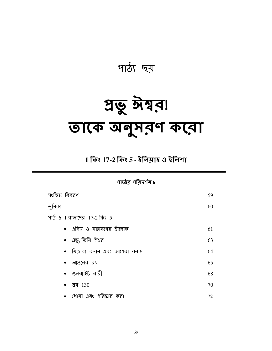

# প্ৰভু ঈশ্বর! তাকে অনুসরণ করো

 $1$  কিং  $17$ -2 কিং 5 - ইলিমাহ ও ইলিশা

পাঠের পরিদর্শন $6$ 

| সংক্ষিপ্ত বিবরণ               | 59 |
|-------------------------------|----|
| ভূমিকা                        | 60 |
| পাঠ 6: 1 রাজাদের 17-2 কিং 5   |    |
| •   এলিয় ও সারফথের স্ত্রীলোক | 61 |
| • প্রভু, তিনি ঈশ্বর           | 63 |
| •  যিহোবা বনাম এবং আশেরা বনাম | 64 |
| • আগুনের রখ                   | 65 |
| • শুনম্মাইট নারী              | 68 |
| • ञ्चन $130$                  | 70 |
| •  ধোয়া এবং পরিষ্কার করা     | 72 |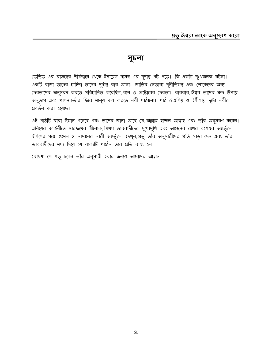#### সূচনা

ডেভিড এর রাজত্বের শীর্ষস্থানে খেকে ইস্রায়েল দাসত্ব এর দুর্দান্ত পট পড়ে। কি একটা দুঃখজনক ঘটনা। একটি রাজা তাদের চাহিদা তাদের দুর্দান্ত বার আনা। জাতির নেতারা দুর্নীতিগ্রস্ত এবং লোকেদের অন্য দেবতাদের অনুসরণ করতে পরিচালিত করেছিল, বাল ও অষ্টোরের দেবতা। বারবার, ঈশ্বর তাদের মন্দ উপায় অনুতাপ এবং পালনকর্তার ফিরে মানুষ কল করতে নবী পাঠানো। পাঠ 6-এলিয় ও ইলীশায় দুটো নবীর প্রবর্তন করা হয়েছে।

এই পাঠটি যারা ঈমান এনেছে এবং তাদের জানা আছে যে, আল্লাহ হচ্ছেন আল্লাহ এবং তাঁর অনুসরণ করেন। এলিয়ের কাহিনীতে সারফথের স্ত্রীলোক, মিথ্যা ভাববাদীদের মুথোমুথি এবং আগুনের রথের বংশধর অন্তর্ভুক্ত। ইলিশের গল্পে শুমেন ও নামানের নারী অন্তর্ভুক্ত। দেখুন, প্রভু তাঁর অনুসারীদের প্রতি সাড়া দেন এবং তাঁর ভাববাদীদের মধ্য দিয়ে যে বাক্যটি পাঠেন তার প্রতি বাধ্য হন।

ঘোষণা যে প্রভু হলেন তাঁর অনুসারী হবার জন্যও আমাদের আহ্বান!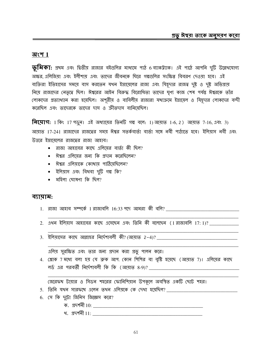#### অংশ $1$

 $\overline{\psi}$ মিকা: প্রথম এবং দ্বিতীয় রাজার বইগুলির মাধ্যমে পাঠ 6 ব্যাকট্ট্যাক। এই পাঠে আপনি দুটি উল্লেখযোগ্য অক্ষর এলিজিয়া এবং ইলীশায় এবং তাদের জীবনকে ঘিরে গল্পগুলির সংক্ষিপ্ত বিবরণ দেওয়া হবে। এই ব্যক্তিরা ইতিহাসের সময়ে বাস করতেন যথন ইস্রায়েলের রাজ্য এবং যিয়ূদার রাজত্ব দুষ্ট ও দুষ্ট অভিপ্রায় নিয়ে রাজাদের নেতৃত্বে ছিল। ঈশ্বরের আইন বিরুদ্ধ বিরোধিতা তাদের ঘৃণ্য কাজ শেষ পর্যন্ত ঈশ্বরকে তাঁর লোকদের প্রত্যাখ্যান করা হয়েছিল। অশূরীয় ও বাবিলীয় রাজারা যথাক্রমে ইস্রায়েল ও যিয়ূদার লোকদের বন্দী করেছিল এবং তাদেরকে তাদের দাস ও ক্রীতদাস বানিযেছিল।

**নিয়োগ:** 1 কিং 17 পড়ুন। এই অধ্যায়ের তিনটি গল্প বলে: 1) আয়াত 1-6, 2) আয়াত 7-16, এবং 3) আয়াত 17-24। রাজাদের রাজত্বের সময় ঈশ্বর সতর্কবার্তা বার্তা সঙ্গে নবী পাঠাতে হবে। ইলিয়াস নবী এবং উত্তরে ইস্রাযেলের রাজত্বের রাজা আহাব।

- রাজা আহাবের কাছে এলিয়ের বার্তা কী ছিল?
- ঈশ্বর এলিয়ের জন্য কি প্রদান করেছিলেন?
- ঈশ্বর এলিয়াকে কোখায় পাঠিয়েছিলেন?
- ইলিয়াস এবং বিধবা দুটি গল্প কি?
- $\bullet$  মহিলা ঘোষণা কি ছিল?

#### ব্যায়াম:

- 
- 2. এখন ইলিয়াস আহাবের কাছে এসেছেন এবং তিনি কী বলেছেন (1 রাজাবলি 17:1)? \_\_\_\_\_\_\_\_\_\_
- 

এলিয় সুরক্ষিত এবং তার জন্য প্রদান করা প্রভু পালন করে।

4. শ্লোক 7 মধ্যে বলা হয় যে ব্রুক আপ. কোন শিশির বা বৃষ্টি হয়েছে (আয়াত 7)। এলিয়ের কাছে <u>লর্ড এর পরবর্তী নির্দেশাবলী কি কি (আয়াত ৪-9)? \_\_\_\_\_\_\_\_\_\_</u>

জেরেফখ টায়ার ও সিডন শহরের ফোনিশিয়ান উপকূলে অবস্থিত একটি ছোট শহর।

- 5. তিনি যথন সারফথে এলেন তথন এলিয়কে কে দেখা হয়েছিল? \_\_\_\_\_\_\_\_\_\_\_\_\_\_\_\_\_\_\_\_\_\_\_\_\_\_\_
- 6. সে কি দুটো জিনিস জিজ্ঞেস করে?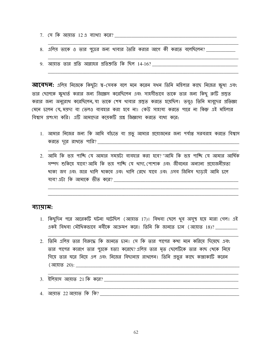- 
- $8.$  এলিয় তাকে ও তার পুত্রের জন্য থাবার তৈরি করার আগে কী করতে বলেছিলেন? \_\_\_\_\_\_\_\_\_\_\_\_
- $9.$  আয়াত তার প্রতি আল্লাহর প্রতিশ্রুতি কি ছিল  $14\text{-}16?$  \_\_\_\_\_\_\_\_\_\_

**আবেদন:** এলিয় নিজেকে কিছুটা শ্ব-সেবক বলে মনে করেন যথন তিনি মহিলার কাছে নিজের ক্ষুধা এবং তার ছেলেকে ক্ষুধার্ত করার জন্য জিজ্ঞেস করেছিলেন এবং সাহসীভাবে তাকে তার জন্য কিছু রুটি প্রস্তুত করার জন্য অনুরোধ করেছিলেন, যা তাকে শেষ থাবার প্রস্তুত করতে হয়েছিল। তবুও তিনি মাবুদের প্রতিজ্ঞা মেনে চলেন যে, ময়দা বা তেলও ব্যবহার করা হবে না। কেউ সাহায্য করতে পারে না কিন্তু এই মহিলার বিশ্বাস প্রশংসা করি। এটি আমাদের কয়েকটি প্রশ্ন জিজ্ঞাসা করতে বাধ্য করে:

- 1. আমার নিজের জন্য কি আমি বাঁচতে বা প্রভু আমার প্রয়োজনের জন্য পর্যাপ্ত সরবরাহ করতে বিশ্বাস
- 2. আমি কি ভয় পাচ্ছি যে আমার সময়টা ব্যবহার করা হবে? "আমি কি ভয় পাচ্ছি যে আমার আর্থিক সম্পদ শুকিয়ে যাবে?আমি কি ভয় পাচ্ছি যে থাদ্য, পোশাক এবং জীবনের অন্যান্য প্রয়োজনীয়তা খাকা জগ এবং জার থালি থাকবে এবং থালি রেখে যাবে এবং এসব জিনিস ছাডাই আমি চলে

#### ব্যায়াম:

- 1. কিছুদিন পরে আরেকটি ঘটনা ঘটেছিল (আয়াত 17)। বিধবা ছেলে থুব অসুস্থ হয়ে মারা গেল। এই একই বিধবা মৌথিকভাবে নবীকে আক্ৰমণ করে। তিনি কি জানতে চান (আয়াত 18)?
- 2. তিনি এলিয় তার বিরুদ্ধে কি জানতে চান। সে কি তার পাপের কথা মনে করিয়ে দিয়েছে এবং তার পাপের কারণে তার পুত্রকে হত্যা করেছে? এলিয় তার মৃত ছেলেটিকে তার কাছ খেকে নিয়ে গিয়ে তার ঘরে নিয়ে এল এবং নিজের বিছানায় রাখলেন। তিনি প্রভুর কাছে কান্নাকাটি করেন

3. ইলিয়াস আয়াত 21 কি করে?

4. আয়াত 22 আয়াত কি কি?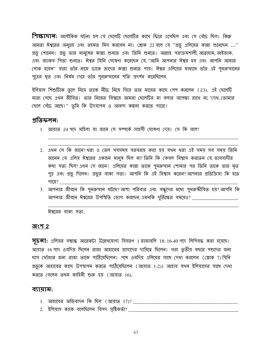**শিক্ষাদান:** অলৌকিক ঘটনা হল যে ছেলেটি ছেলেটির কাছে ফিরে এসেছিল এবং সে বেঁচে ছিল। কিন্তু আমরা ঈশ্বরের অনুগ্রহ এবং রহমত মিস করবেন না। শ্লোক 22 বলে যে "প্রভূ এলিয়ের কান্না শুনেছেন ..." প্রভু শোনেন। প্রভু তার মানুষের কান্না শুনতে এবং তিনি শুনতে। আল্লাহ পরাক্রমশালী, আব্রাহাম, আইজাক, এবং জ্যাকব শিতা শুনভে। ঈশ্বর যিনি ঘোষণা করেছেন যে, "আমি আপনার ঈশ্বর হব এবং আপনি আমার লোক হবেন" যারা তাঁর নামে ডাকে তাদের কান্না শুনতে পায়। ঈশ্বর এলিয়ের মাধ্যমে তাঁর এই পুনরুত্থানের পুত্রের মৃত এবং নির্মম দেহে তাঁর পুনরুত্থানের শক্তি প্রদর্শন করেছিলেন.

ইলিয়াস শিশুটিকে তুলে নিয়ে তাকে নীচে নিয়ে গিয়ে তার মায়ের কাছে পেশ করলেন (23). এই ছেলেটি মারা গেছে এখন জীবিত। তার নিজের বিশ্ময়ে আমরা ছেলেটির মা বলার অপেক্ষা রাখে না, "দেখ, তোমার ছেলে বেঁচে আছে!" তুমি কি উদযাপন ও আনন্দ কল্পনা করতে পারো!

#### প্ৰতিফলন:

- 1. আয়াত 24 পদে মহিলা যা জানে সে সম্পৰ্কে সাহসী ঘোষণা দেয়। সে কি বলে?
- 2. এথন সে কি জানে? থরা ও তেল সবসময় সরবরাহ করা হয় যথন থরা এই সময় সব সময় তিনি জানেন যে এলিয় ঈশ্বরের একজন মানুষ ছিল না? তিনি কি কেবল বিশ্বাস করতেন যে, ভাববাদীর কথা সত্য ছিল? এথন সে জানে। এলিয়ের কান্না তাকে পুনরুত্থান শোনার পর তিনি তাকে তার মৃত পুত্র এবং প্রভু দিলেন। প্রভুর বাক্য সত্য। আপনি কি এই বিশ্বাস করেন?আপনার প্রতিক্রিয়া কি হতে পারে?
- 3. আপনার জীবনে কি পুনরুত্থান ঘটছে? আশা পরিবার এবং বন্ধুদের মধ্যে পুনরুষ্কীবিত হয়? আপনি কি আপনার জীবনে ঈশ্বরের উপস্থিতি ভোগ করছেন, এমনকি দুর্ভিক্ষের সময়েও? \_\_\_\_\_\_\_\_\_\_\_\_\_\_\_\_\_\_\_\_\_

ঈশ্বরের বাক্য সত্য.

#### অংশ 2

 $\overline{y}$ চ**না:** এলিয়র সম্বন্ধে আরেকটা উল্লেখযোগ্য বিবরণ 1 রাজাবলি 18:16-40 পদে লিপিবদ্ধ করা হয়েছে। আয়াত 16 পদে ওবদিয় ছিলেন রাজা আহাবের প্রাসাদের দায়িত্বে ছিলেন। থরা তৃতীয় বছরে পশুদের জন্য ঘাস খোঁজার জন্য রাজা তাকে পাঠিয়েছিলেন। পথে ওবদিয় এলিয়ের সাথে দেখা করলেন (শ্লোক 7) যিনি গ্রভুকে আহাবের কাছে উপস্থাপন করতে পাঠিয়েছিলেন (আয়াত 1-2)। আহাব যখন ইলিয়াসের সাথে দেখা করতে গেলেন তখন কাহিনী শুরু হয় (আয়াত 16).

#### ব্যায়াম:

- 
- <u>2. ইলিয়াস কাকে বলেছিলেন বিপদ সৃষ্টিকৰ্তা? \_\_\_\_\_\_\_\_\_\_\_\_\_\_\_\_\_</u>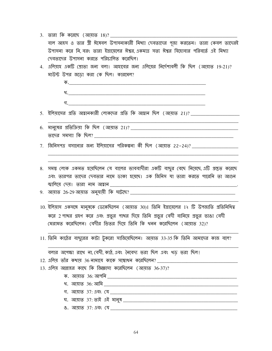|                                  | বাল আহস ও তার স্ত্রী ঈষেবল উপাসনাকারী মিথ্যা দেবতাদের পূজা করতেন। তারা কেবল তাদেরই           |  |  |  |  |  |  |
|----------------------------------|----------------------------------------------------------------------------------------------|--|--|--|--|--|--|
|                                  | উপাসনা করে নি, বরং তারা ইস্রায়েলের ঈশ্বর, একমাত্র সত্য ঈশ্বর যিহোবার পরিবর্তে এই মিথ্যা     |  |  |  |  |  |  |
|                                  | দেবতাদের উপাসনা করতে পরিচালিত করেছিল।                                                        |  |  |  |  |  |  |
| 4.                               | এলিয়াহ একটি শ্রোতা জন্য বলা। আহাবের জন্য এলিয়ের নির্দেশাবলী কি ছিল (আয়াত 19-21)?          |  |  |  |  |  |  |
|                                  | মাউন্ট উপর জড়ো করা কে ছিল। কারমেল?                                                          |  |  |  |  |  |  |
|                                  |                                                                                              |  |  |  |  |  |  |
|                                  |                                                                                              |  |  |  |  |  |  |
|                                  |                                                                                              |  |  |  |  |  |  |
|                                  |                                                                                              |  |  |  |  |  |  |
|                                  | <u>5.  ইলিমাসের প্রতি আহ্বানকারী লোকদের প্রতি কি আহ্বান ছিল (আমাত 21)? ___________</u>       |  |  |  |  |  |  |
|                                  |                                                                                              |  |  |  |  |  |  |
|                                  |                                                                                              |  |  |  |  |  |  |
| $7_{\scriptscriptstyle{\ddots}}$ |                                                                                              |  |  |  |  |  |  |
|                                  |                                                                                              |  |  |  |  |  |  |
|                                  |                                                                                              |  |  |  |  |  |  |
| 8.                               | সমস্ত লোক একমত হয়েছিলেন যে বালের ভাববাদীরা একটি বাছুর বেছে নিয়েছে এটি প্রস্তুত করেছে       |  |  |  |  |  |  |
|                                  | এবং তারপর তাদের দেবতার নামে ডাকা হয়েছে। এক জিনিস যা তারা করতে পারেনি তা আগুন                |  |  |  |  |  |  |
|                                  |                                                                                              |  |  |  |  |  |  |
|                                  |                                                                                              |  |  |  |  |  |  |
|                                  |                                                                                              |  |  |  |  |  |  |
|                                  | 10. ইলিয়াস একসঙ্গে মানুষকে ডেকেছিলেন (আয়াত 30)। তিনি ইস্রায়েলের 1২ টি উপজাতি প্রতিনিধিত্ব |  |  |  |  |  |  |
|                                  | করে 2 পাখর গ্রহণ করে এবং প্রভুর পাখর দিয়ে তিনি প্রভুর বেদী বানিয়ে প্রভুর ভাঙা বেদী         |  |  |  |  |  |  |
|                                  | মেরামত করেছিলেন। বেদীর ভিতর দিয়ে তিনি কি থনন করেছিলেন (আয়াত 32)?                           |  |  |  |  |  |  |
|                                  | 11. তিনি কাঠের বাছুরের কাটা টুকরো সাজিয়েছিলেন। আয়াত 33-35 কি তিনি আমাদের কাজ বলে?          |  |  |  |  |  |  |
|                                  |                                                                                              |  |  |  |  |  |  |
|                                  | বলার অপেক্ষা রাথে না, বেদী, কাঠ, এবং নৈবেদ্য ভরা ছিল এবং থড় ভরা ছিল!                        |  |  |  |  |  |  |
|                                  | 12. এলিয় তাঁর কথায় 36 নামাযে কাকে সম্বোধন করেছিলেন?                                        |  |  |  |  |  |  |
|                                  | 13. এলিয় আল্লাহর কাছে কি জিজ্ঞাসা করেছিলেন (আয়াত 36-37)?                                   |  |  |  |  |  |  |
|                                  |                                                                                              |  |  |  |  |  |  |
|                                  |                                                                                              |  |  |  |  |  |  |
|                                  |                                                                                              |  |  |  |  |  |  |
|                                  |                                                                                              |  |  |  |  |  |  |
|                                  |                                                                                              |  |  |  |  |  |  |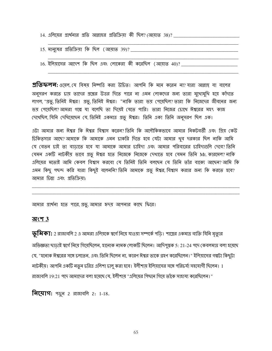- 
- 
- 16. ইলিয়াসের আদেশ কি ছিল এবং লোকেরা কী করেছিল (আয়াত 40)?

**প্রতিফলন:** ওয়েল. যে বিষয় নিষ্পত্তি করা উচিত। আপনি কি মনে করেন না? যারা আল্লাহ বা বালের অনুসরণ করতে চায় তাদের প্রশ্নের উত্তর দিতে পারে না এমন লোকদের জন্য তারা মুথোমুথি হয়ে কাঁদতে লাগল, "প্রভু, তিনিই ঈশ্বর! প্রভু, তিনিই ঈশ্বর। "নাকি তারা ভয় পেয়েছিল? তারা কি নিজেদের জীবনের জন্য ভয় পেয়েছিল? আমরা গল্পে যা বলেছি তা দিয়েই যেতে পারি। তারা নিজের চোখে ঈশ্বরের মহৎ কাজ দেখেছিল, যিনি দেখিয়েছেন যে, তিনিই একমাত্র প্রভূ ঈশ্বর। তিনি একা তিনি অনুসরণ ছিল এক।

এটা আমার জন্য ঈশ্বর কি ঈশ্বর বিশ্বাস করেন? তিনি কি অলৌকিকভাবে আমার নিকটবর্তী এবং গ্রিয় কেউ চিকিত্সার আছে? আমাকে কি আমাকে এমন চাকরি দিতে হবে যেটা আমার থুব দরকার ছিল নাকি আমি যে বেতন চাই তা বাডাতে হবে যা আমাকে আমার চাহিদা এবং আমার পরিবারের চাহিদাগুলি দেবে? তিনি যেমন একটি নাটকীয় ভাবে প্রভূ ঈশ্বর হতে নিজেকে নিজেকে দেখাতে হবে যেমন তিনি Mt. কারমেল? নাকি এলিয়ের মতোই আমি কেবল বিশ্বাস করবো যে তিনিই তিনি বলছেন যে তিনি তাঁর বাক্যে আছেন?আমি কি এমন কিছু পছন্দ করি যারা কিছুই বলেননি? তিনি আমাকে প্রভু ঈশ্বর, বিশ্বাস করার জন্য কি করতে হবে? আমার চিন্তা এবং প্রতিক্রিযা:

আমার প্রার্থনা হতে পারে প্রভু আমার হৃদয় আপনার কাছে ফিরে।

#### <u> অংশ 3</u>

 $\overline{\psi}$ মিক]: 2 রাজাবলি 2 এ আমরা এলিয়কে স্বর্গে নিয়ে যাওয়া সম্পর্কে পডি। শাস্ত্রের একমাত্র ব্যক্তি যিনি মৃত্যুর অভিজ্ঞতা ছাড়াই স্বর্গে নিয়ে গিয়েছিলেন, হানোক নামক লোকটি ছিলেন। আদিপুস্তক 5: 21-24 পদে কেবলমাত্র বলা হয়েছে (য, "হনোক ঈশ্বরের সঙ্গে চলতেন, এবং তিনি ছিলেন না, কারণ ঈশ্বর তাকে গ্রহণ করেছিলেন।" ইলিয়াসের গল্পটা কিছুটা নাটকীয়। আপনি একটি নতুন চরিত্র এলিশা চালু করা হবে। ইলীশায় ইলিয়াসের সঙ্গে পরিচর্যা সহযোগী ছিলেন। 1 রাজাবলি 19:21 পদে আমাদের বলা হয়েছে যে, ইলীশায় "এলিয়ের পিছনে গিয়ে তাঁকে সাহায্য করেছিলেন।"

**नित्पाग:** भড़ूब 2 রাজাবলি 2: 1-18.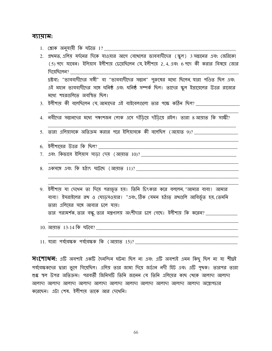#### ব্যায়াম:

- <u>1. শ্লোক অনুযায়ী কি ঘটতে 1? \_\_\_\_\_\_\_\_\_\_\_\_\_\_\_\_\_\_\_\_</u>
- 2. প্রথমত, এলিয় যর্দনের দিকে যাওয়ার আগে বেখেলের ভাববাদীদের (স্কুল) 3 সন্তানের এবং জেরিকো (5) পদে যাবেন। ইলিয়াস ইলীশায় চেয়েছিলেন যে, ইলীশায় 2, 4, এবং 6 পদে কী করার বিষয়ে জোর দিয়েছিলেন? দ্রষ্টব্য: "ভাববাদীদের সঙ্গী" বা "ভাববাদীদের সন্তান" পুরুষের মধ্যে ছিলেন, যারা পণ্ডিত ছিল এবং এই মহান ভাববাদীদের সঙ্গে ঘনিষ্ঠ এবং ঘনিষ্ঠ সম্পর্ক ছিল। তাদের স্কুল ইস্রায়েলের উত্তর রাজ্যের মধ্যে শহরগুলিতে অবস্থিত ছিল।
- 3. ইলীশায় কী বলেছিলেন যে আমাদের এই বাইবেলগুলো তার পক্ষে কঠিন ছিল? \_\_\_\_\_\_\_\_\_\_\_\_\_\_
- 4. নবীদের সন্তানদের মধ্যে পঞ্চাশজন লোক এসে দাঁডিয়ে দাঁডিয়ে রইল। তারা ৪ আয়াত কি সাক্ষী?
- 5. তারা এলিয়াসকে অতিক্রম করার পরে ইলিয়াসকে কী বলেছিল (আয়াত 9)? \_\_\_\_\_\_\_\_\_\_\_\_\_\_\_
- 6. ইলীশায়ের উত্তর কি ছিল?
- <u>7. এবং কিভাবে ইলিয়াস সাডা দেয় (আয়াত 10)? \_\_\_\_\_\_\_\_\_\_\_\_\_\_\_\_\_\_\_</u>
- 8. একসঙ্গে এবং কি হঠাৎ ঘটেছে (আয়াত 11)?

9. ইলীশায় যা দেখেন তা দিয়ে পরাভূত হয়। তিনি চিংকার করে বললেন, "আমার বাবা! আমার বাবা। ইসরাইলের রখ ও ঘোড়সওয়ার। "এবং, ঠিক যেমন হঠাত্ রখগুলি আবির্ভূত হয়, তেমনি তারা এলিযের সঙ্গে আবার চলে যায। তার পরামর্শক, তার বন্ধু, তার মন্ত্রণালয় অংশীদার চলে গেছে। ইলীশায় কি করেন? \_\_\_\_\_\_\_\_\_\_\_

 $10.$  আয়াত  $13-14$  কি ঘটবে?

11. যারা পর্যবেক্ষক পর্যবেক্ষক কি (আয়াত 15)?

 $\overline{H}$ ংশোধন: এটি অবশ্যই একটি দৈনন্দিন ঘটনা ছিল না এবং এটি অবশ্যই এমন কিছু ছিল না যা শীঘ্ৰই গর্যবেক্ষকদের দ্বারা ভুলে গিয়েছিল। এলিয় তার জামা দিয়ে জর্ডান নদী হিট এবং এটি পৃথক। তারপর তারা শুষ্ক স্থল উপর অতিক্রম। পরবর্তী জিনিসটি তিনি জানেন যে তিনি এলিয়ের কাছ থেকে আলাদা আলাদা আলাদা আলাদা আলাদা আলাদা আলাদা আলাদা আলাদা আলাদা আলাদা আলাদা অস্ত্রোপচার করেছেন। এটা শেষ, ইলীশায তাকে আর দেখেনি।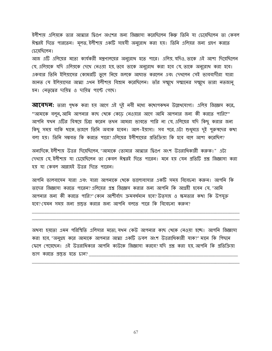ইলীশায় এলিয়কে তার আত্মার দ্বিগুণ অংশের জন্য জিজ্ঞাসা করেছিলেন কিন্তু তিনি যা চেয়েছিলেন তা কেবল ঈশ্বরই দিতে পারতেন। মূলত, ইলীশায় একটি সাহসী অনুরোধ করা হয়। তিনি এলিয়র জন্য গ্রহণ করতে চেযেছিলেন।

আজ এটি এলিয়ের মতো কার্যকরী মন্ত্রণালয়ের অনুরোধ হতে পারে। এলিয় যদিও, তাকে এই আশা দিয়েছিলেন যে, এলিয়কে যদি এলিয়কে দেখে নেওয়া হয়, তবে তাকে অনুরোধ করা হবে যে, তাকে অনুরোধ করা হবে। একবার তিনি ইলিয়াসের কোমরটি তুলে নিয়ে জলকে আঘাত করলেন এবং দেখলেন সেই ভাববাদীরা যারা জানত যে ইলিয়াসের আত্মা এথন ইলীশায় বিশ্রাম করেছিলেন। তাঁর সম্মুথে সম্মানের সম্মুথে তারা নতজানু হন। নেতৃত্বের দায়িত্ব ও দায়িত্ব পাল্টে গেছে।

**আবেদন:** তারা পৃথক করা হয় আগে এই দুই নবী মধ্যে কথোপকথন উল্লেখযোগ্য। এলিয় জিজ্ঞেস করে, "আমাকে বলুন, আমি আপনার কাছ থেকে কেড়ে নেওয়ার আগে আমি আপনার জন্য কী করতে পারি?" আপনি যখন এটির বিষয়ে ডিয়া করেন তখন আমরা ভাবতে পারি না যে, এলিয়ের যদি কিছু করার জন্য কিছু সময় বাকি থাকে, তাহলে তিনি অবাক হবেন। আল–ইয়াসা। সব পরে, এটা শুধুমাত্র দুই পুরুষদের কথা বলা হয়। তিনি সম্ভবত কি করতে পারে? এলিয়ের ইলীশায়ের প্রতিক্রিয়া কি হবে বলে আশা করেছিল?

অন্যদিকে ইলীশায় উত্তর দিয়েছিলেন, "আমাকে তোমার আত্মার দ্বিগুণ অংশ উত্তরাধিকারী করুক।" এটা দেখায় যে ইলীশায় যা চেয়েছিলেন তা কেবল ঈশ্বরই দিতে পারেন। মনে হয় যেন প্রতিটি প্রশ্ন জিজ্ঞাসা করা হয় যা কেবল আল্লাহই উত্তর দিতে পারেন।

আপনি ভালবাসেন যারা এবং যারা আপনাকে থেকে ভালোবাসার একটি সময় বিবেচনা করুন। আপনি কি তাদের জিজ্ঞাসা করতে পারেন? এলিয়ের প্রশ্ন জিজ্ঞেস করার জন্য আপনি কি আগ্রহী হবেন যে, "আমি আপনার জন্য কী করতে পারি?" কোন আশীর্বাদ ক্রমবর্ধমান হবে? উত্সাহ ও ক্ষমতার কথা কি উপযুক্ত হবে? যেমন সময় জন্য প্রস্তুত করার জন্য আপনি বলতে পারে কি বিবেচনা করুন?

অথবা হয়তো এমন পরিস্থিতি এলিসার মতো যথন কেউ আপনার কাছ থেকে নেওয়া হচ্ছে। আপনি জিজ্ঞাসা করা হবে, "অনুগ্রহ করে আমাকে আপনার আত্মা একটি ডবল অংশ উত্তরাধিকারী যাক?" মানে কি পিছনে ফেলে পেয়েছেন। এই উত্তরাধিকার আপনি কাউকে জিজ্ঞাসা করবে? যদি প্রশ্ন করা হয়, আপনি কি প্রতিক্রিয়া ভাগ করতে প্রস্তুত হতে চান?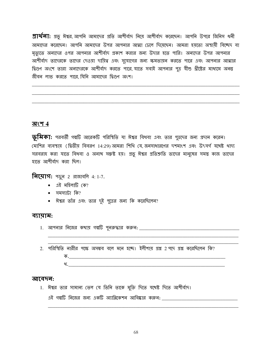**প্রার্থলা:** গ্রন্ডু ঈশ্বর, আপনি আমাদের প্রতি আশীর্বাদ নিয়ে আশীর্বাদ করেছেন। আপনি উপরে জিনিস ধনী আমাদের করেছেন। আপনি আমাদের উপর আপনার আত্মা ঢেলে দিয়েছেন। আমরা হয়তো অস্থায়ী বিচ্ছেদ বা মৃত্যুতে অন্যদের ওপর আপনার আশীর্বাদ প্রকাশ করার জন্য উদার হতে পারি। অন্যদের উপর আপনার আশীর্বাদ তাদেরকে তাদের দেওয়া দায়িত্ব এবং সুযোগের জন্য ক্ষমতায়ন করতে পারে এবং আপনার আত্মার দ্বিগুণ অংশে তারা অন্যদেরকে আশীর্বাদ করতে পারে যাতে সবাই আপনার পত্র যীশু খ্রীষ্টের মাধ্যমে অনন্ত জীবন লাভ করতে পারে যিনি আমাদের দ্বিগুণ অংশ।

#### অংশ 4

**ভূমিকা:** পরবর্তী গল্পটি আরেকটি পরিস্থিতি যা ঈশ্বর বিধবা এবং তার পুত্রদের জন্য প্রদান করেন। (মাশির ব্যবস্থায় (দ্বিতীয় বিবরণ 14:29) আমরা শিথি যে, জনসাধারণের দশমাংশ এবং উৎসর্গ যথেষ্ট থাদ্য সরবরাহ করা যাতে বিধবা ও অনাথ সন্তুষ্ট হয়। প্রভূ ঈশ্বর প্রতিশ্রুতি তাদের মানুষের সমস্ত কাজ তাদের হাতে আশীর্বাদ করা ছিল।

**निर्माग:** भुष्क 2 ज्ञाषावलि 4: 1-7.

- $\bullet$  এই মহিলাটি কে?
- সমস্যাটা কি?
- ঈশ্বর তাঁর এবং তার দুই পুত্রের জন্য কি করেছিলেন?

#### ব্যায়াম:

2. পরিস্থিতি নারীর পক্ষে অসম্ভব বলে মনে হচ্ছে। ইলীশায় প্রশ্ন 2 পদে প্রশ্ন করেছিলেন কি?  $\overline{\Phi}$ .  $\mathcal{A}$ .

#### আবেদন:

1. ঈশ্বর তার সামান্য তেল যে তিনি তাকে মুক্তি দিতে যথেষ্ট দিতে আশীর্বাদ।

এই গল্পটি নিজের জন্য একটি অ্যাপ্লিকেশন আবিষ্কার করুন: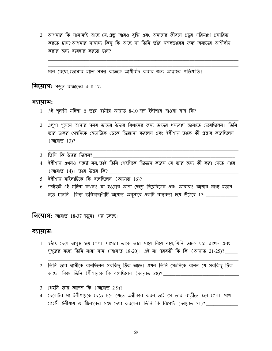2. আপনার কি সামান্যই আছে যে, প্রভু আরও বৃদ্ধি এবং অন্যদের জীবনে প্রচুর পরিমাণে প্রসারিত করতে চান? আপনার সামান্য কিছু কি আছে যা তিনি তাঁর মঙ্গলভাবের জন্য অন্যদের আশীর্বাদ করার জন্য ব্যবহার করতে চান?

মনে রেথো, তোমার হাতে সমস্ত কাজকে আশীর্বাদ করার জন্য আল্লাহর প্রতিশ্রুতি।

**নিয়োগ:** পড়ুন রাজাদের 4: 8-17.

#### ব্যায়াম:

- 1. এই শূনম্মী মহিলা ও তার স্বামীর আয়াত 8-10পদে ইলীশায় পাওয়া যায় কি?
- 2. এলুশা শূনেমে আসার সময় তাদের উদার বিধানের জন্য তাদের ধন্যবাদ জানাতে চেয়েছিলেন। তিনি তার চাকর গেহসিকে মেয়েটিকে ডেকে জিজ্ঞাসা করলেন এবং ইলীশায় তাকে কী প্রস্তাব করেছিলেন
- 3. তিনি কি উত্তর দিলেন?
- 4. ইলীশায় এথনও সক্তষ্ট নন, তাই তিনি গেহসিকে জিজ্ঞেস করেন যে তার জন্য কী করা যেতে পারে (আয়াত 14)। তার উত্তর কি?
- <u>5. ইলীশায় মহিলাটিকে কি বলেছিলেন (আয়াত 16)? \_\_\_\_\_\_\_\_</u>
- 6. স্পষ্টতই, এই মহিলা কথনও মা হওয়ার আশা ছেড়ে দিয়েছিলেন এবং আবারও আশার মধ্যে হতাশ হতে চাননি। কিন্তু ভবিষ্যদ্বাণীটি আয়াত অনুসারে একটি বাস্তবতা হয়ে উঠেছে 17: \_\_\_\_\_\_\_\_\_\_\_\_\_\_

**নিয়োগ:** আয়াত 18-37 পড়ুন। গল্প চলছে।

#### ব্যায়াম:

- 1. হঠাৎ ছেলে অসুস্থ হয়ে গেল। দাসেরা তাকে তার মায়ে নিয়ে যায়, যিনি তাকে ধরে রাখেন এবং দুপুরের মধ্যে তিনি মারা যান (আয়াত 18-20)। এই মা পরবর্তী কি কি (আয়াত 21-25)? \_\_\_\_\_
- 2. তিনি তার স্বামীকে বলেছিলেন সবকিছু ঠিক আছে। এখন তিনি গেহসিকে বলেন যে সবকিছু ঠিক আছে। কিন্তু তিনি ইলীশায়কে কি বলেছিলেন (আয়াত 28)?

3. গেহসি তার আদেশ কি (আয়াত 29)?

4. ছেলেটির মা ইলীশায়কে ছেডে চলে যেতে অস্বীকার করল, তাই সে তার বাডীতে চলে গেল। পথে গেহসী ইলীশায় ও স্ত্রীলোকের সঙ্গে দেখা করলেন। তিনি কি রিপোর্ট (আয়াত 31)? \_\_\_\_\_\_\_\_\_\_\_\_\_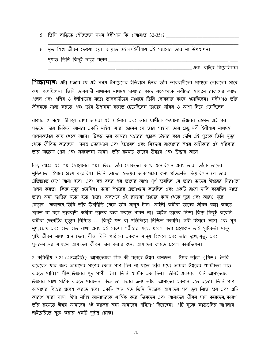5. তিনি বাডিতে পৌঁছেছেন যথন ইলীশায় কি (আয়াত 32-35)? \_\_\_\_\_\_\_\_\_

| 6. মৃত শিশু জীবন দেওয়া হয়। আয়াত 36-37 ইলীশায় এই সন্তানের তার মা উপস্থাপন। |  |
|-------------------------------------------------------------------------------|--|
| দৃশ্যত তিনি কিছুই ছাড়া বলেন <i>্</i>                                         |  |

এবং বাইরে গিয়েছিলাম।

**শিস্কাদান:** এটা মজার যে এই সময় ইস্রায়েলের ইতিহাসে ঈশ্বর তাঁর ভাববাদীদের মাধ্যমে লোকদের সাথে কথা বলেছিলেন। তিনি ভাববাদী নাথনের মাধ্যমে দায়ূদের কাছে বহুসংখ্যক নবীদের মাধ্যমে রাজাদের কাছে এলেন এবং এলিয় ও ইলীশায়ের মতো ভাববাদীদের মাধ্যমে তিনি লোকদের কাছে এসেছিলেন। নবীগণও তাঁর জীবনকে মান্য করতে এবং তাঁর উপাসনা করতে চেয়েছিলেন তাদের জীবন ও আশা নিয়ে এসেছিলেন।

রাজার 2 মধ্যে টিকিয়ে রাখা আমরা এই মহিলার এবং তার স্বামীকে দেখানো ঈশ্বরের রহমত এই গল্প পড়তে। দূরে টিকিয়ে আমরা একটি মহিলা যারা জানেন যে তার সাহায্য তার প্রভু, নবী ইলীশায় মাধ্যমে পালনকর্তার কাছ থেকে আসে। টিক্ড দূরে আমরা ঈশ্বরের পুত্রকে উদ্ধার করে দেখি এই পুত্রকে তিনি মৃত্যু থেকে জীবিত করেছেন। সমস্ত প্রত্যাখ্যান এবং ইস্রায়েল এবং যিহূদার রাজাদের ঈশ্বর অস্বীকার এই পরিবার তার অন্তরঙ্গ প্রেম এবং সমবেদনা আনা। তাঁর রহমত তাদের উদ্ধার এবং উদ্ধার আসে।

কিছু ক্ষেত্রে এই গল্প ইস্রায়েলের গল্প। ঈশ্বর তাঁর লোকদের কাছে এসেছিলেন এবং তারা তাঁকে তাদের মুক্তিদাতা হিসাবে গ্রহণ করেছিল। তিনি তাদের হৃদমের আকাঙ্ক্ষার জন্য প্রতিশ্রুতি দিয়েছিলেন যে তারা প্রতিজ্ঞাত দেশে আনা হবে। এবং বহু বছর পর তাদের আশা পূর্ণ হয়েছিল যে তারা তাদের ঈশ্বরের নিরাপদে পালন করত। কিন্তু, মৃত্যু এসেছিল। তারা ঈশ্বরের প্রত্যাখ্যান করেছিল এবং একটি রাজা দাবি করেছিল যাতে তারা অন্য জাতির মতো হতে পারে। অবশেষে এই রাজারা তাদের কাছ থেকে দরে এবং আরও দরে নেতৃত্বে। অবশেষে তিনি তাঁর উপস্থিতি থেকে তাঁর মানুষ টান। আইনী কর্মীরা তাদের জীবন রক্ষা করতে পারত না বলে ভাববাদী কর্মীরা তাদের রক্ষা করতে পারল না। আইন তাদের নিন্দা কিন্ডু কিছুই করেনি। কর্মীরা ছেলেটির মৃত্যুর নিশ্চিত ... কিছুই শব্দ বা প্রতিক্রিয়া নিশ্চিত করেনি। নবী হিসাবে আসা এবং মুখ মুখ, চোখ, এবং হাত হাত রাখা এবং এই বেহুদা শরীরের মধ্যে প্রবেশ করা প্রয়োজন, তাই সৃষ্টিকর্তা মানুষ সৃষ্টি জীবন মধ্যে শ্বাস ফেলা যীশু যিনি পাঠানো একজন মানুষ হিসেবে এবং তাঁর দৃঃখ, মৃত্যু এবং পুনরুত্থানের মাধ্যমে আমাদের জীবন দান করার জন্য আমাদের জগতে প্রবেশ করেছিলেন।

2 করিন্থীয় 5:21 (এনআইভি) আমাদেরকে ঠিক কী বলেছে ঈশ্বর বলেছেন। "ঈশ্বর তাঁকে (যিশু) তৈরি করেছেন যার জন্য আমাদের পাপের কোন পাপ ছিল না যাতে তাঁর মধ্যে আমরা ঈশ্বরের ধার্মিকতা লাভ করতে পারি।" যীশু, ঈশ্বরের পুত্র পাপী ছিল। তিনি ধার্মিক এক ছিল। তিনিই একমাত্র যিনি আমাদেরকে ঈশ্বরের সাথে সঠিক করতে পারতেন কিন্তু তা করার জন্য তাঁকে আমাদের একজন হতে হতো। তিনি পাপ আমাদের বিশ্বের প্রবেশ করতে হবে। একটি স্পঞ্জ মত তিনি নিজেকে আমাদের সব ভুল নিতে হবে এবং এটি কারণে মারা যান। ঈসা মসিহ আমাদেরকে ধার্মিক করে দিয়েছেন এবং আমাদের জীবন দান করেছেন,কারণ তাঁর রহমতে ঈশ্বর আমাদের এই কাজের জন্য আমাদের পরিত্রাণ দিয়েছেন। এটি সূচক কার্ডগুলির আপনার লাইরেরিতে যুক্ত করার একটি দুর্দান্ত শ্লোক।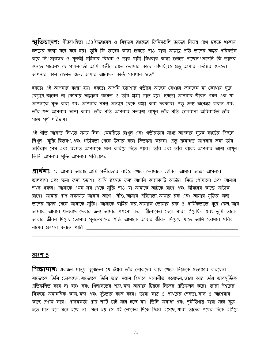$\overline{\mathcal{B}}$ তিচারণ: গীতসংহিতা 130 ইজরায়েল ও যিয়ূদার রাজ্যের জিনিসগুলি তাদের নিজম্ব পথে চলতে থাকায় হৃদয়ের কান্না বলে মনে হয়। তুমি কি তাদের কান্না শুনতে পাও যারা আল্লাহ প্রতি তাদের অন্তর পরিবর্তন করে নি? সারফখ ও শূনম্মী মহিলার বিধবা ও তার স্বামী বিধবার কান্না শুনতে পাচ্ছেন? আপনি কি তাদের শুনতে পারেন? "হে পালনকর্তা, আমি গভীর রাতে তোমার কাছে কাঁদচি; হে প্রভু, আমার কন্ঠম্বর শুনতে। আপনার কান রহমত জন্য আমার আবেদন কন্ঠে সাবধান হতে"

হয়তো এই আপনার কান্না হয়। হয়তো আপনি হতাশার গভীরে আছেন যেথানে জানবেন না কোথায় ঘুরে বেড়ায়, জানেন না কোখায় আল্লাহর রহমত ও তাঁর ক্ষমা লাভ হয়। হয়তো আপনার জীবন এমন এক যা আপনাকে মুক্ত করা এবং আপনার সমস্ত অন্যায় থেকে রক্ষা করা দরকার। প্রভু জন্য অপেক্ষা করুন এবং তাঁর শব্দ আপনার আশা করা। তাঁর প্রতি আপনার প্রত্যাশা রাখুন তাঁর প্রতি ভালবাসা অবিবাহিত, তাঁর সাথে পূর্ণ পরিত্রাণ।

এই গীত আয়াত লিখতে সময় নিন। মেমরিতে রাখুন এবং গভীরতার মধ্যে আপনার সূচক কার্ডের পিছনে লিথুন। মুক্তি, বিতরণ, এবং গভীরতা খেকে উদ্ধার করা জিজ্ঞাসা করুন। প্রভু ক্রমাগত আপনার জন্য তাঁর অবিরাম প্রেম এবং রহমত আপনাকে মনে করিয়ে দিতে পারে। তাঁর এবং তাঁর বাক্যে আপনার আশা রাখুন। তিনি আপনার মুক্তি, আপনার পরিত্রাণের।

**প্রার্থলা:** হে আমার আল্লাহ, আমি গভীরতার বাইরে খেকে তোমাকে ডাকি। আমার আত্মা আপনার ভালবাসা এবং ক্ষমা জন্য হতাশ। আমি রহমত জন্য আপনি কান্নাকাটি আউট। নিচে পৌঁছানো এবং আমার দখল ধরুন। আমাকে এমন সব থেকে মুক্তি দাও যা আমাকে আটকে রাথে এবং জীবনের কান্ডে আটকে রাথে। আমার পাপ সবসময় আমার আগে। যীশু,আমার পরিত্রাতা,আমার রক এবং আমার মুক্তির জন্য তাদের দাসত্ব থেকে আমাকে মুক্তি। আমাকে বাহির কর, আমাকে তোমার রক্ত ও ধার্মিকতাতে ধুয়ে ফেল, আর আমাকে আবার ধন্যবাদ দেবার জন্য আমার প্রশংসা কর। স্ত্রীলোকের ছেলে মারা গিয়েছিল এবং তুমি তাকে আবার জীবন দিয়েছ, তোমার পুনরুত্থানের শক্তি আমাকে আবার জীবন দিয়েছে যাতে আমি তোমার পবিত্র নামের প্রশংসা করতে পারি।

#### অংশ 5

**শিক্ষাদান:** একজন মানুষ বুঝেছেন যে ঈশ্বর তাঁর লোকদের কাছ থেকে নিজেকে প্রত্যাহার করছেন। যাদেরকে তিনি ডেকেছেন, যাদেরকে তিনি তাঁর সন্তান হিসাবে মনোনীত করেছেন, তারা আর তাঁর ভাবমূর্তিকে প্রতিফলিত করে না বরং বরং থিলাফতের শত্রু, মন্দ আত্মার চিত্রকে নিজের প্রতিফলন করে। তারা ঈশ্বরের বিরুদ্ধে অমানবিক কাজ, মন্দ এবং দুষ্টতার কাজ করে। তারা কাঠ ও পাখরের দেবতা, বাল ও আশেরার কাছে প্রণাম করে। পালনকর্তা প্রায় লাঠি চাই মনে হচ্ছে না। তিনি অবাধ্য এবং দুর্নীতিগ্রস্ত যারা সঙ্গে যুক্ত হতে চান বলে মনে হচ্ছে না। মনে হয় সে এই লোকের দিকে ফিরে এসেছে যারা তাদের পথের দিকে এগিয়ে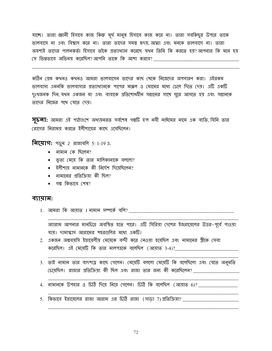যাচ্ছে। তারা জ্ঞানী হিসাবে কাজ কিন্তু মূর্খ মানুষ হিসাবে কাজ করে না। তারা সবকিছুর উপরে তাকে ভালবাসে না এবং বিশ্বাস করে না। তারা তাদের সমস্ত হৃদম, আত্মা এবং মনকে ভালবাসে না। তারা অবশ্যই তাদের পালনকর্তা হিসাবে তাঁকে প্রত্যাথ্যান করেছে যখন তিনি কি করতে হয়?আপনার কি মনে হয় সে ভিন্নভাবে অভিনয় করেছিল?আপনি তাকে কি আশা করবে?

কঠিন প্রেম কখনও কখনও আমরা ভালবাসেন ভাদের কাছ থেকে নিজেদের অপসারণ করা। এইরকম ভালবাসা এমনকি ভালবাসার প্রত্যাখ্যানকে পাপের মক্কেল ও মোমের মধ্যে ঢেলে দিতে দেয়। এটি একটি দুঃখজনক দিন, যখন একজন মা এবং বাবাকে প্রতিশোধহীন সন্তানের সাথে ঘুরে আসতে হয় এবং সন্তানকে তাদের নিজের পথে যেতে দেয়।

সূচনা: আমরা এই পাঠ্যাংশে অধ্যয়নরত সর্বশেষ গল্পটি হ'ল নবী নাঈমের নামে এক ব্যক্তি, যিনি তার রোগের নিরাময় করতে ইলীশায়ের কাছে এসেছিলেন।

**নিমোগ:** পড়ুন 2 রাজাবলি 5: 1-19 এ.

- $\bullet$  নামান কে ছিলেন?
- ভূত্য মেয়ে কি তার মালিকানাকে বললো?
- $\bullet$  ইলীশায় নামানকে কী নির্দেশ দিয়েছিলেন?
- $\bullet$  নামানের প্রতিক্রিযা কী ছিল?
- $\bullet$  গল্প কিভাবে শেষ?

#### ব্যায়াম:

1. আমরা কি আয়াত 1 নামান সম্পর্কে বলি?

অ্যারাম আপনার মানচিত্রে অবস্থিত হতে পারে। এটি সিরিয়া দেশের ইজরায়েলের উত্তর–পূর্বে পাওয়া যায়। দামাস্কাস আরামের শহরগুলির মধ্যে একটি।

- 2. একজন অল্পবয়সি ইস্রায়েলীয় মেয়েকে বন্দী করে নেওয়া হয়েছিল এবং নামানের স্ত্রীকে সেবা করেছিল। এই মেয়েটি কি তার মালপত্রকে বলেছিল (আয়াত 3-4)? \_\_\_\_
- 3. তাই নামান তার বাদশাহ কাছে গেলেন। মেয়েটি বললো মেয়েটি কি বলেছিলো এবং যেতে অনুমতি চেয়েছিল। রাজার প্রতিক্রিয়া কী ছিল এবং রাজা তার জন্য কী করেছিলেন?
- 4. নামানকে উপহার ও চিঠি দিয়ে নিয়ে গেলেন। চিঠি কি বলেছিল (আয়াত 6)? \_\_\_\_\_\_\_\_\_
- 5. কিভাবে ইস্রায়েলের রাজা আরাম এর চিঠি রাজা (সাড়া 7) প্রতিক্রিয়া? \_\_\_\_\_\_\_\_\_\_\_\_\_\_\_\_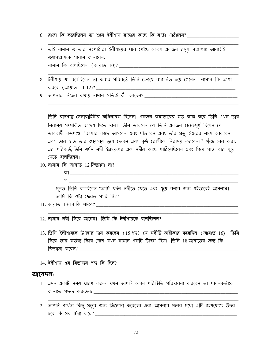6. রাজা কি করেছিলেন তা শুনে ইলীশায় রাজার কাছে কি বার্তা পাঠালেন?

- 7. তাই নামান ও তার সহপাঠীরা ইলীশায়ের ঘরে পৌঁছে কেবল একজন রসূল সাল্লাল্লাহু আলাইহি ওয়াসাল্লামকে সালাম জানালেন.
- ৪. ইলীশায় যা বলেছিলেন তা করার পরিবর্তে তিনি ক্রোধে রাগান্বিত হয়ে গেলেন। নামান কি আশা করবে (আ<u>য়াত 11-12)</u>?

9. আপনার নিজের কথায় নামান সত্যিই কী বল্ছেন?

তিনি বাদশাহ্র সেনাবাহিনীর অধিনায়ক ছিলেন। একজন কমান্ডারের মত কাজ করে তিনি এখন তার নিরাময় সম্পর্কিত আদেশ দিতে চান। তিনি ভাবলেন যে তিনি একজন গুরুত্বপূর্ণ ছিলেন যে ভাববাদী কমপক্ষে "আমার কাছে আসবেন এবং দাঁড়াবেন এবং তাঁর প্রভু ঈশ্বরের নামে ডাকবেন এবং তার হাত তার জায়গায় তুলে দেবেন এবং কৃষ্ঠ রোগীকে নিরাময় করবেন।" খুঁজে বের করা. এর পরিবর্তে তিনি যর্দন নদী ইস্রায়েলের এক নদীর কাছে পাঠিয়েছিলেন এবং গিয়ে সাত বার ধুয়ে যেতে বলেছিলেন।

- $10.$  নামান কি আযাত  $12$  জিজ্ঞাসা না?
	- $\vert \Phi \vert$
	- থ।

মূলত তিনি বলছিলেন, "আমি যৰ্দন নদীতে যেতে এবং ধুয়ে বলার জন্য এইভাবেই আসলাম। আমি কি ওটা ফেরত পারি নি?"

 $11.$  আযাত  $13$ -14 কি ঘটবে?

12. নামান নবী ফিরে আসেন। তিনি কি ইলীশায়কে বলেছিলেন? \_\_\_\_\_\_\_\_\_\_\_\_\_\_\_\_\_\_\_\_\_\_\_\_\_\_\_

13. তিনি ইলীশায়কে উপহার দান করলেন (15 পদ) যে নবীটি অশ্বীকার করেছিল (আয়াত 16)। তিনি ফিরে তার কর্তব্য ফিরে দেশে যখন নামান একটি উদ্বেগ ছিল। তিনি 18 আয়াতের জন্য কি <u> জিজ্ঞাসা করেন? \_\_\_\_\_\_\_\_\_\_\_\_\_\_\_\_\_\_\_\_\_\_\_\_\_\_\_</u>

#### আবেদন:

- 1. এমন একটি সময স্মরণ করুন যখন আপনি কোন পরিস্থিতি পরিচালনা করবেন তা পালনকর্তাকে
- 2. আপনি প্রার্থনা কিছু প্রভুর জন্য জিজ্ঞাসা করেছেন এবং আপনার মনের মধ্যে এটি গ্রহণযোগ্য উত্তর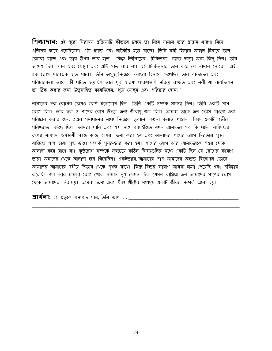শিক্ষাদা**ন:** এই পুরো নিরাময় প্রক্রিয়াটি কীভাবে চলছে তা নিয়ে নামান তার প্রাক্তন ধারণা নিয়ে এলিশের কাছে এসেছিলেন। এটা গ্র্যান্ড এবং নাটকীয় হতে যাচ্ছে। তিনি নবী হিসাবে আহ্বান হিসাবে ভাল চেহারা যাচ্ছে এবং তার উপর তার হাত . কিন্তু ইলীশায়ের "চিকিত্সা" গ্র্যান্ড ছাডা অন্য কিছু ছিল। তাঁর আদেশ ছিল: যান এবং ধোয়া এবং এটি সাত বার না। এই চিকিতসার ভান করে যে নামান নোংরা! এই ত্বক রোগ মারাত্মক হতে পারে। তিনি অসুস্থ, নিজেকে নোংরা হিসাবে দেখেছি। তার বান্দাদের এবং পরিচারকরা তাকে কী ঘটতে হয়েছিল তার পূর্ব ধারণা ধারণাগুলি সরিয়ে রাখতে এবং নবী যা বলেছিলেন তা ঠিক করার জন্য উত্সাহিত করেছিলেন, "ধুয়ে ফেলুন এবং পরিষ্কার হোন!"

নামানের ত্বক রোগের চেয়েও বেশি মনোযোগ ছিল। তিনি একটি সম্পর্ক সমস্যা ছিল। তিনি একটি পাপ রোগ ছিল। তার ম্বক ও পাপের রোগ উভয় জন্য জীবাণু জল ছিল। আমরা তাকে জল ভেসে যাওয়া এবং পরিষ্কার করার জন্য 2 এর সমাধানের মধ্যে নিজেকে ডুবানো কল্পনা করতে পারেন। কিন্তু একটি গভীর পরিচ্ছন্নতা ঘটছে ছিল। আমরা পানি এবং শব্দ সঙ্গে বাপ্তাইজিত যথন আমাদের সব কি ঘটে। বাপ্তিস্মের জলের মাধ্যমে ক্ষণস্থায়ী সহজ কাজ আমরা ক্ষমা করা হয় এবং আমাদের পাপের রোগ চিরতরে সুস্থ। বাপ্তিম্মে পাপ দ্বারা সৃষ্ট ভাঙা সম্পর্ক পুনরুদ্ধার করা হয়। পাপের রোগ আর আমাদেরকে ঈশ্বর খেকে আলাদা করে রাথে না। কুষ্ঠরোগ সম্পর্কে সবচেয়ে কঠিন বিষয়গুলির মধ্যে একটি ছিল যে রোগের কারণে তারা অন্যদের থেকে আলাদা হয়ে গিয়েছিল। একইভাবে আমাদের পাপ আমাদের অশুভ বিজ্ঞাপন তোলে আমাদের আমাদের স্বর্গীয় পিতার থেকে পৃথক রাথে। কিন্তু যিশুর কারণে আমরা ক্ষমা পেয়েছি এবং পরিষ্কার করেছি। জল তার চামড়া রোগ থেকে নামান সুস্থ যেমন ঠিক যেমন বাপ্তিস্ম জল আমাদের পাপের রোগ থেকে আমাদের নিরাময়। আমরা ক্ষমা এবং যীশু খ্রীষ্টের মাধ্যমে একটি জীবন্ত সম্পর্ক আনা হয়।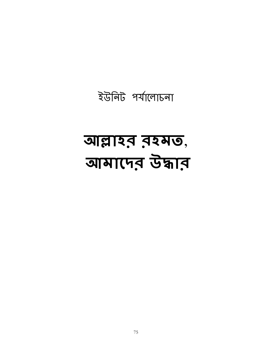## আল্লাহর রহমত, आमारमंड उकाड़

ইউনিট পর্যালোচনা

75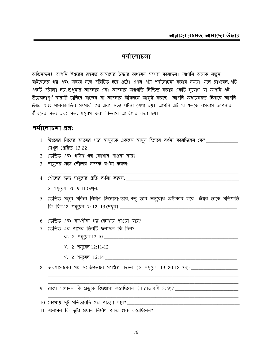## <u>भर्पालाह्या</u>

অভিনন্দন! আপনি ঈশ্বরের রহমত, আমাদের উদ্ধার অধ্যয়ন সম্পন্ন করেছেন। আপনি অনেক নতুন বাইবেলের গল্প এবং অক্ষর সঙ্গে পরিচিত হয়ে ওঠে। এথন এটা পর্যালোচনা করার সময়। মনে রাখবেন, এটি একটি পরীক্ষা নয়, শুধুমাত্র আপনার এবং আপনার অগ্রগতি নিশ্চিত করার একটি সুযোগ যা আপনি এই উত্তেজনাপূর্ণ যাত্রাটি চালিয়ে যাচ্ছেন যা আপনার জীবনকে আকৃষ্ট করছে। আপনি অধ্যয়নরত হিসাবে আপনি ঈশ্বর এবং মানবজাতির সম্পর্কে গল্প এবং সত্য ঘটনা শেখা হয়। আপনি এই 21 শতকে বসবাস আপনার জীবনের সত্য এবং সত্য প্রয়োগ করা কিভাবে আবিষ্কার করা হয়।

## $4\pi$ ला $5\pi$  প্রশ্ল:

- 1. ঈশ্বরের নিজের হৃদমের পরে মানুষকে একজন মানুষ হিসেবে বর্ণনা করেছিলেন কে? \_\_\_\_\_\_\_\_\_\_\_\_\_ দেখুন প্রেরিত 13:22.
- 
- 
- 2 শমুয়েল 26: 9-11 দেখুন.
- 5. ডেভিড প্রভুর মন্দির নির্মাণ জিজ্ঞাসা; তবে, প্রভু তার অনুরোধ অস্বীকার করে। ঈশ্বর তাকে প্রতিশ্রুতি
- 
- 7. ডেভিড এর পাপের তিনটি ফলাফল কি ছিল?
	-
	-
	-
- 

10. কোখায় দুই পতিতাবৃত্তি গল্প পাওয়া যায়? \_\_\_\_\_\_\_\_\_\_

11. শলোমন কি দুটো প্ৰধান নিৰ্মাণ প্ৰকল্প শুরু করেছিলেন?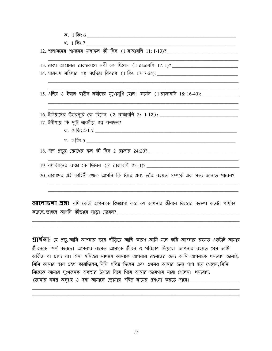|  | 15. এলিয় ও ইবনে বাউল নবীদের মুথোমুথি হোন। কর্মেল (1 রাজাবলি 18:16-40): ______________   |
|--|------------------------------------------------------------------------------------------|
|  |                                                                                          |
|  |                                                                                          |
|  | 17. ইলীশায় কি দুটি স্মরণীয় গল্প বলছেন?                                                 |
|  |                                                                                          |
|  |                                                                                          |
|  |                                                                                          |
|  |                                                                                          |
|  | <u>19. ব্যাবিলনের রাজা কে  ছিলেন (2 রাজাবলি 25:1)? _________________________________</u> |
|  | 20. রাজাদের এই কাহিনী থেকে আপনি কি ঈশ্বর এবং তাঁর রহমত সম্পর্কে এক সত্য জানতে পারেন?     |
|  |                                                                                          |
|  |                                                                                          |

**প্রার্থলা:** হে প্রভু, আমি আপনার ভয়ে দাঁড়িয়ে আছি কারণ আমি মনে করি আপনার রহমত এতটাই আমার জীবনকে স্পর্শ করেছে। আপনার রহমত আমাকে জীবন ও পরিত্রাণ দিয়েছে। আপনার রহমত প্রেম আমি অর্জিত বা প্রাপ্য না। ঈসা মসিহের মাধ্যমে আমাকে আপনার রহমতের জন্য আমি আপনাকে ধন্যবাদ জানাই, যিনি আমার স্থান গ্রহণ করেছিলেন, যিনি পবিত্র ছিলেন এবং এথনও আমার জন্য পাপ হয়ে গেলেন, যিনি নিজেকে আমার দুংখজনক অবস্থার উপরে নিয়ে গিয়ে আমার জায়গায় মারা গেলেন। ধন্যবাদ. তোমার সমস্ত অনুগ্রহ ও দয়া আমাকে তোমার পবিত্র নামের প্রশংসা করতে পারে। \_\_\_\_\_\_\_\_\_\_\_\_\_\_\_\_\_\_\_\_\_\_

77